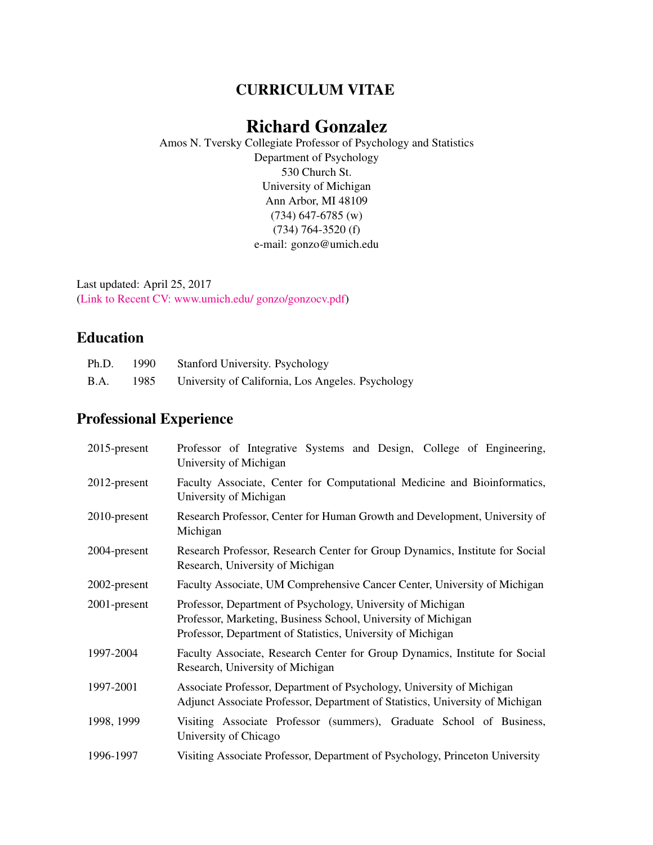# CURRICULUM VITAE

# Richard Gonzalez

Amos N. Tversky Collegiate Professor of Psychology and Statistics Department of Psychology 530 Church St. University of Michigan Ann Arbor, MI 48109 (734) 647-6785 (w) (734) 764-3520 (f) e-mail: gonzo@umich.edu

Last updated: April 25, 2017 [\(Link to Recent CV: www.umich.edu/ gonzo/gonzocv.pdf\)](http://www.umich.edu/~gonzo/gonzocv.pdf)

# Education

| Ph.D.       | 1990 | <b>Stanford University. Psychology</b>            |
|-------------|------|---------------------------------------------------|
| <b>B.A.</b> | 1985 | University of California, Los Angeles. Psychology |

# Professional Experience

| $2015$ -present | Professor of Integrative Systems and Design, College of Engineering,<br>University of Michigan                                                                                              |
|-----------------|---------------------------------------------------------------------------------------------------------------------------------------------------------------------------------------------|
| 2012-present    | Faculty Associate, Center for Computational Medicine and Bioinformatics,<br>University of Michigan                                                                                          |
| 2010-present    | Research Professor, Center for Human Growth and Development, University of<br>Michigan                                                                                                      |
| 2004-present    | Research Professor, Research Center for Group Dynamics, Institute for Social<br>Research, University of Michigan                                                                            |
| 2002-present    | Faculty Associate, UM Comprehensive Cancer Center, University of Michigan                                                                                                                   |
| 2001-present    | Professor, Department of Psychology, University of Michigan<br>Professor, Marketing, Business School, University of Michigan<br>Professor, Department of Statistics, University of Michigan |
| 1997-2004       | Faculty Associate, Research Center for Group Dynamics, Institute for Social<br>Research, University of Michigan                                                                             |
| 1997-2001       | Associate Professor, Department of Psychology, University of Michigan<br>Adjunct Associate Professor, Department of Statistics, University of Michigan                                      |
| 1998, 1999      | Visiting Associate Professor (summers), Graduate School of Business,<br>University of Chicago                                                                                               |
| 1996-1997       | Visiting Associate Professor, Department of Psychology, Princeton University                                                                                                                |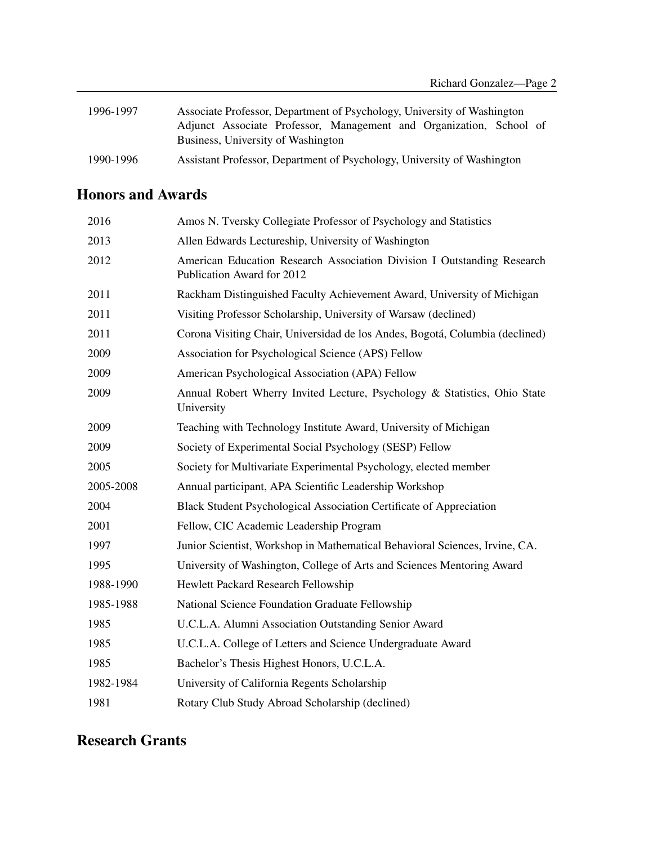| 1996-1997 | Associate Professor, Department of Psychology, University of Washington |
|-----------|-------------------------------------------------------------------------|
|           | Adjunct Associate Professor, Management and Organization, School of     |
|           | Business, University of Washington                                      |
| 1990-1996 | Assistant Professor, Department of Psychology, University of Washington |

# Honors and Awards

| 2016      | Amos N. Tversky Collegiate Professor of Psychology and Statistics                                     |
|-----------|-------------------------------------------------------------------------------------------------------|
| 2013      | Allen Edwards Lectureship, University of Washington                                                   |
| 2012      | American Education Research Association Division I Outstanding Research<br>Publication Award for 2012 |
| 2011      | Rackham Distinguished Faculty Achievement Award, University of Michigan                               |
| 2011      | Visiting Professor Scholarship, University of Warsaw (declined)                                       |
| 2011      | Corona Visiting Chair, Universidad de los Andes, Bogotá, Columbia (declined)                          |
| 2009      | Association for Psychological Science (APS) Fellow                                                    |
| 2009      | American Psychological Association (APA) Fellow                                                       |
| 2009      | Annual Robert Wherry Invited Lecture, Psychology & Statistics, Ohio State<br>University               |
| 2009      | Teaching with Technology Institute Award, University of Michigan                                      |
| 2009      | Society of Experimental Social Psychology (SESP) Fellow                                               |
| 2005      | Society for Multivariate Experimental Psychology, elected member                                      |
| 2005-2008 | Annual participant, APA Scientific Leadership Workshop                                                |
| 2004      | Black Student Psychological Association Certificate of Appreciation                                   |
| 2001      | Fellow, CIC Academic Leadership Program                                                               |
| 1997      | Junior Scientist, Workshop in Mathematical Behavioral Sciences, Irvine, CA.                           |
| 1995      | University of Washington, College of Arts and Sciences Mentoring Award                                |
| 1988-1990 | Hewlett Packard Research Fellowship                                                                   |
| 1985-1988 | National Science Foundation Graduate Fellowship                                                       |
| 1985      | U.C.L.A. Alumni Association Outstanding Senior Award                                                  |
| 1985      | U.C.L.A. College of Letters and Science Undergraduate Award                                           |
| 1985      | Bachelor's Thesis Highest Honors, U.C.L.A.                                                            |
| 1982-1984 | University of California Regents Scholarship                                                          |
| 1981      | Rotary Club Study Abroad Scholarship (declined)                                                       |

# Research Grants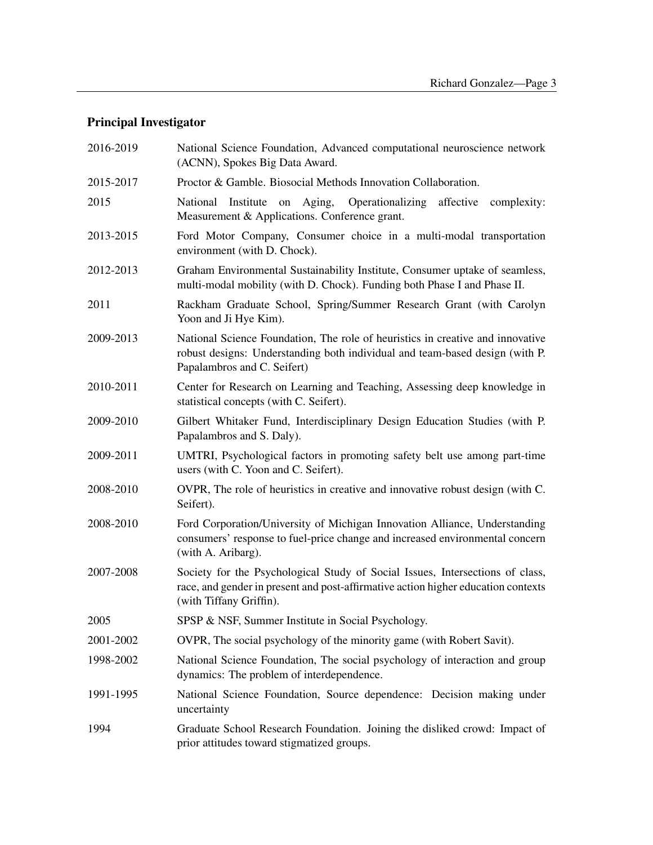# Principal Investigator

| 2016-2019 | National Science Foundation, Advanced computational neuroscience network<br>(ACNN), Spokes Big Data Award.                                                                                    |
|-----------|-----------------------------------------------------------------------------------------------------------------------------------------------------------------------------------------------|
| 2015-2017 | Proctor & Gamble. Biosocial Methods Innovation Collaboration.                                                                                                                                 |
| 2015      | National Institute on Aging,<br>Operationalizing affective complexity:<br>Measurement & Applications. Conference grant.                                                                       |
| 2013-2015 | Ford Motor Company, Consumer choice in a multi-modal transportation<br>environment (with D. Chock).                                                                                           |
| 2012-2013 | Graham Environmental Sustainability Institute, Consumer uptake of seamless,<br>multi-modal mobility (with D. Chock). Funding both Phase I and Phase II.                                       |
| 2011      | Rackham Graduate School, Spring/Summer Research Grant (with Carolyn<br>Yoon and Ji Hye Kim).                                                                                                  |
| 2009-2013 | National Science Foundation, The role of heuristics in creative and innovative<br>robust designs: Understanding both individual and team-based design (with P.<br>Papalambros and C. Seifert) |
| 2010-2011 | Center for Research on Learning and Teaching, Assessing deep knowledge in<br>statistical concepts (with C. Seifert).                                                                          |
| 2009-2010 | Gilbert Whitaker Fund, Interdisciplinary Design Education Studies (with P.<br>Papalambros and S. Daly).                                                                                       |
| 2009-2011 | UMTRI, Psychological factors in promoting safety belt use among part-time<br>users (with C. Yoon and C. Seifert).                                                                             |
| 2008-2010 | OVPR, The role of heuristics in creative and innovative robust design (with C.<br>Seifert).                                                                                                   |
| 2008-2010 | Ford Corporation/University of Michigan Innovation Alliance, Understanding<br>consumers' response to fuel-price change and increased environmental concern<br>(with A. Aribarg).              |
| 2007-2008 | Society for the Psychological Study of Social Issues, Intersections of class,<br>race, and gender in present and post-affirmative action higher education contexts<br>(with Tiffany Griffin). |
| 2005      | SPSP & NSF, Summer Institute in Social Psychology.                                                                                                                                            |
| 2001-2002 | OVPR, The social psychology of the minority game (with Robert Savit).                                                                                                                         |
| 1998-2002 | National Science Foundation, The social psychology of interaction and group<br>dynamics: The problem of interdependence.                                                                      |
| 1991-1995 | National Science Foundation, Source dependence: Decision making under<br>uncertainty                                                                                                          |
| 1994      | Graduate School Research Foundation. Joining the disliked crowd: Impact of<br>prior attitudes toward stigmatized groups.                                                                      |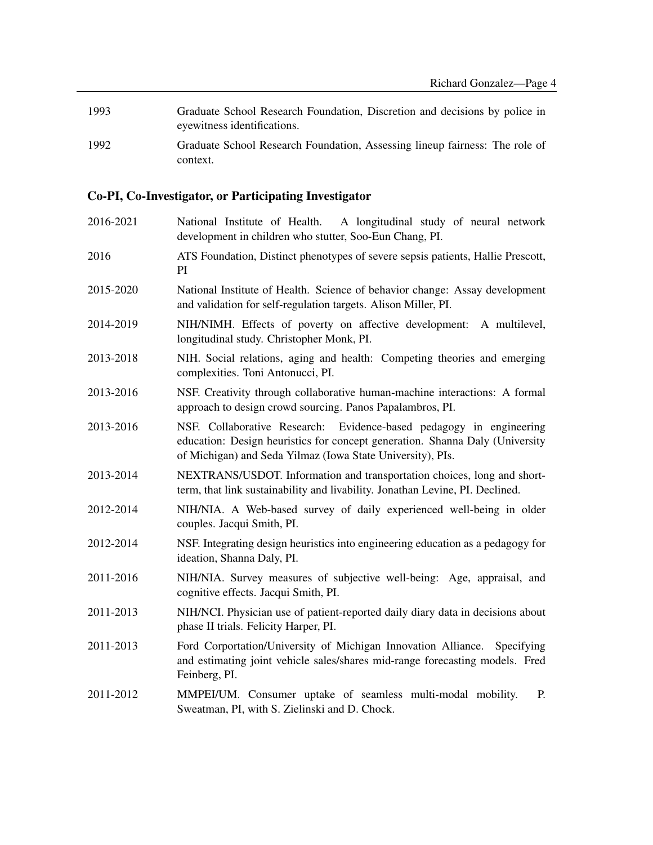1993 Graduate School Research Foundation, Discretion and decisions by police in eyewitness identifications. 1992 Graduate School Research Foundation, Assessing lineup fairness: The role of

# Co-PI, Co-Investigator, or Participating Investigator

context.

| 2016-2021 | National Institute of Health. A longitudinal study of neural network<br>development in children who stutter, Soo-Eun Chang, PI.                                                                                      |
|-----------|----------------------------------------------------------------------------------------------------------------------------------------------------------------------------------------------------------------------|
| 2016      | ATS Foundation, Distinct phenotypes of severe sepsis patients, Hallie Prescott,<br>PI                                                                                                                                |
| 2015-2020 | National Institute of Health. Science of behavior change: Assay development<br>and validation for self-regulation targets. Alison Miller, PI.                                                                        |
| 2014-2019 | NIH/NIMH. Effects of poverty on affective development: A multilevel,<br>longitudinal study. Christopher Monk, PI.                                                                                                    |
| 2013-2018 | NIH. Social relations, aging and health: Competing theories and emerging<br>complexities. Toni Antonucci, PI.                                                                                                        |
| 2013-2016 | NSF. Creativity through collaborative human-machine interactions: A formal<br>approach to design crowd sourcing. Panos Papalambros, PI.                                                                              |
| 2013-2016 | NSF. Collaborative Research:<br>Evidence-based pedagogy in engineering<br>education: Design heuristics for concept generation. Shanna Daly (University<br>of Michigan) and Seda Yilmaz (Iowa State University), PIs. |
| 2013-2014 | NEXTRANS/USDOT. Information and transportation choices, long and short-<br>term, that link sustainability and livability. Jonathan Levine, PI. Declined.                                                             |
| 2012-2014 | NIH/NIA. A Web-based survey of daily experienced well-being in older<br>couples. Jacqui Smith, PI.                                                                                                                   |
| 2012-2014 | NSF. Integrating design heuristics into engineering education as a pedagogy for<br>ideation, Shanna Daly, PI.                                                                                                        |
| 2011-2016 | NIH/NIA. Survey measures of subjective well-being: Age, appraisal, and<br>cognitive effects. Jacqui Smith, PI.                                                                                                       |
| 2011-2013 | NIH/NCI. Physician use of patient-reported daily diary data in decisions about<br>phase II trials. Felicity Harper, PI.                                                                                              |
| 2011-2013 | Ford Corportation/University of Michigan Innovation Alliance.<br>Specifying<br>and estimating joint vehicle sales/shares mid-range forecasting models. Fred<br>Feinberg, PI.                                         |
| 2011-2012 | MMPEI/UM. Consumer uptake of seamless multi-modal mobility.<br>P.<br>Sweatman, PI, with S. Zielinski and D. Chock.                                                                                                   |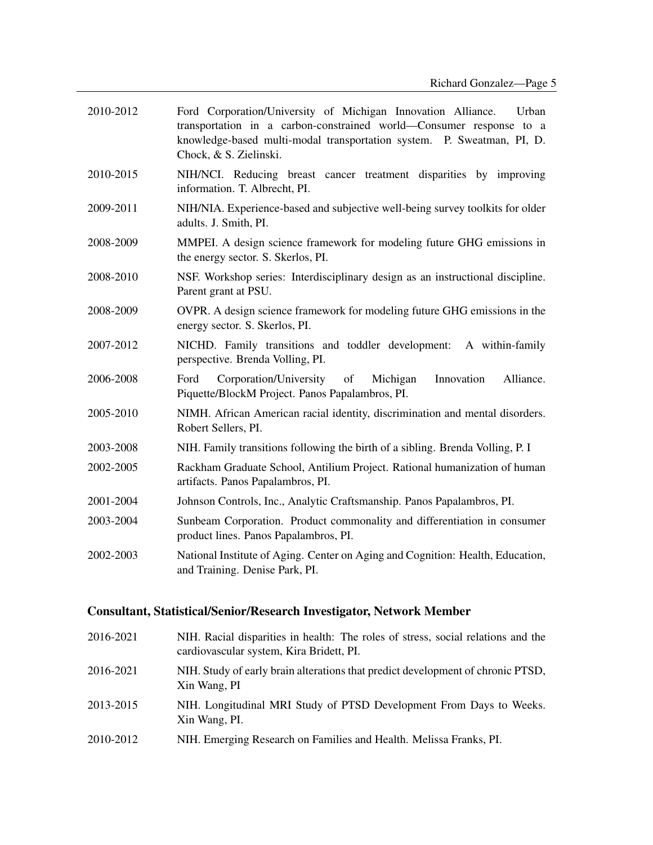| 2010-2012 | Ford Corporation/University of Michigan Innovation Alliance.<br>Urban<br>transportation in a carbon-constrained world—Consumer response to a<br>knowledge-based multi-modal transportation system. P. Sweatman, PI, D.<br>Chock, & S. Zielinski. |
|-----------|--------------------------------------------------------------------------------------------------------------------------------------------------------------------------------------------------------------------------------------------------|
| 2010-2015 | NIH/NCI. Reducing breast cancer treatment disparities by improving<br>information. T. Albrecht, PI.                                                                                                                                              |
| 2009-2011 | NIH/NIA. Experience-based and subjective well-being survey toolkits for older<br>adults. J. Smith, PI.                                                                                                                                           |
| 2008-2009 | MMPEI. A design science framework for modeling future GHG emissions in<br>the energy sector. S. Skerlos, PI.                                                                                                                                     |
| 2008-2010 | NSF. Workshop series: Interdisciplinary design as an instructional discipline.<br>Parent grant at PSU.                                                                                                                                           |
| 2008-2009 | OVPR. A design science framework for modeling future GHG emissions in the<br>energy sector. S. Skerlos, PI.                                                                                                                                      |
| 2007-2012 | NICHD. Family transitions and toddler development:<br>A within-family<br>perspective. Brenda Volling, PI.                                                                                                                                        |
| 2006-2008 | Corporation/University<br>of<br>Michigan<br>Innovation<br>Alliance.<br>Ford<br>Piquette/BlockM Project. Panos Papalambros, PI.                                                                                                                   |
| 2005-2010 | NIMH. African American racial identity, discrimination and mental disorders.<br>Robert Sellers, PI.                                                                                                                                              |
| 2003-2008 | NIH. Family transitions following the birth of a sibling. Brenda Volling, P. I                                                                                                                                                                   |
| 2002-2005 | Rackham Graduate School, Antilium Project. Rational humanization of human<br>artifacts. Panos Papalambros, PI.                                                                                                                                   |
| 2001-2004 | Johnson Controls, Inc., Analytic Craftsmanship. Panos Papalambros, PI.                                                                                                                                                                           |
| 2003-2004 | Sunbeam Corporation. Product commonality and differentiation in consumer<br>product lines. Panos Papalambros, PI.                                                                                                                                |
| 2002-2003 | National Institute of Aging. Center on Aging and Cognition: Health, Education,<br>and Training. Denise Park, PI.                                                                                                                                 |

# Consultant, Statistical/Senior/Research Investigator, Network Member

| 2016-2021 | NIH. Racial disparities in health: The roles of stress, social relations and the<br>cardiovascular system, Kira Bridett, PI. |
|-----------|------------------------------------------------------------------------------------------------------------------------------|
| 2016-2021 | NIH. Study of early brain alterations that predict development of chronic PTSD,<br>Xin Wang, PI                              |
| 2013-2015 | NIH. Longitudinal MRI Study of PTSD Development From Days to Weeks.<br>Xin Wang, PI.                                         |
| 2010-2012 | NIH. Emerging Research on Families and Health. Melissa Franks, PI.                                                           |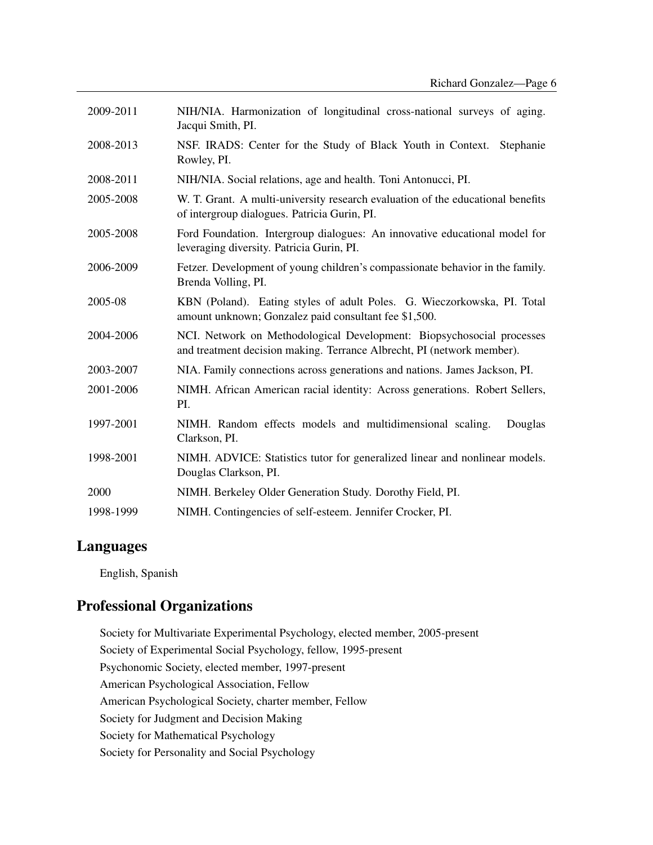| 2009-2011 | NIH/NIA. Harmonization of longitudinal cross-national surveys of aging.<br>Jacqui Smith, PI.                                                    |
|-----------|-------------------------------------------------------------------------------------------------------------------------------------------------|
| 2008-2013 | NSF. IRADS: Center for the Study of Black Youth in Context.<br>Stephanie<br>Rowley, PI.                                                         |
| 2008-2011 | NIH/NIA. Social relations, age and health. Toni Antonucci, PI.                                                                                  |
| 2005-2008 | W. T. Grant. A multi-university research evaluation of the educational benefits<br>of intergroup dialogues. Patricia Gurin, PI.                 |
| 2005-2008 | Ford Foundation. Intergroup dialogues: An innovative educational model for<br>leveraging diversity. Patricia Gurin, PI.                         |
| 2006-2009 | Fetzer. Development of young children's compassionate behavior in the family.<br>Brenda Volling, PI.                                            |
| 2005-08   | KBN (Poland). Eating styles of adult Poles. G. Wieczorkowska, PI. Total<br>amount unknown; Gonzalez paid consultant fee \$1,500.                |
| 2004-2006 | NCI. Network on Methodological Development: Biopsychosocial processes<br>and treatment decision making. Terrance Albrecht, PI (network member). |
| 2003-2007 | NIA. Family connections across generations and nations. James Jackson, PI.                                                                      |
| 2001-2006 | NIMH. African American racial identity: Across generations. Robert Sellers,<br>PI.                                                              |
| 1997-2001 | NIMH. Random effects models and multidimensional scaling.<br>Douglas<br>Clarkson, PI.                                                           |
| 1998-2001 | NIMH. ADVICE: Statistics tutor for generalized linear and nonlinear models.<br>Douglas Clarkson, PI.                                            |
| 2000      | NIMH. Berkeley Older Generation Study. Dorothy Field, PI.                                                                                       |
| 1998-1999 | NIMH. Contingencies of self-esteem. Jennifer Crocker, PI.                                                                                       |

## Languages

English, Spanish

# Professional Organizations

Society for Multivariate Experimental Psychology, elected member, 2005-present Society of Experimental Social Psychology, fellow, 1995-present Psychonomic Society, elected member, 1997-present American Psychological Association, Fellow American Psychological Society, charter member, Fellow Society for Judgment and Decision Making Society for Mathematical Psychology Society for Personality and Social Psychology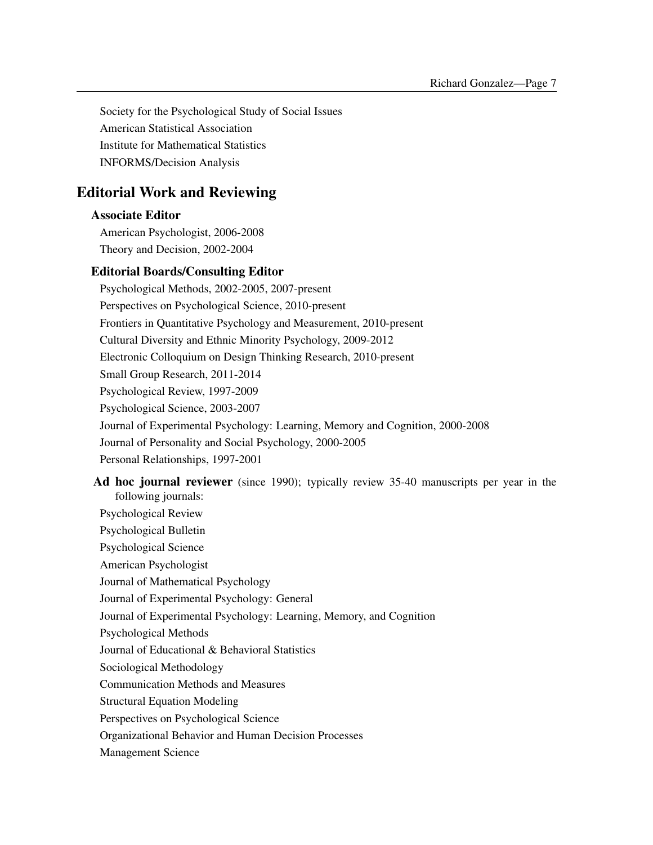Society for the Psychological Study of Social Issues American Statistical Association Institute for Mathematical Statistics INFORMS/Decision Analysis

# Editorial Work and Reviewing

### Associate Editor

American Psychologist, 2006-2008 Theory and Decision, 2002-2004

### Editorial Boards/Consulting Editor

Psychological Methods, 2002-2005, 2007-present Perspectives on Psychological Science, 2010-present Frontiers in Quantitative Psychology and Measurement, 2010-present Cultural Diversity and Ethnic Minority Psychology, 2009-2012 Electronic Colloquium on Design Thinking Research, 2010-present Small Group Research, 2011-2014 Psychological Review, 1997-2009 Psychological Science, 2003-2007 Journal of Experimental Psychology: Learning, Memory and Cognition, 2000-2008 Journal of Personality and Social Psychology, 2000-2005 Personal Relationships, 1997-2001

Ad hoc journal reviewer (since 1990); typically review 35-40 manuscripts per year in the following journals: Psychological Review Psychological Bulletin Psychological Science American Psychologist Journal of Mathematical Psychology Journal of Experimental Psychology: General Journal of Experimental Psychology: Learning, Memory, and Cognition Psychological Methods Journal of Educational & Behavioral Statistics Sociological Methodology Communication Methods and Measures Structural Equation Modeling Perspectives on Psychological Science Organizational Behavior and Human Decision Processes Management Science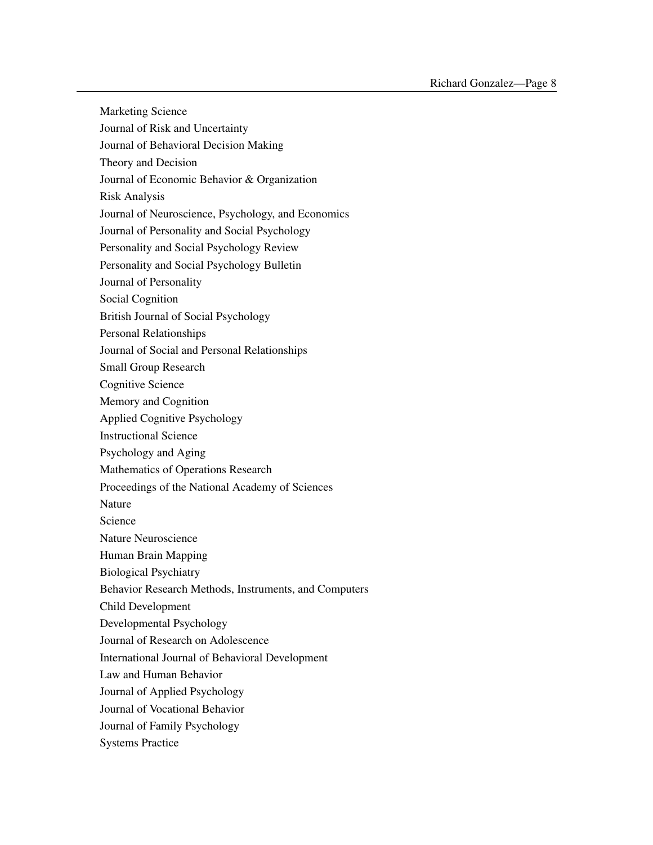Marketing Science Journal of Risk and Uncertainty Journal of Behavioral Decision Making Theory and Decision Journal of Economic Behavior & Organization Risk Analysis Journal of Neuroscience, Psychology, and Economics Journal of Personality and Social Psychology Personality and Social Psychology Review Personality and Social Psychology Bulletin Journal of Personality Social Cognition British Journal of Social Psychology Personal Relationships Journal of Social and Personal Relationships Small Group Research Cognitive Science Memory and Cognition Applied Cognitive Psychology Instructional Science Psychology and Aging Mathematics of Operations Research Proceedings of the National Academy of Sciences Nature Science Nature Neuroscience Human Brain Mapping Biological Psychiatry Behavior Research Methods, Instruments, and Computers Child Development Developmental Psychology Journal of Research on Adolescence International Journal of Behavioral Development Law and Human Behavior Journal of Applied Psychology Journal of Vocational Behavior Journal of Family Psychology Systems Practice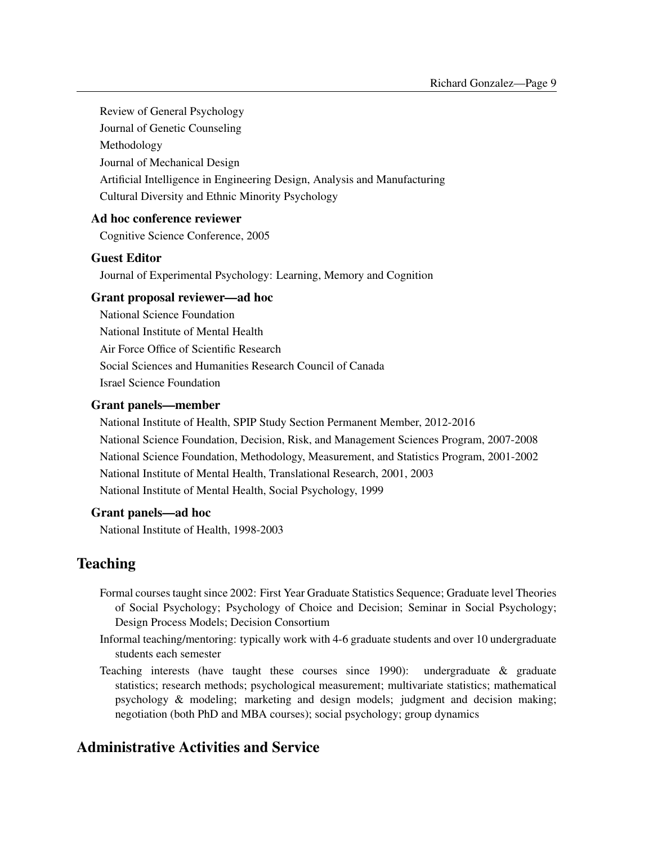Review of General Psychology

Journal of Genetic Counseling

Methodology

Journal of Mechanical Design

Artificial Intelligence in Engineering Design, Analysis and Manufacturing

Cultural Diversity and Ethnic Minority Psychology

### Ad hoc conference reviewer

Cognitive Science Conference, 2005

### Guest Editor

Journal of Experimental Psychology: Learning, Memory and Cognition

#### Grant proposal reviewer—ad hoc

National Science Foundation National Institute of Mental Health Air Force Office of Scientific Research Social Sciences and Humanities Research Council of Canada Israel Science Foundation

### Grant panels—member

National Institute of Health, SPIP Study Section Permanent Member, 2012-2016 National Science Foundation, Decision, Risk, and Management Sciences Program, 2007-2008 National Science Foundation, Methodology, Measurement, and Statistics Program, 2001-2002 National Institute of Mental Health, Translational Research, 2001, 2003 National Institute of Mental Health, Social Psychology, 1999

#### Grant panels—ad hoc

National Institute of Health, 1998-2003

## Teaching

- Formal courses taught since 2002: First Year Graduate Statistics Sequence; Graduate level Theories of Social Psychology; Psychology of Choice and Decision; Seminar in Social Psychology; Design Process Models; Decision Consortium
- Informal teaching/mentoring: typically work with 4-6 graduate students and over 10 undergraduate students each semester
- Teaching interests (have taught these courses since 1990): undergraduate & graduate statistics; research methods; psychological measurement; multivariate statistics; mathematical psychology & modeling; marketing and design models; judgment and decision making; negotiation (both PhD and MBA courses); social psychology; group dynamics

## Administrative Activities and Service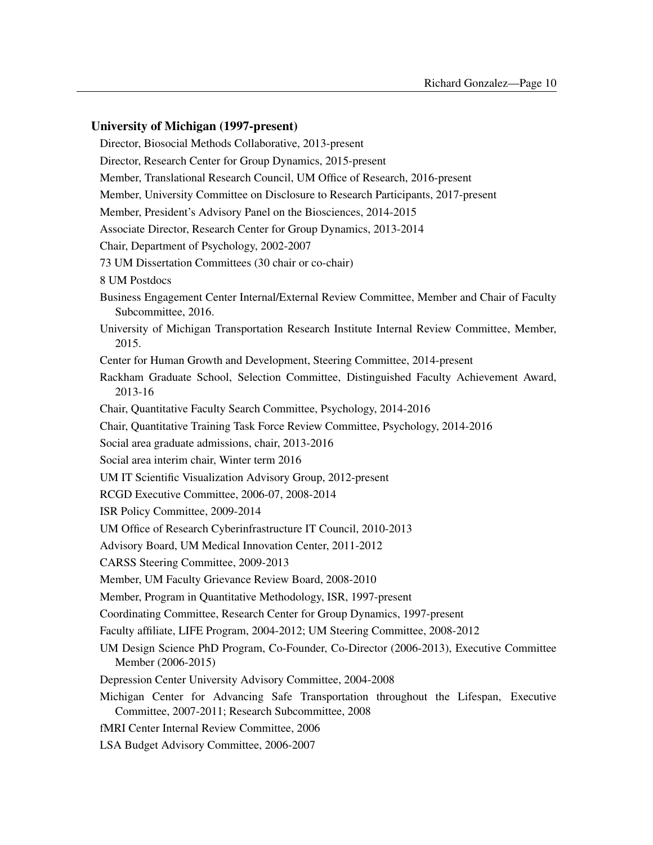#### University of Michigan (1997-present)

Director, Biosocial Methods Collaborative, 2013-present Director, Research Center for Group Dynamics, 2015-present Member, Translational Research Council, UM Office of Research, 2016-present Member, University Committee on Disclosure to Research Participants, 2017-present Member, President's Advisory Panel on the Biosciences, 2014-2015 Associate Director, Research Center for Group Dynamics, 2013-2014 Chair, Department of Psychology, 2002-2007 73 UM Dissertation Committees (30 chair or co-chair) 8 UM Postdocs Business Engagement Center Internal/External Review Committee, Member and Chair of Faculty Subcommittee, 2016. University of Michigan Transportation Research Institute Internal Review Committee, Member, 2015. Center for Human Growth and Development, Steering Committee, 2014-present Rackham Graduate School, Selection Committee, Distinguished Faculty Achievement Award, 2013-16 Chair, Quantitative Faculty Search Committee, Psychology, 2014-2016 Chair, Quantitative Training Task Force Review Committee, Psychology, 2014-2016 Social area graduate admissions, chair, 2013-2016 Social area interim chair, Winter term 2016 UM IT Scientific Visualization Advisory Group, 2012-present RCGD Executive Committee, 2006-07, 2008-2014 ISR Policy Committee, 2009-2014 UM Office of Research Cyberinfrastructure IT Council, 2010-2013 Advisory Board, UM Medical Innovation Center, 2011-2012 CARSS Steering Committee, 2009-2013 Member, UM Faculty Grievance Review Board, 2008-2010 Member, Program in Quantitative Methodology, ISR, 1997-present Coordinating Committee, Research Center for Group Dynamics, 1997-present Faculty affiliate, LIFE Program, 2004-2012; UM Steering Committee, 2008-2012 UM Design Science PhD Program, Co-Founder, Co-Director (2006-2013), Executive Committee Member (2006-2015) Depression Center University Advisory Committee, 2004-2008 Michigan Center for Advancing Safe Transportation throughout the Lifespan, Executive Committee, 2007-2011; Research Subcommittee, 2008 fMRI Center Internal Review Committee, 2006 LSA Budget Advisory Committee, 2006-2007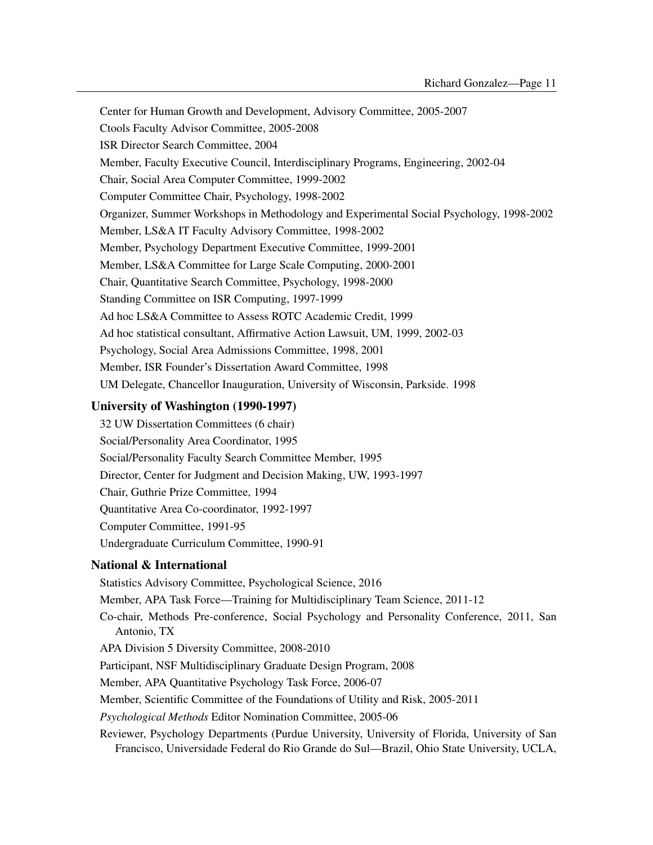Center for Human Growth and Development, Advisory Committee, 2005-2007 Ctools Faculty Advisor Committee, 2005-2008 ISR Director Search Committee, 2004 Member, Faculty Executive Council, Interdisciplinary Programs, Engineering, 2002-04 Chair, Social Area Computer Committee, 1999-2002 Computer Committee Chair, Psychology, 1998-2002 Organizer, Summer Workshops in Methodology and Experimental Social Psychology, 1998-2002 Member, LS&A IT Faculty Advisory Committee, 1998-2002 Member, Psychology Department Executive Committee, 1999-2001 Member, LS&A Committee for Large Scale Computing, 2000-2001 Chair, Quantitative Search Committee, Psychology, 1998-2000 Standing Committee on ISR Computing, 1997-1999 Ad hoc LS&A Committee to Assess ROTC Academic Credit, 1999 Ad hoc statistical consultant, Affirmative Action Lawsuit, UM, 1999, 2002-03 Psychology, Social Area Admissions Committee, 1998, 2001 Member, ISR Founder's Dissertation Award Committee, 1998 UM Delegate, Chancellor Inauguration, University of Wisconsin, Parkside. 1998

### University of Washington (1990-1997)

32 UW Dissertation Committees (6 chair) Social/Personality Area Coordinator, 1995 Social/Personality Faculty Search Committee Member, 1995 Director, Center for Judgment and Decision Making, UW, 1993-1997 Chair, Guthrie Prize Committee, 1994 Quantitative Area Co-coordinator, 1992-1997 Computer Committee, 1991-95 Undergraduate Curriculum Committee, 1990-91

#### National & International

Statistics Advisory Committee, Psychological Science, 2016 Member, APA Task Force—Training for Multidisciplinary Team Science, 2011-12 Co-chair, Methods Pre-conference, Social Psychology and Personality Conference, 2011, San Antonio, TX APA Division 5 Diversity Committee, 2008-2010 Participant, NSF Multidisciplinary Graduate Design Program, 2008 Member, APA Quantitative Psychology Task Force, 2006-07 Member, Scientific Committee of the Foundations of Utility and Risk, 2005-2011 *Psychological Methods* Editor Nomination Committee, 2005-06 Reviewer, Psychology Departments (Purdue University, University of Florida, University of San

Francisco, Universidade Federal do Rio Grande do Sul—Brazil, Ohio State University, UCLA,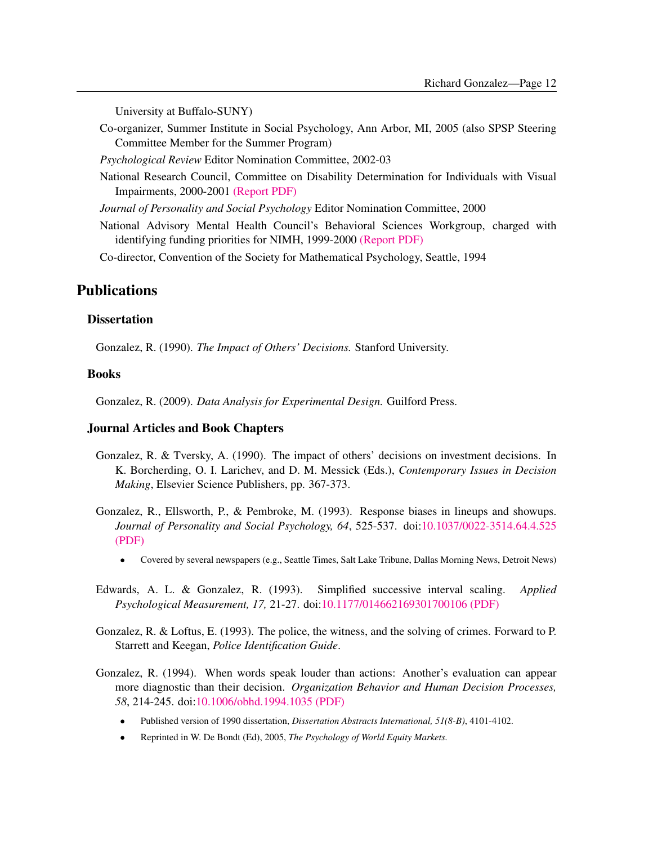University at Buffalo-SUNY)

Co-organizer, Summer Institute in Social Psychology, Ann Arbor, MI, 2005 (also SPSP Steering Committee Member for the Summer Program)

*Psychological Review* Editor Nomination Committee, 2002-03

National Research Council, Committee on Disability Determination for Individuals with Visual Impairments, 2000-2001 [\(Report PDF\)](http://www.umich.edu/~gonzo/papers/nrc-vision-report.pdf)

*Journal of Personality and Social Psychology* Editor Nomination Committee, 2000

National Advisory Mental Health Council's Behavioral Sciences Workgroup, charged with identifying funding priorities for NIMH, 1999-2000 [\(Report PDF\)](http://www.umich.edu/~gonzo/papers/bswreport.pdf)

Co-director, Convention of the Society for Mathematical Psychology, Seattle, 1994

## **Publications**

### **Dissertation**

Gonzalez, R. (1990). *The Impact of Others' Decisions.* Stanford University.

#### Books

Gonzalez, R. (2009). *Data Analysis for Experimental Design.* Guilford Press.

#### Journal Articles and Book Chapters

- Gonzalez, R. & Tversky, A. (1990). The impact of others' decisions on investment decisions. In K. Borcherding, O. I. Larichev, and D. M. Messick (Eds.), *Contemporary Issues in Decision Making*, Elsevier Science Publishers, pp. 367-373.
- Gonzalez, R., Ellsworth, P., & Pembroke, M. (1993). Response biases in lineups and showups. *Journal of Personality and Social Psychology, 64*, 525-537. doi[:10.1037/0022-3514.64.4.525](http://dx.doi.org/10.1037/0022-3514.64.4.525) [\(PDF\)](http://www.umich.edu/~gonzo/papers/showup2.pdf)
	- Covered by several newspapers (e.g., Seattle Times, Salt Lake Tribune, Dallas Morning News, Detroit News)
- Edwards, A. L. & Gonzalez, R. (1993). Simplified successive interval scaling. *Applied Psychological Measurement, 17,* 21-27. doi[:10.1177/014662169301700106](http://dx.doi.org/10.1177/014662169301700106) [\(PDF\)](http://www.umich.edu/~gonzo/papers/edwardsgonz.pdf)
- Gonzalez, R. & Loftus, E. (1993). The police, the witness, and the solving of crimes. Forward to P. Starrett and Keegan, *Police Identification Guide*.
- Gonzalez, R. (1994). When words speak louder than actions: Another's evaluation can appear more diagnostic than their decision. *Organization Behavior and Human Decision Processes, 58*, 214-245. doi[:10.1006/obhd.1994.1035](http://dx.doi.org/10.1006/obhd.1994.1035) [\(PDF\)](http://www.umich.edu/~gonzo/papers/whenwords.pdf)
	- Published version of 1990 dissertation, *Dissertation Abstracts International, 51(8-B)*, 4101-4102.
	- Reprinted in W. De Bondt (Ed), 2005, *The Psychology of World Equity Markets.*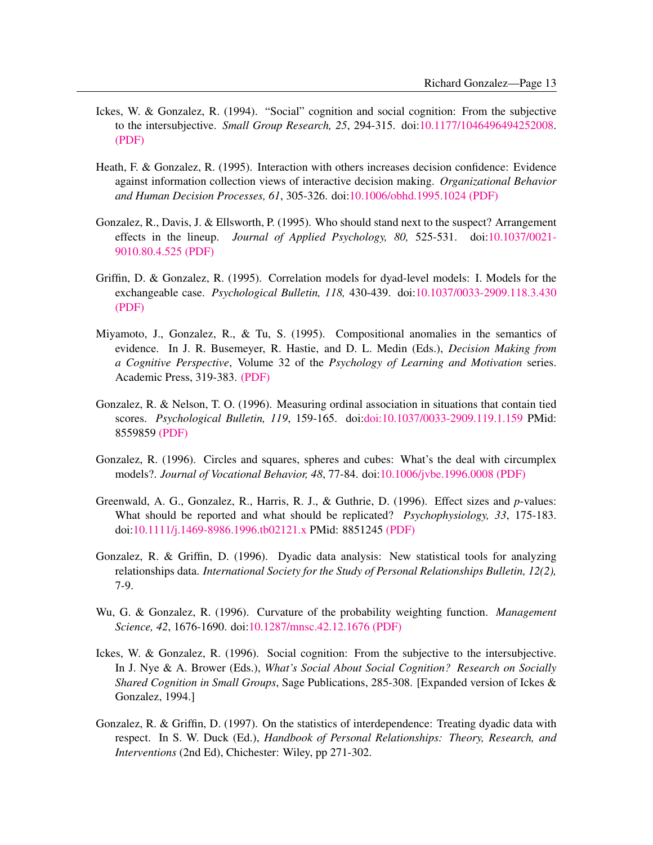- Ickes, W. & Gonzalez, R. (1994). "Social" cognition and social cognition: From the subjective to the intersubjective. *Small Group Research, 25*, 294-315. doi[:10.1177/1046496494252008.](http://dx.doi.org/10.1177/1046496494252008) [\(PDF\)](http://www.umich.edu/~gonzo/papers/ickesgonzalez.pdf)
- Heath, F. & Gonzalez, R. (1995). Interaction with others increases decision confidence: Evidence against information collection views of interactive decision making. *Organizational Behavior and Human Decision Processes, 61*, 305-326. doi[:10.1006/obhd.1995.1024](http://dx.doi.org/10.1006/obhd.1995.1024) [\(PDF\)](http://www.umich.edu/~gonzo/papers/heathgonzalez.pdf)
- Gonzalez, R., Davis, J. & Ellsworth, P. (1995). Who should stand next to the suspect? Arrangement effects in the lineup. *Journal of Applied Psychology, 80,* 525-531. doi[:10.1037/0021-](http://dx.doi.org/10.1037/0021-9010.80.4.525) [9010.80.4.525](http://dx.doi.org/10.1037/0021-9010.80.4.525) [\(PDF\)](http://www.umich.edu/~gonzo/papers/standnext.pdf)
- Griffin, D. & Gonzalez, R. (1995). Correlation models for dyad-level models: I. Models for the exchangeable case. *Psychological Bulletin, 118,* 430-439. doi[:10.1037/0033-2909.118.3.430](http://dx.doi.org/10.1037/0033-2909.118.3.430) [\(PDF\)](http://www.umich.edu/~gonzo/papers/exch.pdf)
- Miyamoto, J., Gonzalez, R., & Tu, S. (1995). Compositional anomalies in the semantics of evidence. In J. R. Busemeyer, R. Hastie, and D. L. Medin (Eds.), *Decision Making from a Cognitive Perspective*, Volume 32 of the *Psychology of Learning and Motivation* series. Academic Press, 319-383. [\(PDF\)](http://www.umich.edu/~gonzo/papers/compositional-anomolies.pdf)
- Gonzalez, R. & Nelson, T. O. (1996). Measuring ordinal association in situations that contain tied scores. *Psychological Bulletin, 119*, 159-165. doi[:doi:10.1037/0033-2909.119.1.159](http://dx.doi.org/doi:10.1037/0033-2909.119.1.159) PMid: 8559859 [\(PDF\)](http://www.umich.edu/~gonzo/papers/gamma.pdf)
- Gonzalez, R. (1996). Circles and squares, spheres and cubes: What's the deal with circumplex models?. *Journal of Vocational Behavior, 48*, 77-84. doi[:10.1006/jvbe.1996.0008](http://dx.doi.org/10.1006/jvbe.1996.0008) [\(PDF\)](http://www.umich.edu/~gonzo/papers/circles.pdf)
- Greenwald, A. G., Gonzalez, R., Harris, R. J., & Guthrie, D. (1996). Effect sizes and *p*-values: What should be reported and what should be replicated? *Psychophysiology, 33*, 175-183. doi[:10.1111/j.1469-8986.1996.tb02121.x](http://dx.doi.org/10.1111/j.1469-8986.1996.tb02121.x) PMid: 8851245 [\(PDF\)](http://www.umich.edu/~gonzo/papers/effect.pdf)
- Gonzalez, R. & Griffin, D. (1996). Dyadic data analysis: New statistical tools for analyzing relationships data. *International Society for the Study of Personal Relationships Bulletin, 12(2),* 7-9.
- Wu, G. & Gonzalez, R. (1996). Curvature of the probability weighting function. *Management Science, 42*, 1676-1690. doi[:10.1287/mnsc.42.12.1676](http://dx.doi.org/10.1287/mnsc.42.12.1676) [\(PDF\)](http://www.umich.edu/~gonzo/papers/wugonzmansci.pdf)
- Ickes, W. & Gonzalez, R. (1996). Social cognition: From the subjective to the intersubjective. In J. Nye & A. Brower (Eds.), *What's Social About Social Cognition? Research on Socially Shared Cognition in Small Groups*, Sage Publications, 285-308. [Expanded version of Ickes & Gonzalez, 1994.]
- Gonzalez, R. & Griffin, D. (1997). On the statistics of interdependence: Treating dyadic data with respect. In S. W. Duck (Ed.), *Handbook of Personal Relationships: Theory, Research, and Interventions* (2nd Ed), Chichester: Wiley, pp 271-302.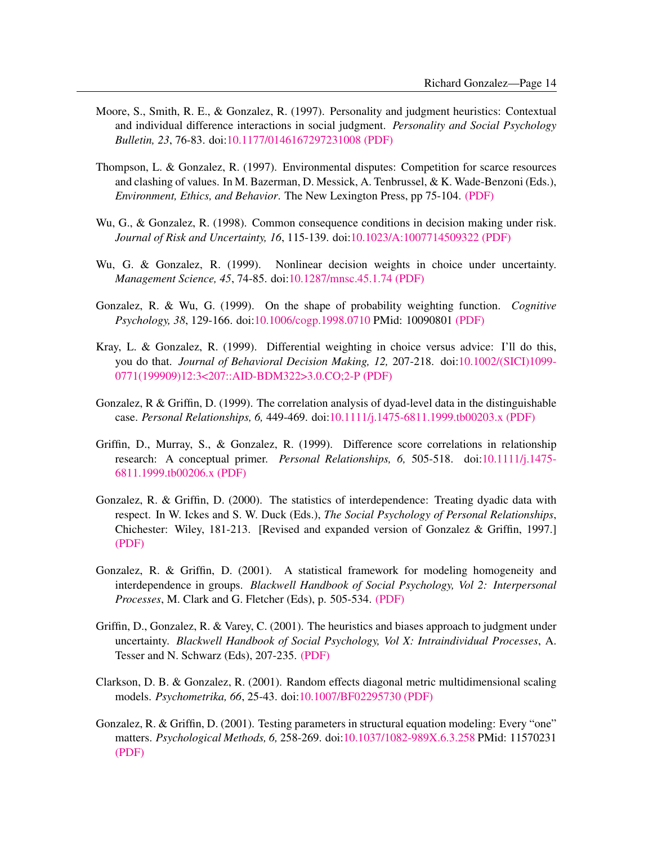- Moore, S., Smith, R. E., & Gonzalez, R. (1997). Personality and judgment heuristics: Contextual and individual difference interactions in social judgment. *Personality and Social Psychology Bulletin, 23*, 76-83. doi[:10.1177/0146167297231008](http://dx.doi.org/10.1177/0146167297231008) [\(PDF\)](http://www.umich.edu/~gonzo/papers/mooreetal.pdf)
- Thompson, L. & Gonzalez, R. (1997). Environmental disputes: Competition for scarce resources and clashing of values. In M. Bazerman, D. Messick, A. Tenbrussel, & K. Wade-Benzoni (Eds.), *Environment, Ethics, and Behavior*. The New Lexington Press, pp 75-104. [\(PDF\)](http://www.umich.edu/~gonzo/papers/leigh.pdf)
- Wu, G., & Gonzalez, R. (1998). Common consequence conditions in decision making under risk. *Journal of Risk and Uncertainty, 16*, 115-139. doi[:10.1023/A:1007714509322](http://dx.doi.org/10.1023/A:1007714509322) [\(PDF\)](http://www.umich.edu/~gonzo/papers/comm_cons.pdf)
- Wu, G. & Gonzalez, R. (1999). Nonlinear decision weights in choice under uncertainty. *Management Science, 45*, 74-85. doi[:10.1287/mnsc.45.1.74](http://dx.doi.org/10.1287/mnsc.45.1.74) [\(PDF\)](http://www.umich.edu/~gonzo/papers/uncertainty.pdf)
- Gonzalez, R. & Wu, G. (1999). On the shape of probability weighting function. *Cognitive Psychology, 38*, 129-166. doi[:10.1006/cogp.1998.0710](http://dx.doi.org/10.1006/cogp.1998.0710) PMid: 10090801 [\(PDF\)](http://www.umich.edu/~gonzo/papers/shapewf.pdf)
- Kray, L. & Gonzalez, R. (1999). Differential weighting in choice versus advice: I'll do this, you do that. *Journal of Behavioral Decision Making, 12,* 207-218. doi[:10.1002/\(SICI\)1099-](http://dx.doi.org/10.1002/(SICI)1099-0771(199909)12:3%3C207::AID-BDM322%3E3.0.CO;2-P) [0771\(199909\)12:3<207::AID-BDM322>3.0.CO;2-P](http://dx.doi.org/10.1002/(SICI)1099-0771(199909)12:3%3C207::AID-BDM322%3E3.0.CO;2-P) [\(PDF\)](http://www.umich.edu/~gonzo/papers/kraygonzalez.pdf)
- Gonzalez, R & Griffin, D. (1999). The correlation analysis of dyad-level data in the distinguishable case. *Personal Relationships, 6,* 449-469. doi[:10.1111/j.1475-6811.1999.tb00203.x](http://dx.doi.org/10.1111/j.1475-6811.1999.tb00203.x) [\(PDF\)](http://www.umich.edu/~gonzo/papers/dist.pdf)
- Griffin, D., Murray, S., & Gonzalez, R. (1999). Difference score correlations in relationship research: A conceptual primer. *Personal Relationships, 6,* 505-518. doi[:10.1111/j.1475-](http://dx.doi.org/10.1111/j.1475-6811.1999.tb00206.x) [6811.1999.tb00206.x](http://dx.doi.org/10.1111/j.1475-6811.1999.tb00206.x) [\(PDF\)](http://www.umich.edu/~gonzo/papers/diffscore.pdf)
- Gonzalez, R. & Griffin, D. (2000). The statistics of interdependence: Treating dyadic data with respect. In W. Ickes and S. W. Duck (Eds.), *The Social Psychology of Personal Relationships*, Chichester: Wiley, 181-213. [Revised and expanded version of Gonzalez & Griffin, 1997.] [\(PDF\)](http://www.umich.edu/~gonzo/papers/duckch2.pdf)
- Gonzalez, R. & Griffin, D. (2001). A statistical framework for modeling homogeneity and interdependence in groups. *Blackwell Handbook of Social Psychology, Vol 2: Interpersonal Processes*, M. Clark and G. Fletcher (Eds), p. 505-534. [\(PDF\)](http://www.umich.edu/~gonzo/papers/groupch.pdf)
- Griffin, D., Gonzalez, R. & Varey, C. (2001). The heuristics and biases approach to judgment under uncertainty. *Blackwell Handbook of Social Psychology, Vol X: Intraindividual Processes*, A. Tesser and N. Schwarz (Eds), 207-235. [\(PDF\)](http://www.umich.edu/~gonzo/papers/heuristics-clean.pdf)
- Clarkson, D. B. & Gonzalez, R. (2001). Random effects diagonal metric multidimensional scaling models. *Psychometrika, 66*, 25-43. doi[:10.1007/BF02295730](http://dx.doi.org/10.1007/BF02295730) [\(PDF\)](http://www.umich.edu/~gonzo/papers/clarkson.pdf)
- Gonzalez, R. & Griffin, D. (2001). Testing parameters in structural equation modeling: Every "one" matters. *Psychological Methods, 6,* 258-269. doi[:10.1037/1082-989X.6.3.258](http://dx.doi.org/10.1037/1082-989X.6.3.258) PMid: 11570231 [\(PDF\)](http://www.umich.edu/~gonzo/papers/sem.pdf)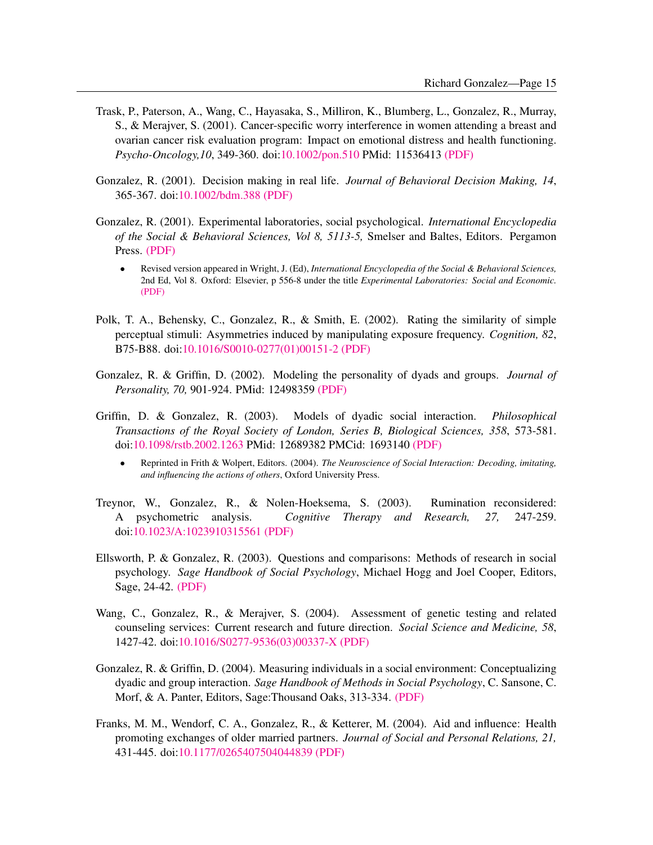- Trask, P., Paterson, A., Wang, C., Hayasaka, S., Milliron, K., Blumberg, L., Gonzalez, R., Murray, S., & Merajver, S. (2001). Cancer-specific worry interference in women attending a breast and ovarian cancer risk evaluation program: Impact on emotional distress and health functioning. *Psycho-Oncology,10*, 349-360. doi[:10.1002/pon.510](http://dx.doi.org/10.1002/pon.510) PMid: 11536413 [\(PDF\)](http://www.umich.edu/~gonzo/papers/trasketl.pdf)
- Gonzalez, R. (2001). Decision making in real life. *Journal of Behavioral Decision Making, 14*, 365-367. doi[:10.1002/bdm.388](http://dx.doi.org/10.1002/bdm.388) [\(PDF\)](http://www.umich.edu/~gonzo/papers/gonzondm.pdf)
- Gonzalez, R. (2001). Experimental laboratories, social psychological. *International Encyclopedia of the Social & Behavioral Sciences, Vol 8, 5113-5,* Smelser and Baltes, Editors. Pergamon Press. [\(PDF\)](http://www.umich.edu/~gonzo/papers/labs.pdf)
	- Revised version appeared in Wright, J. (Ed), *International Encyclopedia of the Social & Behavioral Sciences,* 2nd Ed, Vol 8. Oxford: Elsevier, p 556-8 under the title *Experimental Laboratories: Social and Economic.* [\(PDF\)](http://www.umich.edu/~gonzo/papers/labs-v2.pdf)
- Polk, T. A., Behensky, C., Gonzalez, R., & Smith, E. (2002). Rating the similarity of simple perceptual stimuli: Asymmetries induced by manipulating exposure frequency. *Cognition, 82*, B75-B88. doi[:10.1016/S0010-0277\(01\)00151-2](http://dx.doi.org/10.1016/S0010-0277(01)00151-2) [\(PDF\)](http://www.umich.edu/~gonzo/papers/thad.pdf)
- Gonzalez, R. & Griffin, D. (2002). Modeling the personality of dyads and groups. *Journal of Personality, 70,* 901-924. PMid: 12498359 [\(PDF\)](http://www.umich.edu/~gonzo/papers/persdyads.pdf)
- Griffin, D. & Gonzalez, R. (2003). Models of dyadic social interaction. *Philosophical Transactions of the Royal Society of London, Series B, Biological Sciences, 358*, 573-581. doi[:10.1098/rstb.2002.1263](http://dx.doi.org/10.1098/rstb.2002.1263) PMid: 12689382 PMCid: 1693140 [\(PDF\)](http://www.umich.edu/~gonzo/papers/royalsoc.pdf)
	- Reprinted in Frith & Wolpert, Editors. (2004). *The Neuroscience of Social Interaction: Decoding, imitating, and influencing the actions of others*, Oxford University Press.
- Treynor, W., Gonzalez, R., & Nolen-Hoeksema, S. (2003). Rumination reconsidered: A psychometric analysis. *Cognitive Therapy and Research, 27,* 247-259. doi[:10.1023/A:1023910315561](http://dx.doi.org/10.1023/A:1023910315561) [\(PDF\)](http://www.umich.edu/~gonzo/papers/treynor-rumination.pdf)
- Ellsworth, P. & Gonzalez, R. (2003). Questions and comparisons: Methods of research in social psychology. *Sage Handbook of Social Psychology*, Michael Hogg and Joel Cooper, Editors, Sage, 24-42. [\(PDF\)](http://www.umich.edu/~gonzo/papers/phoebe-sagech.pdf)
- Wang, C., Gonzalez, R., & Merajver, S. (2004). Assessment of genetic testing and related counseling services: Current research and future direction. *Social Science and Medicine, 58*, 1427-42. doi[:10.1016/S0277-9536\(03\)00337-X](http://dx.doi.org/10.1016/S0277-9536(03)00337-X) [\(PDF\)](http://www.umich.edu/~gonzo/papers/wang-2004.pdf)
- Gonzalez, R. & Griffin, D. (2004). Measuring individuals in a social environment: Conceptualizing dyadic and group interaction. *Sage Handbook of Methods in Social Psychology*, C. Sansone, C. Morf, & A. Panter, Editors, Sage:Thousand Oaks, 313-334. [\(PDF\)](http://www.umich.edu/~gonzo/papers/gonzalez-griffin-methodshb.pdf)
- Franks, M. M., Wendorf, C. A., Gonzalez, R., & Ketterer, M. (2004). Aid and influence: Health promoting exchanges of older married partners. *Journal of Social and Personal Relations, 21,* 431-445. doi[:10.1177/0265407504044839](http://dx.doi.org/10.1177/0265407504044839) [\(PDF\)](http://www.umich.edu/~gonzo/papers/franks-2004.pdf)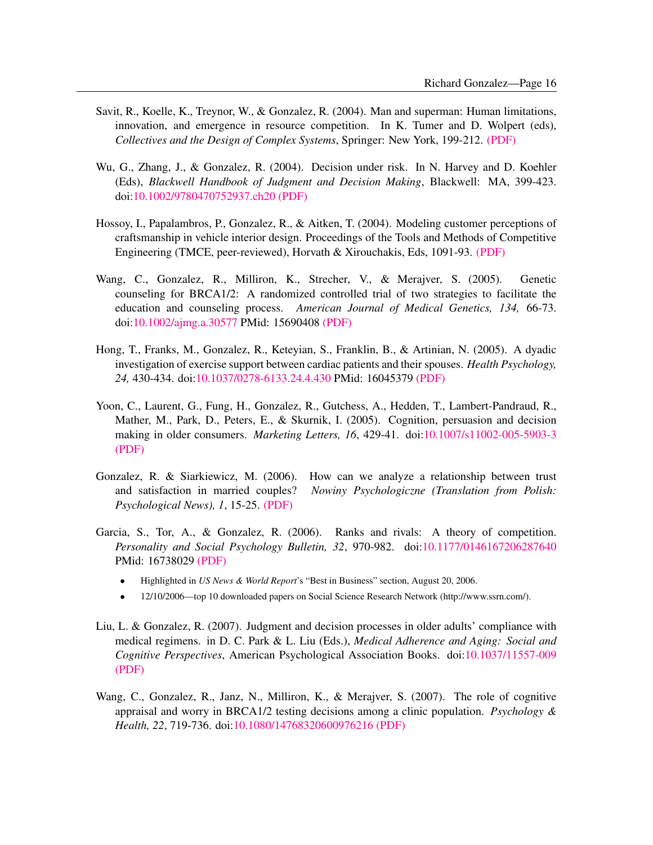- Savit, R., Koelle, K., Treynor, W., & Gonzalez, R. (2004). Man and superman: Human limitations, innovation, and emergence in resource competition. In K. Tumer and D. Wolpert (eds), *Collectives and the Design of Complex Systems*, Springer: New York, 199-212. [\(PDF\)](http://www.umich.edu/~gonzo/papers/Savit-etalch.pdf)
- Wu, G., Zhang, J., & Gonzalez, R. (2004). Decision under risk. In N. Harvey and D. Koehler (Eds), *Blackwell Handbook of Judgment and Decision Making*, Blackwell: MA, 399-423. doi[:10.1002/9780470752937.ch20](http://dx.doi.org/10.1002/9780470752937.ch20) [\(PDF\)](http://www.umich.edu/~gonzo/papers/wu-etal-ch.pdf)
- Hossoy, I., Papalambros, P., Gonzalez, R., & Aitken, T. (2004). Modeling customer perceptions of craftsmanship in vehicle interior design. Proceedings of the Tools and Methods of Competitive Engineering (TMCE, peer-reviewed), Horvath & Xirouchakis, Eds, 1091-93. [\(PDF\)](http://www.umich.edu/~gonzo/papers/hossoy-etal-2004.pdf)
- Wang, C., Gonzalez, R., Milliron, K., Strecher, V., & Merajver, S. (2005). Genetic counseling for BRCA1/2: A randomized controlled trial of two strategies to facilitate the education and counseling process. *American Journal of Medical Genetics, 134,* 66-73. doi[:10.1002/ajmg.a.30577](http://dx.doi.org/10.1002/ajmg.a.30577) PMid: 15690408 [\(PDF\)](http://www.umich.edu/~gonzo/papers/Wang-etal-2005.pdf)
- Hong, T., Franks, M., Gonzalez, R., Keteyian, S., Franklin, B., & Artinian, N. (2005). A dyadic investigation of exercise support between cardiac patients and their spouses. *Health Psychology, 24,* 430-434. doi[:10.1037/0278-6133.24.4.430](http://dx.doi.org/10.1037/0278-6133.24.4.430) PMid: 16045379 [\(PDF\)](http://www.umich.edu/~gonzo/papers/hongetal-exercise-2005.pdf)
- Yoon, C., Laurent, G., Fung, H., Gonzalez, R., Gutchess, A., Hedden, T., Lambert-Pandraud, R., Mather, M., Park, D., Peters, E., & Skurnik, I. (2005). Cognition, persuasion and decision making in older consumers. *Marketing Letters, 16*, 429-41. doi[:10.1007/s11002-005-5903-3](http://dx.doi.org/10.1007/s11002-005-5903-3) [\(PDF\)](http://www.umich.edu/~gonzo/papers/yoonetal-2005.pdf)
- Gonzalez, R. & Siarkiewicz, M. (2006). How can we analyze a relationship between trust and satisfaction in married couples? *Nowiny Psychologiczne (Translation from Polish: Psychological News), 1*, 15-25. [\(PDF\)](http://www.umich.edu/~gonzo/papers/Gonzalez-polish.pdf)
- Garcia, S., Tor, A., & Gonzalez, R. (2006). Ranks and rivals: A theory of competition. *Personality and Social Psychology Bulletin, 32*, 970-982. doi[:10.1177/0146167206287640](http://dx.doi.org/10.1177/0146167206287640) PMid: 16738029 [\(PDF\)](http://www.umich.edu/~gonzo/papers/garcia-etal-2006.pdf)
	- Highlighted in *US News & World Report*'s "Best in Business" section, August 20, 2006.
	- 12/10/2006—top 10 downloaded papers on Social Science Research Network (http://www.ssrn.com/).
- Liu, L. & Gonzalez, R. (2007). Judgment and decision processes in older adults' compliance with medical regimens. in D. C. Park & L. Liu (Eds.), *Medical Adherence and Aging: Social and Cognitive Perspectives*, American Psychological Association Books. doi[:10.1037/11557-009](http://dx.doi.org/10.1037/11557-009) [\(PDF\)](http://www.umich.edu/~gonzo/papers/liu-gonzalez-2007.pdf)
- Wang, C., Gonzalez, R., Janz, N., Milliron, K., & Merajver, S. (2007). The role of cognitive appraisal and worry in BRCA1/2 testing decisions among a clinic population. *Psychology & Health, 22*, 719-736. doi[:10.1080/14768320600976216](http://dx.doi.org/10.1080/14768320600976216) [\(PDF\)](http://www.umich.edu/~gonzo/papers/wang-etal-2007.pdf)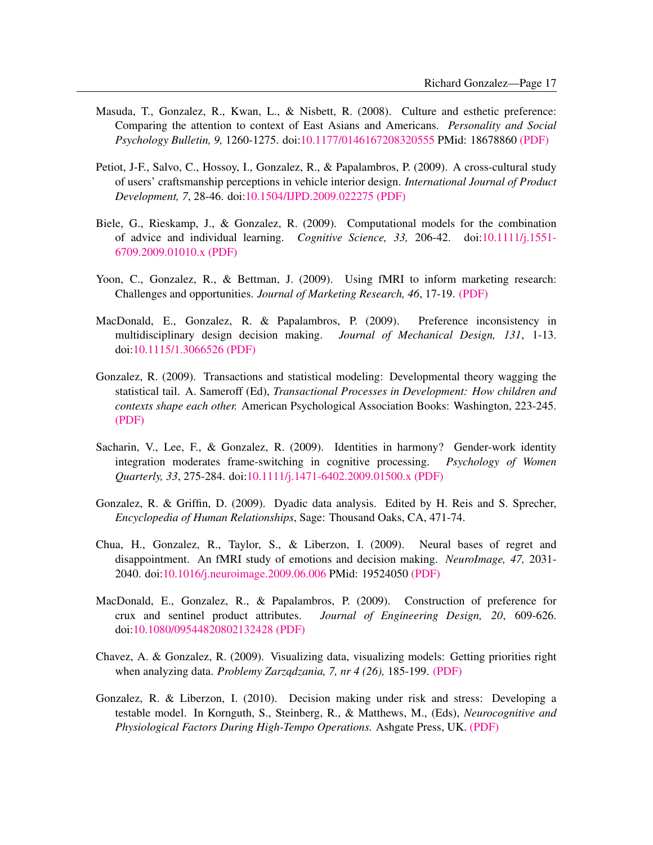- Masuda, T., Gonzalez, R., Kwan, L., & Nisbett, R. (2008). Culture and esthetic preference: Comparing the attention to context of East Asians and Americans. *Personality and Social Psychology Bulletin, 9,* 1260-1275. doi[:10.1177/0146167208320555](http://dx.doi.org/10.1177/0146167208320555) PMid: 18678860 [\(PDF\)](http://www.umich.edu/~gonzo/papers/masuda-etal-2008.pdf)
- Petiot, J-F., Salvo, C., Hossoy, I., Gonzalez, R., & Papalambros, P. (2009). A cross-cultural study of users' craftsmanship perceptions in vehicle interior design. *International Journal of Product Development, 7*, 28-46. doi[:10.1504/IJPD.2009.022275](http://dx.doi.org/10.1504/IJPD.2009.022275) [\(PDF\)](http://www.umich.edu/~gonzo/papers/petiot-etal-2009.pdf)
- Biele, G., Rieskamp, J., & Gonzalez, R. (2009). Computational models for the combination of advice and individual learning. *Cognitive Science, 33,* 206-42. doi[:10.1111/j.1551-](http://dx.doi.org/10.1111/j.1551-6709.2009.01010.x) [6709.2009.01010.x](http://dx.doi.org/10.1111/j.1551-6709.2009.01010.x) [\(PDF\)](http://www.umich.edu/~gonzo/papers/biele-2009-advice.pdf)
- Yoon, C., Gonzalez, R., & Bettman, J. (2009). Using fMRI to inform marketing research: Challenges and opportunities. *Journal of Marketing Research, 46*, 17-19. [\(PDF\)](http://www.umich.edu/~gonzo/papers/yoonetal-2009-fmri.pdf)
- MacDonald, E., Gonzalez, R. & Papalambros, P. (2009). Preference inconsistency in multidisciplinary design decision making. *Journal of Mechanical Design, 131*, 1-13. doi[:10.1115/1.3066526](http://dx.doi.org/10.1115/1.3066526) [\(PDF\)](http://www.umich.edu/~gonzo/papers/macdonald-2009-preference-inconsistency.pdf)
- Gonzalez, R. (2009). Transactions and statistical modeling: Developmental theory wagging the statistical tail. A. Sameroff (Ed), *Transactional Processes in Development: How children and contexts shape each other.* American Psychological Association Books: Washington, 223-245. [\(PDF\)](http://www.umich.edu/~gonzo/papers/gonzalez-transactional-wagging-2009-ch.PDF)
- Sacharin, V., Lee, F., & Gonzalez, R. (2009). Identities in harmony? Gender-work identity integration moderates frame-switching in cognitive processing. *Psychology of Women Quarterly, 33*, 275-284. doi[:10.1111/j.1471-6402.2009.01500.x](http://dx.doi.org/10.1111/j.1471-6402.2009.01500.x) [\(PDF\)](http://www.umich.edu/~gonzo/papers/sacharin-etal-2009-identities.pdf)
- Gonzalez, R. & Griffin, D. (2009). Dyadic data analysis. Edited by H. Reis and S. Sprecher, *Encyclopedia of Human Relationships*, Sage: Thousand Oaks, CA, 471-74.
- Chua, H., Gonzalez, R., Taylor, S., & Liberzon, I. (2009). Neural bases of regret and disappointment. An fMRI study of emotions and decision making. *NeuroImage, 47,* 2031- 2040. doi[:10.1016/j.neuroimage.2009.06.006](http://dx.doi.org/10.1016/j.neuroimage.2009.06.006) PMid: 19524050 [\(PDF\)](http://www.umich.edu/~gonzo/papers/chua-etal-2009-regret.PDF)
- MacDonald, E., Gonzalez, R., & Papalambros, P. (2009). Construction of preference for crux and sentinel product attributes. *Journal of Engineering Design, 20*, 609-626. doi[:10.1080/09544820802132428](http://dx.doi.org/10.1080/09544820802132428) [\(PDF\)](http://www.umich.edu/~gonzo/papers/macdonald-2009-crux.pdf)
- Chavez, A. & Gonzalez, R. (2009). Visualizing data, visualizing models: Getting priorities right when analyzing data. *Problemy Zarządzania, 7, nr 4 (26)*, 185-199. [\(PDF\)](http://www.umich.edu/~gonzo/papers/Chavez-Gonzalez.pdf)
- Gonzalez, R. & Liberzon, I. (2010). Decision making under risk and stress: Developing a testable model. In Kornguth, S., Steinberg, R., & Matthews, M., (Eds), *Neurocognitive and Physiological Factors During High-Tempo Operations.* Ashgate Press, UK. [\(PDF\)](http://www.umich.edu/~gonzo/papers/gonzalez-liberzon-ch-stress.pdf)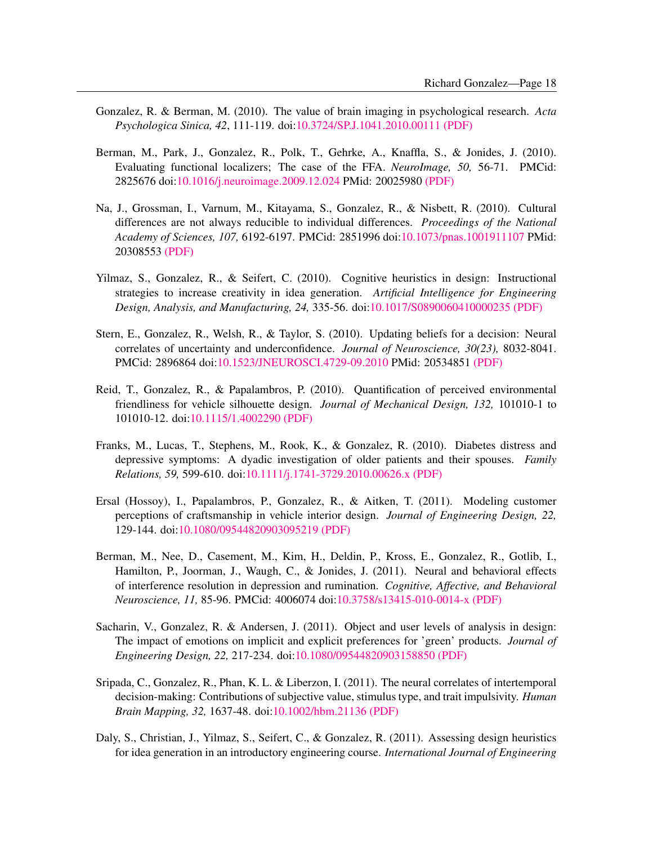- Gonzalez, R. & Berman, M. (2010). The value of brain imaging in psychological research. *Acta Psychologica Sinica, 42*, 111-119. doi[:10.3724/SP.J.1041.2010.00111](http://dx.doi.org/10.3724/SP.J.1041.2010.00111) [\(PDF\)](http://www.umich.edu/~gonzo/papers/gonzalez-berman.pdf)
- Berman, M., Park, J., Gonzalez, R., Polk, T., Gehrke, A., Knaffla, S., & Jonides, J. (2010). Evaluating functional localizers; The case of the FFA. *NeuroImage, 50,* 56-71. PMCid: 2825676 doi[:10.1016/j.neuroimage.2009.12.024](http://dx.doi.org/10.1016/j.neuroimage.2009.12.024) PMid: 20025980 [\(PDF\)](http://www.umich.edu/~gonzo/papers/Berman-etal-2010-localizer.pdf)
- Na, J., Grossman, I., Varnum, M., Kitayama, S., Gonzalez, R., & Nisbett, R. (2010). Cultural differences are not always reducible to individual differences. *Proceedings of the National Academy of Sciences, 107,* 6192-6197. PMCid: 2851996 doi[:10.1073/pnas.1001911107](http://dx.doi.org/10.1073/pnas.1001911107) PMid: 20308553 [\(PDF\)](http://www.umich.edu/~gonzo/papers/na-etal-2010-cultural-differences.pdf)
- Yilmaz, S., Gonzalez, R., & Seifert, C. (2010). Cognitive heuristics in design: Instructional strategies to increase creativity in idea generation. *Artificial Intelligence for Engineering Design, Analysis, and Manufacturing, 24,* 335-56. doi[:10.1017/S0890060410000235](http://dx.doi.org/10.1017/S0890060410000235) [\(PDF\)](http://www.umich.edu/~gonzo/papers/yilmaz-etal-2010.pdf)
- Stern, E., Gonzalez, R., Welsh, R., & Taylor, S. (2010). Updating beliefs for a decision: Neural correlates of uncertainty and underconfidence. *Journal of Neuroscience, 30(23),* 8032-8041. PMCid: 2896864 doi[:10.1523/JNEUROSCI.4729-09.2010](http://dx.doi.org/10.1523/JNEUROSCI.4729-09.2010) PMid: 20534851 [\(PDF\)](http://www.umich.edu/~gonzo/papers/stern-etal-2010-beliefs-fmri.pdf)
- Reid, T., Gonzalez, R., & Papalambros, P. (2010). Quantification of perceived environmental friendliness for vehicle silhouette design. *Journal of Mechanical Design, 132,* 101010-1 to 101010-12. doi[:10.1115/1.4002290](http://dx.doi.org/10.1115/1.4002290) [\(PDF\)](http://www.umich.edu/~gonzo/papers/reid-etal-2010-PEF-design.pdf)
- Franks, M., Lucas, T., Stephens, M., Rook, K., & Gonzalez, R. (2010). Diabetes distress and depressive symptoms: A dyadic investigation of older patients and their spouses. *Family Relations, 59,* 599-610. doi[:10.1111/j.1741-3729.2010.00626.x](http://dx.doi.org/10.1111/j.1741-3729.2010.00626.x) [\(PDF\)](http://www.umich.edu/~gonzo/papers/franks-etal-2010-diabetes-distress.pdf)
- Ersal (Hossoy), I., Papalambros, P., Gonzalez, R., & Aitken, T. (2011). Modeling customer perceptions of craftsmanship in vehicle interior design. *Journal of Engineering Design, 22,* 129-144. doi[:10.1080/09544820903095219](http://dx.doi.org/10.1080/09544820903095219) [\(PDF\)](http://www.umich.edu/~gonzo/papers/ersal-etal-2011-craftsmanship.pdf)
- Berman, M., Nee, D., Casement, M., Kim, H., Deldin, P., Kross, E., Gonzalez, R., Gotlib, I., Hamilton, P., Joorman, J., Waugh, C., & Jonides, J. (2011). Neural and behavioral effects of interference resolution in depression and rumination. *Cognitive, Affective, and Behavioral Neuroscience, 11,* 85-96. PMCid: 4006074 doi[:10.3758/s13415-010-0014-x](http://dx.doi.org/10.3758/s13415-010-0014-x) [\(PDF\)](http://www.umich.edu/~gonzo/papers/berman-etal-2011.pdf)
- Sacharin, V., Gonzalez, R. & Andersen, J. (2011). Object and user levels of analysis in design: The impact of emotions on implicit and explicit preferences for 'green' products. *Journal of Engineering Design, 22,* 217-234. doi[:10.1080/09544820903158850](http://dx.doi.org/10.1080/09544820903158850) [\(PDF\)](http://www.umich.edu/~gonzo/papers/sacharin-etal-2011-JofEngDes.pdf)
- Sripada, C., Gonzalez, R., Phan, K. L. & Liberzon, I. (2011). The neural correlates of intertemporal decision-making: Contributions of subjective value, stimulus type, and trait impulsivity. *Human Brain Mapping, 32,* 1637-48. doi[:10.1002/hbm.21136](http://dx.doi.org/10.1002/hbm.21136) [\(PDF\)](http://www.umich.edu/~gonzo/papers/sripada-etal-2011.pdf)
- Daly, S., Christian, J., Yilmaz, S., Seifert, C., & Gonzalez, R. (2011). Assessing design heuristics for idea generation in an introductory engineering course. *International Journal of Engineering*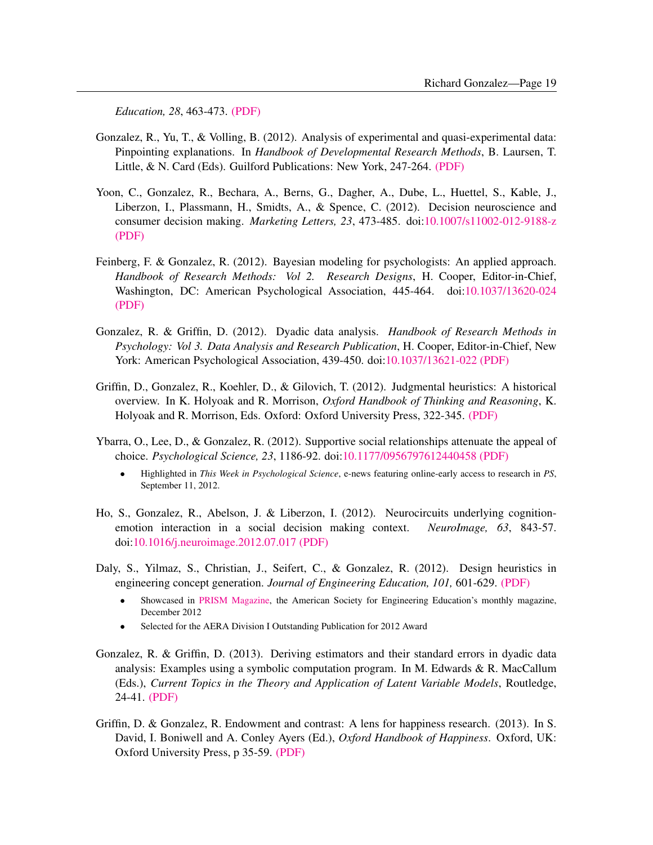*Education, 28*, 463-473. [\(PDF\)](http://www.umich.edu/~gonzo/papers/daly-etal-2012-intro-engin-course.pdf)

- Gonzalez, R., Yu, T., & Volling, B. (2012). Analysis of experimental and quasi-experimental data: Pinpointing explanations. In *Handbook of Developmental Research Methods*, B. Laursen, T. Little, & N. Card (Eds). Guilford Publications: New York, 247-264. [\(PDF\)](http://www-personal.umich.edu/~gonzo/papers/gonzalez-etal-2011-quasi-experimental.pdf)
- Yoon, C., Gonzalez, R., Bechara, A., Berns, G., Dagher, A., Dube, L., Huettel, S., Kable, J., Liberzon, I., Plassmann, H., Smidts, A., & Spence, C. (2012). Decision neuroscience and consumer decision making. *Marketing Letters, 23*, 473-485. doi[:10.1007/s11002-012-9188-z](http://dx.doi.org/10.1007/s11002-012-9188-z) [\(PDF\)](http://www.umich.edu/~gonzo/papers/yoon-etal-2012-decision-neuroscience.pdf)
- Feinberg, F. & Gonzalez, R. (2012). Bayesian modeling for psychologists: An applied approach. *Handbook of Research Methods: Vol 2. Research Designs*, H. Cooper, Editor-in-Chief, Washington, DC: American Psychological Association, 445-464. doi[:10.1037/13620-024](http://dx.doi.org/10.1037/13620-024) [\(PDF\)](http://www.umich.edu/~gonzo/papers/feinberg-gonzalez-2012-bayesian.pdf)
- Gonzalez, R. & Griffin, D. (2012). Dyadic data analysis. *Handbook of Research Methods in Psychology: Vol 3. Data Analysis and Research Publication*, H. Cooper, Editor-in-Chief, New York: American Psychological Association, 439-450. doi[:10.1037/13621-022](http://dx.doi.org/10.1037/13621-022) [\(PDF\)](http://www.umich.edu/~gonzo/papers/gonzalez-griffin-2012-dyadic-ch.pdf)
- Griffin, D., Gonzalez, R., Koehler, D., & Gilovich, T. (2012). Judgmental heuristics: A historical overview. In K. Holyoak and R. Morrison, *Oxford Handbook of Thinking and Reasoning*, K. Holyoak and R. Morrison, Eds. Oxford: Oxford University Press, 322-345. [\(PDF\)](http://www.umich.edu/~gonzo/papers/griffin-etal-2012-heuristics.pdf)
- Ybarra, O., Lee, D., & Gonzalez, R. (2012). Supportive social relationships attenuate the appeal of choice. *Psychological Science, 23*, 1186-92. doi[:10.1177/0956797612440458](http://dx.doi.org/10.1177/0956797612440458) [\(PDF\)](http://www.umich.edu/~gonzo/papers/ybarra-etal-2012-supportive.pdf)
	- Highlighted in *This Week in Psychological Science*, e-news featuring online-early access to research in *PS*, September 11, 2012.
- Ho, S., Gonzalez, R., Abelson, J. & Liberzon, I. (2012). Neurocircuits underlying cognitionemotion interaction in a social decision making context. *NeuroImage, 63*, 843-57. doi[:10.1016/j.neuroimage.2012.07.017](http://dx.doi.org/10.1016/j.neuroimage.2012.07.017) [\(PDF\)](http://www.umich.edu/~gonzo/papers/ho-etal-2012.pdf)
- Daly, S., Yilmaz, S., Christian, J., Seifert, C., & Gonzalez, R. (2012). Design heuristics in engineering concept generation. *Journal of Engineering Education, 101,* 601-629. [\(PDF\)](http://www.umich.edu/~gonzo/papers/daly-etal-2012-design-heuristics.pdf)
	- Showcased in [PRISM Magazine,](http://www.prism-magazine.org/dec12/tt_02.cfm) the American Society for Engineering Education's monthly magazine, December 2012
	- Selected for the AERA Division I Outstanding Publication for 2012 Award
- Gonzalez, R. & Griffin, D. (2013). Deriving estimators and their standard errors in dyadic data analysis: Examples using a symbolic computation program. In M. Edwards  $\&$  R. MacCallum (Eds.), *Current Topics in the Theory and Application of Latent Variable Models*, Routledge, 24-41. [\(PDF\)](http://www.umich.edu/~gonzo/papers/gonzalez-griffin-2012-standard-error-chapter.pdf)
- Griffin, D. & Gonzalez, R. Endowment and contrast: A lens for happiness research. (2013). In S. David, I. Boniwell and A. Conley Ayers (Ed.), *Oxford Handbook of Happiness*. Oxford, UK: Oxford University Press, p 35-59. [\(PDF\)](http://www.umich.edu/~gonzo/papers/griffin-gonzalez-2013-endowment-contrast.pdf)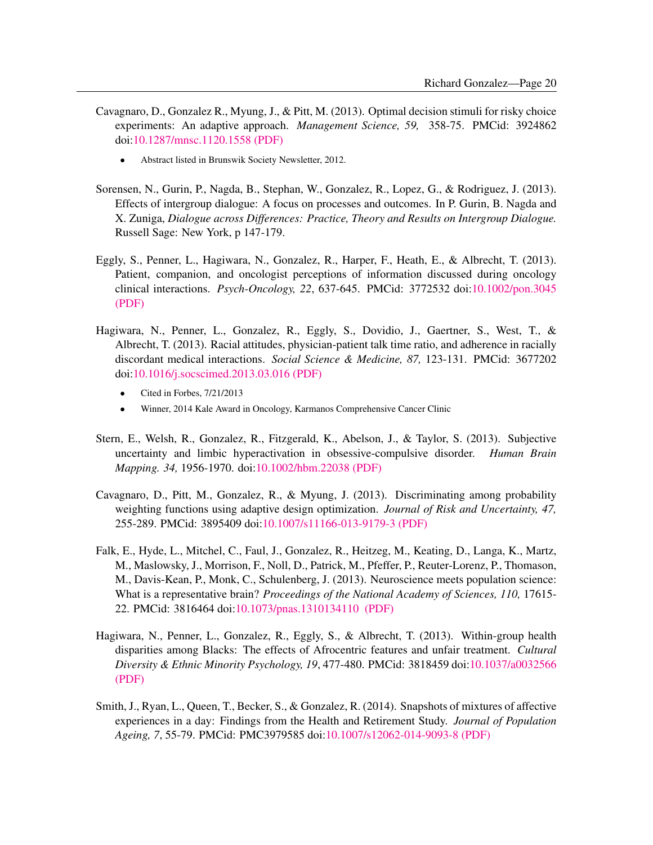- Cavagnaro, D., Gonzalez R., Myung, J., & Pitt, M. (2013). Optimal decision stimuli for risky choice experiments: An adaptive approach. *Management Science, 59,* 358-75. PMCid: 3924862 doi[:10.1287/mnsc.1120.1558](http://dx.doi.org/10.1287/mnsc.1120.1558) [\(PDF\)](http://www.umich.edu/~gonzo/papers/cavagnaro-etal-2013.pdf)
	- Abstract listed in Brunswik Society Newsletter, 2012.
- Sorensen, N., Gurin, P., Nagda, B., Stephan, W., Gonzalez, R., Lopez, G., & Rodriguez, J. (2013). Effects of intergroup dialogue: A focus on processes and outcomes. In P. Gurin, B. Nagda and X. Zuniga, *Dialogue across Differences: Practice, Theory and Results on Intergroup Dialogue.* Russell Sage: New York, p 147-179.
- Eggly, S., Penner, L., Hagiwara, N., Gonzalez, R., Harper, F., Heath, E., & Albrecht, T. (2013). Patient, companion, and oncologist perceptions of information discussed during oncology clinical interactions. *Psych-Oncology, 22*, 637-645. PMCid: 3772532 doi[:10.1002/pon.3045](http://dx.doi.org/10.1002/pon.3045) [\(PDF\)](http://www.umich.edu/~gonzo/papers/eggly-etal-2013-patients-companions.pdf)
- Hagiwara, N., Penner, L., Gonzalez, R., Eggly, S., Dovidio, J., Gaertner, S., West, T., & Albrecht, T. (2013). Racial attitudes, physician-patient talk time ratio, and adherence in racially discordant medical interactions. *Social Science & Medicine, 87,* 123-131. PMCid: 3677202 doi[:10.1016/j.socscimed.2013.03.016](http://dx.doi.org/10.1016/j.socscimed.2013.03.016) [\(PDF\)](http://www.umich.edu/~gonzo/papers/hagiwara-etal-talk-time-ratio-2013.pdf)
	- Cited in Forbes, 7/21/2013
	- Winner, 2014 Kale Award in Oncology, Karmanos Comprehensive Cancer Clinic
- Stern, E., Welsh, R., Gonzalez, R., Fitzgerald, K., Abelson, J., & Taylor, S. (2013). Subjective uncertainty and limbic hyperactivation in obsessive-compulsive disorder. *Human Brain Mapping. 34,* 1956-1970. doi[:10.1002/hbm.22038](http://dx.doi.org/10.1002/hbm.22038) [\(PDF\)](http://www.umich.edu/~gonzo/papers/stern-etal2.pdf)
- Cavagnaro, D., Pitt, M., Gonzalez, R., & Myung, J. (2013). Discriminating among probability weighting functions using adaptive design optimization. *Journal of Risk and Uncertainty, 47,* 255-289. PMCid: 3895409 doi[:10.1007/s11166-013-9179-3](http://dx.doi.org/10.1007/s11166-013-9179-3) [\(PDF\)](http://www.umich.edu/~gonzo/papers/cavagnaro-etal-2013-weighting-function-ADO.pdf)
- Falk, E., Hyde, L., Mitchel, C., Faul, J., Gonzalez, R., Heitzeg, M., Keating, D., Langa, K., Martz, M., Maslowsky, J., Morrison, F., Noll, D., Patrick, M., Pfeffer, P., Reuter-Lorenz, P., Thomason, M., Davis-Kean, P., Monk, C., Schulenberg, J. (2013). Neuroscience meets population science: What is a representative brain? *Proceedings of the National Academy of Sciences, 110,* 17615- 22. PMCid: 3816464 doi[:10.1073/pnas.1310134110](http://dx.doi.org/10.1073/pnas.1310134110 ) [\(PDF\)](http://www.umich.edu/~gonzo/papers/PNAS-2013-Final Paper.pdf)
- Hagiwara, N., Penner, L., Gonzalez, R., Eggly, S., & Albrecht, T. (2013). Within-group health disparities among Blacks: The effects of Afrocentric features and unfair treatment. *Cultural Diversity & Ethnic Minority Psychology, 19*, 477-480. PMCid: 3818459 doi[:10.1037/a0032566](http://dx.doi.org/10.1037/a0032566) [\(PDF\)](http://www.umich.edu/~gonzo/papers/hagiwara-etal-2013-health-disparities.pdf)
- Smith, J., Ryan, L., Queen, T., Becker, S., & Gonzalez, R. (2014). Snapshots of mixtures of affective experiences in a day: Findings from the Health and Retirement Study. *Journal of Population Ageing, 7*, 55-79. PMCid: PMC3979585 doi[:10.1007/s12062-014-9093-8](http://dx.doi.org/10.1007/s12062-014-9093-8) [\(PDF\)](http://www.umich.edu/~gonzo/papers/smith-etal-2014.pdf)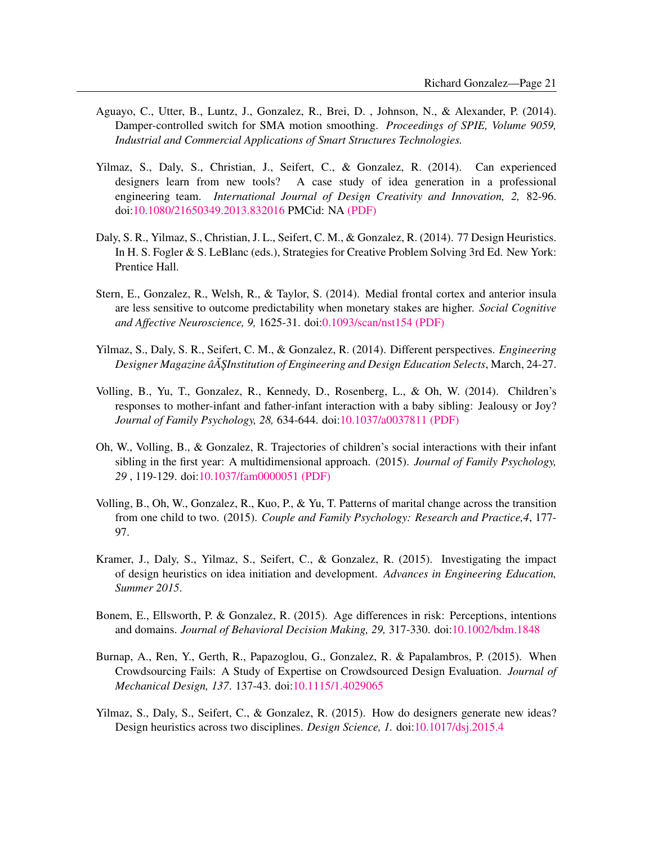- Aguayo, C., Utter, B., Luntz, J., Gonzalez, R., Brei, D. , Johnson, N., & Alexander, P. (2014). Damper-controlled switch for SMA motion smoothing. *Proceedings of SPIE, Volume 9059, Industrial and Commercial Applications of Smart Structures Technologies.*
- Yilmaz, S., Daly, S., Christian, J., Seifert, C., & Gonzalez, R. (2014). Can experienced designers learn from new tools? A case study of idea generation in a professional engineering team. *International Journal of Design Creativity and Innovation, 2,* 82-96. doi[:10.1080/21650349.2013.832016](http://dx.doi.org/10.1080/21650349.2013.832016) PMCid: NA [\(PDF\)](http://www.umich.edu/~gonzo/papers/yilmaz-etal-2014.pdf)
- Daly, S. R., Yilmaz, S., Christian, J. L., Seifert, C. M., & Gonzalez, R. (2014). 77 Design Heuristics. In H. S. Fogler & S. LeBlanc (eds.), Strategies for Creative Problem Solving 3rd Ed. New York: Prentice Hall.
- Stern, E., Gonzalez, R., Welsh, R., & Taylor, S. (2014). Medial frontal cortex and anterior insula are less sensitive to outcome predictability when monetary stakes are higher. *Social Cognitive and Affective Neuroscience, 9,* 1625-31. doi[:0.1093/scan/nst154](http://dx.doi.org/0.1093/scan/nst154) [\(PDF\)](http://www.umich.edu/~gonzo/papers/stern-2014.pdf)
- Yilmaz, S., Daly, S. R., Seifert, C. M., & Gonzalez, R. (2014). Different perspectives. *Engineering Designer Magazine âA ŞInstitution of Engineering and Design Education Selects, March, 24-27.*
- Volling, B., Yu, T., Gonzalez, R., Kennedy, D., Rosenberg, L., & Oh, W. (2014). Children's responses to mother-infant and father-infant interaction with a baby sibling: Jealousy or Joy? *Journal of Family Psychology, 28,* 634-644. doi[:10.1037/a0037811](http://dx.doi.org/10.1037/a0037811) [\(PDF\)](http://www.umich.edu/~gonzo/papers/volling-etal-jealousy.pdf)
- Oh, W., Volling, B., & Gonzalez, R. Trajectories of children's social interactions with their infant sibling in the first year: A multidimensional approach. (2015). *Journal of Family Psychology, 29* , 119-129. doi[:10.1037/fam0000051](http://dx.doi.org/10.1037/fam0000051) [\(PDF\)](http://www.umich.edu/~gonzo/papers/oh-etal-2015-trajectories.pdf)
- Volling, B., Oh, W., Gonzalez, R., Kuo, P., & Yu, T. Patterns of marital change across the transition from one child to two. (2015). *Couple and Family Psychology: Research and Practice,4*, 177- 97.
- Kramer, J., Daly, S., Yilmaz, S., Seifert, C., & Gonzalez, R. (2015). Investigating the impact of design heuristics on idea initiation and development. *Advances in Engineering Education, Summer 2015*.
- Bonem, E., Ellsworth, P. & Gonzalez, R. (2015). Age differences in risk: Perceptions, intentions and domains. *Journal of Behavioral Decision Making, 29,* 317-330. doi[:10.1002/bdm.1848](http://dx.doi.org/10.1002/bdm.1848)
- Burnap, A., Ren, Y., Gerth, R., Papazoglou, G., Gonzalez, R. & Papalambros, P. (2015). When Crowdsourcing Fails: A Study of Expertise on Crowdsourced Design Evaluation. *Journal of Mechanical Design, 137*. 137-43. doi[:10.1115/1.4029065](http://dx.doi.org/10.1115/1.4029065)
- Yilmaz, S., Daly, S., Seifert, C., & Gonzalez, R. (2015). How do designers generate new ideas? Design heuristics across two disciplines. *Design Science, 1.* doi[:10.1017/dsj.2015.4](http://dx.doi.org/10.1017/dsj.2015.4)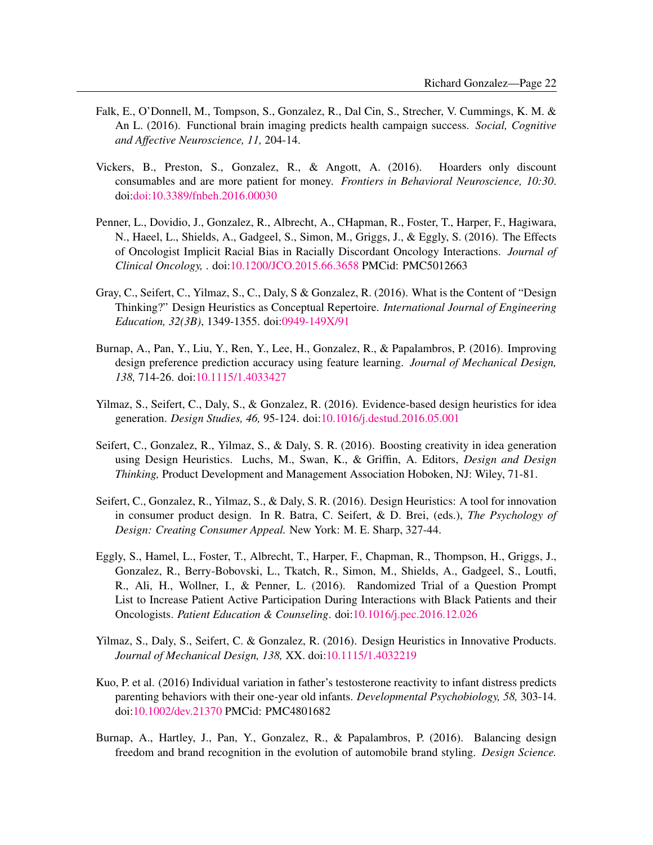- Falk, E., O'Donnell, M., Tompson, S., Gonzalez, R., Dal Cin, S., Strecher, V. Cummings, K. M. & An L. (2016). Functional brain imaging predicts health campaign success. *Social, Cognitive and Affective Neuroscience, 11,* 204-14.
- Vickers, B., Preston, S., Gonzalez, R., & Angott, A. (2016). Hoarders only discount consumables and are more patient for money. *Frontiers in Behavioral Neuroscience, 10:30*. doi[:doi:10.3389/fnbeh.2016.00030](http://dx.doi.org/doi:10.3389/fnbeh.2016.00030)
- Penner, L., Dovidio, J., Gonzalez, R., Albrecht, A., CHapman, R., Foster, T., Harper, F., Hagiwara, N., Haeel, L., Shields, A., Gadgeel, S., Simon, M., Griggs, J., & Eggly, S. (2016). The Effects of Oncologist Implicit Racial Bias in Racially Discordant Oncology Interactions. *Journal of Clinical Oncology,* . doi[:10.1200/JCO.2015.66.3658](http://dx.doi.org/10.1200/JCO.2015.66.3658) PMCid: PMC5012663
- Gray, C., Seifert, C., Yilmaz, S., C., Daly, S & Gonzalez, R. (2016). What is the Content of "Design Thinking?" Design Heuristics as Conceptual Repertoire. *International Journal of Engineering Education, 32(3B)*, 1349-1355. doi[:0949-149X/91](http://dx.doi.org/0949-149X/91)
- Burnap, A., Pan, Y., Liu, Y., Ren, Y., Lee, H., Gonzalez, R., & Papalambros, P. (2016). Improving design preference prediction accuracy using feature learning. *Journal of Mechanical Design, 138,* 714-26. doi[:10.1115/1.4033427](http://dx.doi.org/10.1115/1.4033427)
- Yilmaz, S., Seifert, C., Daly, S., & Gonzalez, R. (2016). Evidence-based design heuristics for idea generation. *Design Studies, 46,* 95-124. doi[:10.1016/j.destud.2016.05.001](http://dx.doi.org/10.1016/j.destud.2016.05.001)
- Seifert, C., Gonzalez, R., Yilmaz, S., & Daly, S. R. (2016). Boosting creativity in idea generation using Design Heuristics. Luchs, M., Swan, K., & Griffin, A. Editors, *Design and Design Thinking,* Product Development and Management Association Hoboken, NJ: Wiley, 71-81.
- Seifert, C., Gonzalez, R., Yilmaz, S., & Daly, S. R. (2016). Design Heuristics: A tool for innovation in consumer product design. In R. Batra, C. Seifert, & D. Brei, (eds.), *The Psychology of Design: Creating Consumer Appeal.* New York: M. E. Sharp, 327-44.
- Eggly, S., Hamel, L., Foster, T., Albrecht, T., Harper, F., Chapman, R., Thompson, H., Griggs, J., Gonzalez, R., Berry-Bobovski, L., Tkatch, R., Simon, M., Shields, A., Gadgeel, S., Loutfi, R., Ali, H., Wollner, I., & Penner, L. (2016). Randomized Trial of a Question Prompt List to Increase Patient Active Participation During Interactions with Black Patients and their Oncologists. *Patient Education & Counseling*. doi[:10.1016/j.pec.2016.12.026](http://dx.doi.org/10.1016/j.pec.2016.12.026)
- Yilmaz, S., Daly, S., Seifert, C. & Gonzalez, R. (2016). Design Heuristics in Innovative Products. *Journal of Mechanical Design, 138,* XX. doi[:10.1115/1.4032219](http://dx.doi.org/10.1115/1.4032219)
- Kuo, P. et al. (2016) Individual variation in father's testosterone reactivity to infant distress predicts parenting behaviors with their one-year old infants. *Developmental Psychobiology, 58,* 303-14. doi[:10.1002/dev.21370](http://dx.doi.org/10.1002/dev.21370) PMCid: PMC4801682
- Burnap, A., Hartley, J., Pan, Y., Gonzalez, R., & Papalambros, P. (2016). Balancing design freedom and brand recognition in the evolution of automobile brand styling. *Design Science.*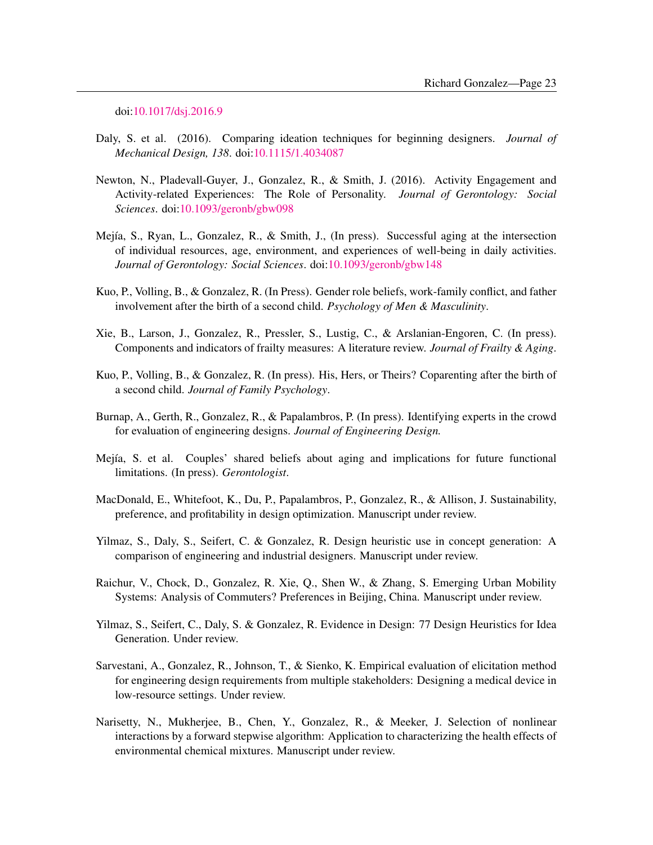doi[:10.1017/dsj.2016.9](http://dx.doi.org/10.1017/dsj.2016.9)

- Daly, S. et al. (2016). Comparing ideation techniques for beginning designers. *Journal of Mechanical Design, 138*. doi[:10.1115/1.4034087](http://dx.doi.org/10.1115/1.4034087)
- Newton, N., Pladevall-Guyer, J., Gonzalez, R., & Smith, J. (2016). Activity Engagement and Activity-related Experiences: The Role of Personality. *Journal of Gerontology: Social Sciences*. doi[:10.1093/geronb/gbw098](http://dx.doi.org/10.1093/geronb/gbw098)
- Mejía, S., Ryan, L., Gonzalez, R., & Smith, J., (In press). Successful aging at the intersection of individual resources, age, environment, and experiences of well-being in daily activities. *Journal of Gerontology: Social Sciences*. doi[:10.1093/geronb/gbw148](http://dx.doi.org/10.1093/geronb/gbw148)
- Kuo, P., Volling, B., & Gonzalez, R. (In Press). Gender role beliefs, work-family conflict, and father involvement after the birth of a second child. *Psychology of Men & Masculinity*.
- Xie, B., Larson, J., Gonzalez, R., Pressler, S., Lustig, C., & Arslanian-Engoren, C. (In press). Components and indicators of frailty measures: A literature review. *Journal of Frailty & Aging*.
- Kuo, P., Volling, B., & Gonzalez, R. (In press). His, Hers, or Theirs? Coparenting after the birth of a second child. *Journal of Family Psychology*.
- Burnap, A., Gerth, R., Gonzalez, R., & Papalambros, P. (In press). Identifying experts in the crowd for evaluation of engineering designs. *Journal of Engineering Design.*
- Mejía, S. et al. Couples' shared beliefs about aging and implications for future functional limitations. (In press). *Gerontologist*.
- MacDonald, E., Whitefoot, K., Du, P., Papalambros, P., Gonzalez, R., & Allison, J. Sustainability, preference, and profitability in design optimization. Manuscript under review.
- Yilmaz, S., Daly, S., Seifert, C. & Gonzalez, R. Design heuristic use in concept generation: A comparison of engineering and industrial designers. Manuscript under review.
- Raichur, V., Chock, D., Gonzalez, R. Xie, Q., Shen W., & Zhang, S. Emerging Urban Mobility Systems: Analysis of Commuters? Preferences in Beijing, China. Manuscript under review.
- Yilmaz, S., Seifert, C., Daly, S. & Gonzalez, R. Evidence in Design: 77 Design Heuristics for Idea Generation. Under review.
- Sarvestani, A., Gonzalez, R., Johnson, T., & Sienko, K. Empirical evaluation of elicitation method for engineering design requirements from multiple stakeholders: Designing a medical device in low-resource settings. Under review.
- Narisetty, N., Mukherjee, B., Chen, Y., Gonzalez, R., & Meeker, J. Selection of nonlinear interactions by a forward stepwise algorithm: Application to characterizing the health effects of environmental chemical mixtures. Manuscript under review.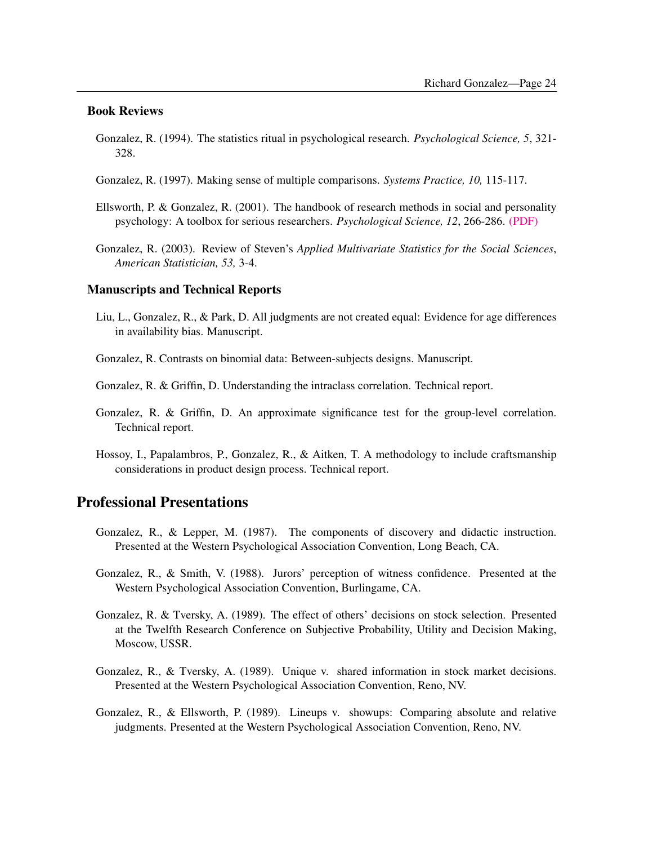#### Book Reviews

- Gonzalez, R. (1994). The statistics ritual in psychological research. *Psychological Science, 5*, 321- 328.
- Gonzalez, R. (1997). Making sense of multiple comparisons. *Systems Practice, 10,* 115-117.
- Ellsworth, P. & Gonzalez, R.  $(2001)$ . The handbook of research methods in social and personality psychology: A toolbox for serious researchers. *Psychological Science, 12*, 266-286. [\(PDF\)](http://www.umich.edu/~gonzo/papers/phoebehandbook.pdf)
- Gonzalez, R. (2003). Review of Steven's *Applied Multivariate Statistics for the Social Sciences*, *American Statistician, 53,* 3-4.

#### Manuscripts and Technical Reports

- Liu, L., Gonzalez, R., & Park, D. All judgments are not created equal: Evidence for age differences in availability bias. Manuscript.
- Gonzalez, R. Contrasts on binomial data: Between-subjects designs. Manuscript.
- Gonzalez, R. & Griffin, D. Understanding the intraclass correlation. Technical report.
- Gonzalez, R. & Griffin, D. An approximate significance test for the group-level correlation. Technical report.
- Hossoy, I., Papalambros, P., Gonzalez, R., & Aitken, T. A methodology to include craftsmanship considerations in product design process. Technical report.

### Professional Presentations

- Gonzalez, R., & Lepper, M. (1987). The components of discovery and didactic instruction. Presented at the Western Psychological Association Convention, Long Beach, CA.
- Gonzalez, R., & Smith, V. (1988). Jurors' perception of witness confidence. Presented at the Western Psychological Association Convention, Burlingame, CA.
- Gonzalez, R. & Tversky, A. (1989). The effect of others' decisions on stock selection. Presented at the Twelfth Research Conference on Subjective Probability, Utility and Decision Making, Moscow, USSR.
- Gonzalez, R., & Tversky, A. (1989). Unique v. shared information in stock market decisions. Presented at the Western Psychological Association Convention, Reno, NV.
- Gonzalez, R., & Ellsworth, P. (1989). Lineups v. showups: Comparing absolute and relative judgments. Presented at the Western Psychological Association Convention, Reno, NV.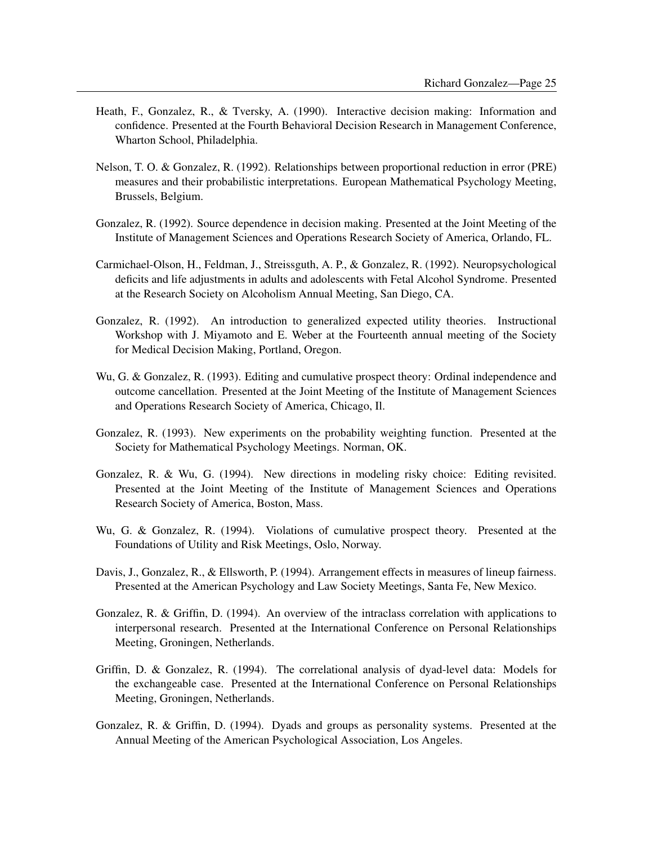- Heath, F., Gonzalez, R., & Tversky, A. (1990). Interactive decision making: Information and confidence. Presented at the Fourth Behavioral Decision Research in Management Conference, Wharton School, Philadelphia.
- Nelson, T. O. & Gonzalez, R. (1992). Relationships between proportional reduction in error (PRE) measures and their probabilistic interpretations. European Mathematical Psychology Meeting, Brussels, Belgium.
- Gonzalez, R. (1992). Source dependence in decision making. Presented at the Joint Meeting of the Institute of Management Sciences and Operations Research Society of America, Orlando, FL.
- Carmichael-Olson, H., Feldman, J., Streissguth, A. P., & Gonzalez, R. (1992). Neuropsychological deficits and life adjustments in adults and adolescents with Fetal Alcohol Syndrome. Presented at the Research Society on Alcoholism Annual Meeting, San Diego, CA.
- Gonzalez, R. (1992). An introduction to generalized expected utility theories. Instructional Workshop with J. Miyamoto and E. Weber at the Fourteenth annual meeting of the Society for Medical Decision Making, Portland, Oregon.
- Wu, G. & Gonzalez, R. (1993). Editing and cumulative prospect theory: Ordinal independence and outcome cancellation. Presented at the Joint Meeting of the Institute of Management Sciences and Operations Research Society of America, Chicago, Il.
- Gonzalez, R. (1993). New experiments on the probability weighting function. Presented at the Society for Mathematical Psychology Meetings. Norman, OK.
- Gonzalez, R. & Wu, G. (1994). New directions in modeling risky choice: Editing revisited. Presented at the Joint Meeting of the Institute of Management Sciences and Operations Research Society of America, Boston, Mass.
- Wu, G. & Gonzalez, R. (1994). Violations of cumulative prospect theory. Presented at the Foundations of Utility and Risk Meetings, Oslo, Norway.
- Davis, J., Gonzalez, R., & Ellsworth, P. (1994). Arrangement effects in measures of lineup fairness. Presented at the American Psychology and Law Society Meetings, Santa Fe, New Mexico.
- Gonzalez, R. & Griffin, D. (1994). An overview of the intraclass correlation with applications to interpersonal research. Presented at the International Conference on Personal Relationships Meeting, Groningen, Netherlands.
- Griffin, D. & Gonzalez, R. (1994). The correlational analysis of dyad-level data: Models for the exchangeable case. Presented at the International Conference on Personal Relationships Meeting, Groningen, Netherlands.
- Gonzalez, R. & Griffin, D. (1994). Dyads and groups as personality systems. Presented at the Annual Meeting of the American Psychological Association, Los Angeles.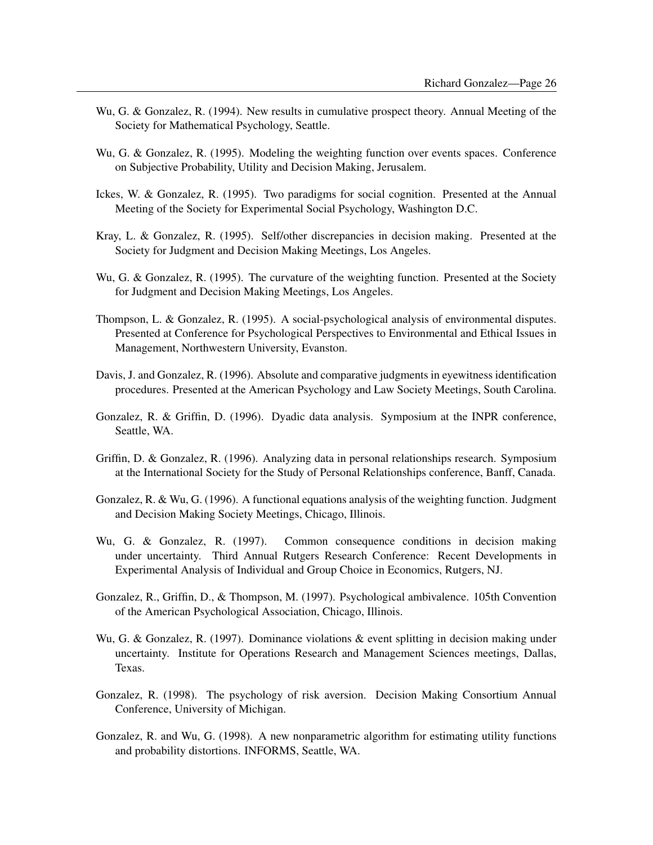- Wu, G. & Gonzalez, R. (1994). New results in cumulative prospect theory. Annual Meeting of the Society for Mathematical Psychology, Seattle.
- Wu, G. & Gonzalez, R. (1995). Modeling the weighting function over events spaces. Conference on Subjective Probability, Utility and Decision Making, Jerusalem.
- Ickes, W. & Gonzalez, R. (1995). Two paradigms for social cognition. Presented at the Annual Meeting of the Society for Experimental Social Psychology, Washington D.C.
- Kray, L. & Gonzalez, R. (1995). Self/other discrepancies in decision making. Presented at the Society for Judgment and Decision Making Meetings, Los Angeles.
- Wu, G. & Gonzalez, R. (1995). The curvature of the weighting function. Presented at the Society for Judgment and Decision Making Meetings, Los Angeles.
- Thompson, L. & Gonzalez, R. (1995). A social-psychological analysis of environmental disputes. Presented at Conference for Psychological Perspectives to Environmental and Ethical Issues in Management, Northwestern University, Evanston.
- Davis, J. and Gonzalez, R. (1996). Absolute and comparative judgments in eyewitness identification procedures. Presented at the American Psychology and Law Society Meetings, South Carolina.
- Gonzalez, R. & Griffin, D. (1996). Dyadic data analysis. Symposium at the INPR conference, Seattle, WA.
- Griffin, D. & Gonzalez, R. (1996). Analyzing data in personal relationships research. Symposium at the International Society for the Study of Personal Relationships conference, Banff, Canada.
- Gonzalez, R. & Wu, G. (1996). A functional equations analysis of the weighting function. Judgment and Decision Making Society Meetings, Chicago, Illinois.
- Wu, G. & Gonzalez, R. (1997). Common consequence conditions in decision making under uncertainty. Third Annual Rutgers Research Conference: Recent Developments in Experimental Analysis of Individual and Group Choice in Economics, Rutgers, NJ.
- Gonzalez, R., Griffin, D., & Thompson, M. (1997). Psychological ambivalence. 105th Convention of the American Psychological Association, Chicago, Illinois.
- Wu, G. & Gonzalez, R. (1997). Dominance violations & event splitting in decision making under uncertainty. Institute for Operations Research and Management Sciences meetings, Dallas, Texas.
- Gonzalez, R. (1998). The psychology of risk aversion. Decision Making Consortium Annual Conference, University of Michigan.
- Gonzalez, R. and Wu, G. (1998). A new nonparametric algorithm for estimating utility functions and probability distortions. INFORMS, Seattle, WA.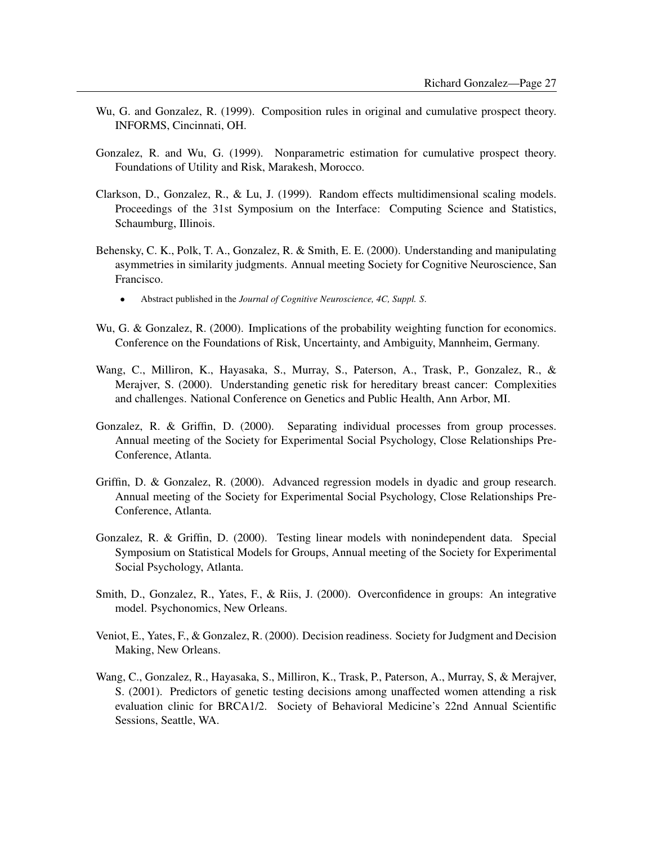- Wu, G. and Gonzalez, R. (1999). Composition rules in original and cumulative prospect theory. INFORMS, Cincinnati, OH.
- Gonzalez, R. and Wu, G. (1999). Nonparametric estimation for cumulative prospect theory. Foundations of Utility and Risk, Marakesh, Morocco.
- Clarkson, D., Gonzalez, R., & Lu, J. (1999). Random effects multidimensional scaling models. Proceedings of the 31st Symposium on the Interface: Computing Science and Statistics, Schaumburg, Illinois.
- Behensky, C. K., Polk, T. A., Gonzalez, R. & Smith, E. E. (2000). Understanding and manipulating asymmetries in similarity judgments. Annual meeting Society for Cognitive Neuroscience, San Francisco.
	- Abstract published in the *Journal of Cognitive Neuroscience, 4C, Suppl. S*.
- Wu, G. & Gonzalez, R. (2000). Implications of the probability weighting function for economics. Conference on the Foundations of Risk, Uncertainty, and Ambiguity, Mannheim, Germany.
- Wang, C., Milliron, K., Hayasaka, S., Murray, S., Paterson, A., Trask, P., Gonzalez, R., & Merajver, S. (2000). Understanding genetic risk for hereditary breast cancer: Complexities and challenges. National Conference on Genetics and Public Health, Ann Arbor, MI.
- Gonzalez, R. & Griffin, D. (2000). Separating individual processes from group processes. Annual meeting of the Society for Experimental Social Psychology, Close Relationships Pre-Conference, Atlanta.
- Griffin, D. & Gonzalez, R. (2000). Advanced regression models in dyadic and group research. Annual meeting of the Society for Experimental Social Psychology, Close Relationships Pre-Conference, Atlanta.
- Gonzalez, R. & Griffin, D. (2000). Testing linear models with nonindependent data. Special Symposium on Statistical Models for Groups, Annual meeting of the Society for Experimental Social Psychology, Atlanta.
- Smith, D., Gonzalez, R., Yates, F., & Riis, J. (2000). Overconfidence in groups: An integrative model. Psychonomics, New Orleans.
- Veniot, E., Yates, F., & Gonzalez, R. (2000). Decision readiness. Society for Judgment and Decision Making, New Orleans.
- Wang, C., Gonzalez, R., Hayasaka, S., Milliron, K., Trask, P., Paterson, A., Murray, S, & Merajver, S. (2001). Predictors of genetic testing decisions among unaffected women attending a risk evaluation clinic for BRCA1/2. Society of Behavioral Medicine's 22nd Annual Scientific Sessions, Seattle, WA.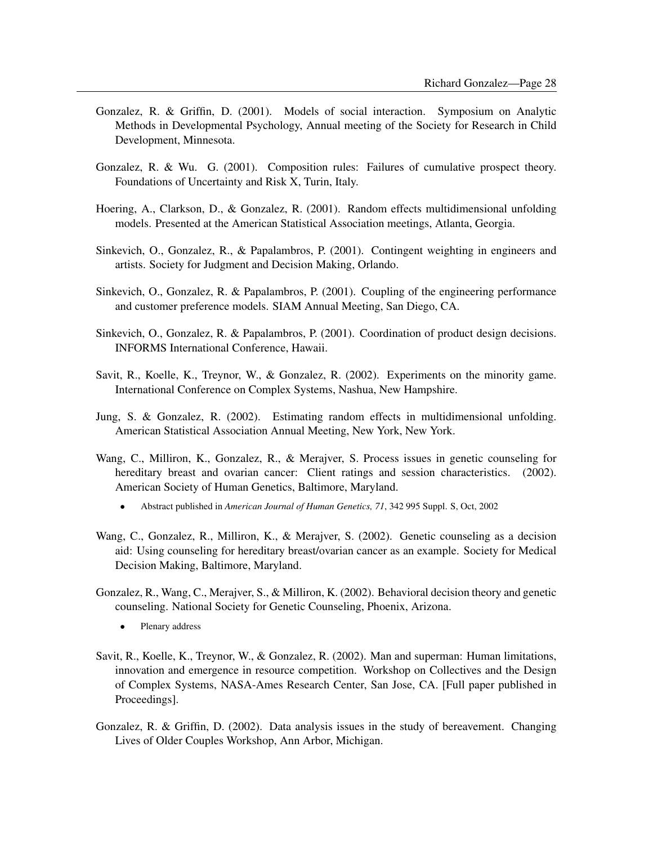- Gonzalez, R. & Griffin, D. (2001). Models of social interaction. Symposium on Analytic Methods in Developmental Psychology, Annual meeting of the Society for Research in Child Development, Minnesota.
- Gonzalez, R. & Wu. G. (2001). Composition rules: Failures of cumulative prospect theory. Foundations of Uncertainty and Risk X, Turin, Italy.
- Hoering, A., Clarkson, D., & Gonzalez, R. (2001). Random effects multidimensional unfolding models. Presented at the American Statistical Association meetings, Atlanta, Georgia.
- Sinkevich, O., Gonzalez, R., & Papalambros, P. (2001). Contingent weighting in engineers and artists. Society for Judgment and Decision Making, Orlando.
- Sinkevich, O., Gonzalez, R. & Papalambros, P. (2001). Coupling of the engineering performance and customer preference models. SIAM Annual Meeting, San Diego, CA.
- Sinkevich, O., Gonzalez, R. & Papalambros, P. (2001). Coordination of product design decisions. INFORMS International Conference, Hawaii.
- Savit, R., Koelle, K., Treynor, W., & Gonzalez, R. (2002). Experiments on the minority game. International Conference on Complex Systems, Nashua, New Hampshire.
- Jung, S. & Gonzalez, R. (2002). Estimating random effects in multidimensional unfolding. American Statistical Association Annual Meeting, New York, New York.
- Wang, C., Milliron, K., Gonzalez, R., & Merajver, S. Process issues in genetic counseling for hereditary breast and ovarian cancer: Client ratings and session characteristics. (2002). American Society of Human Genetics, Baltimore, Maryland.
	- Abstract published in *American Journal of Human Genetics, 71*, 342 995 Suppl. S, Oct, 2002
- Wang, C., Gonzalez, R., Milliron, K., & Merajver, S. (2002). Genetic counseling as a decision aid: Using counseling for hereditary breast/ovarian cancer as an example. Society for Medical Decision Making, Baltimore, Maryland.
- Gonzalez, R., Wang, C., Merajver, S., & Milliron, K. (2002). Behavioral decision theory and genetic counseling. National Society for Genetic Counseling, Phoenix, Arizona.
	- Plenary address
- Savit, R., Koelle, K., Treynor, W., & Gonzalez, R. (2002). Man and superman: Human limitations, innovation and emergence in resource competition. Workshop on Collectives and the Design of Complex Systems, NASA-Ames Research Center, San Jose, CA. [Full paper published in Proceedings].
- Gonzalez, R. & Griffin, D. (2002). Data analysis issues in the study of bereavement. Changing Lives of Older Couples Workshop, Ann Arbor, Michigan.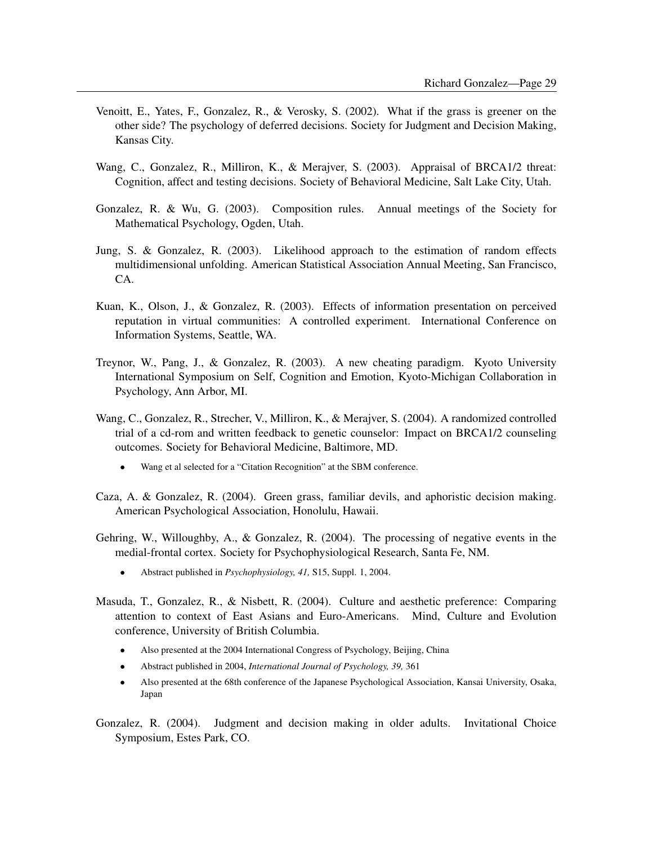- Venoitt, E., Yates, F., Gonzalez, R., & Verosky, S. (2002). What if the grass is greener on the other side? The psychology of deferred decisions. Society for Judgment and Decision Making, Kansas City.
- Wang, C., Gonzalez, R., Milliron, K., & Merajver, S. (2003). Appraisal of BRCA1/2 threat: Cognition, affect and testing decisions. Society of Behavioral Medicine, Salt Lake City, Utah.
- Gonzalez, R. & Wu, G. (2003). Composition rules. Annual meetings of the Society for Mathematical Psychology, Ogden, Utah.
- Jung, S. & Gonzalez, R. (2003). Likelihood approach to the estimation of random effects multidimensional unfolding. American Statistical Association Annual Meeting, San Francisco, CA.
- Kuan, K., Olson, J., & Gonzalez, R. (2003). Effects of information presentation on perceived reputation in virtual communities: A controlled experiment. International Conference on Information Systems, Seattle, WA.
- Treynor, W., Pang, J., & Gonzalez, R. (2003). A new cheating paradigm. Kyoto University International Symposium on Self, Cognition and Emotion, Kyoto-Michigan Collaboration in Psychology, Ann Arbor, MI.
- Wang, C., Gonzalez, R., Strecher, V., Milliron, K., & Merajver, S. (2004). A randomized controlled trial of a cd-rom and written feedback to genetic counselor: Impact on BRCA1/2 counseling outcomes. Society for Behavioral Medicine, Baltimore, MD.
	- Wang et al selected for a "Citation Recognition" at the SBM conference.
- Caza, A. & Gonzalez, R. (2004). Green grass, familiar devils, and aphoristic decision making. American Psychological Association, Honolulu, Hawaii.
- Gehring, W., Willoughby, A., & Gonzalez, R. (2004). The processing of negative events in the medial-frontal cortex. Society for Psychophysiological Research, Santa Fe, NM.
	- Abstract published in *Psychophysiology, 41,* S15, Suppl. 1, 2004.
- Masuda, T., Gonzalez, R., & Nisbett, R. (2004). Culture and aesthetic preference: Comparing attention to context of East Asians and Euro-Americans. Mind, Culture and Evolution conference, University of British Columbia.
	- Also presented at the 2004 International Congress of Psychology, Beijing, China
	- Abstract published in 2004, *International Journal of Psychology, 39,* 361
	- Also presented at the 68th conference of the Japanese Psychological Association, Kansai University, Osaka, Japan
- Gonzalez, R. (2004). Judgment and decision making in older adults. Invitational Choice Symposium, Estes Park, CO.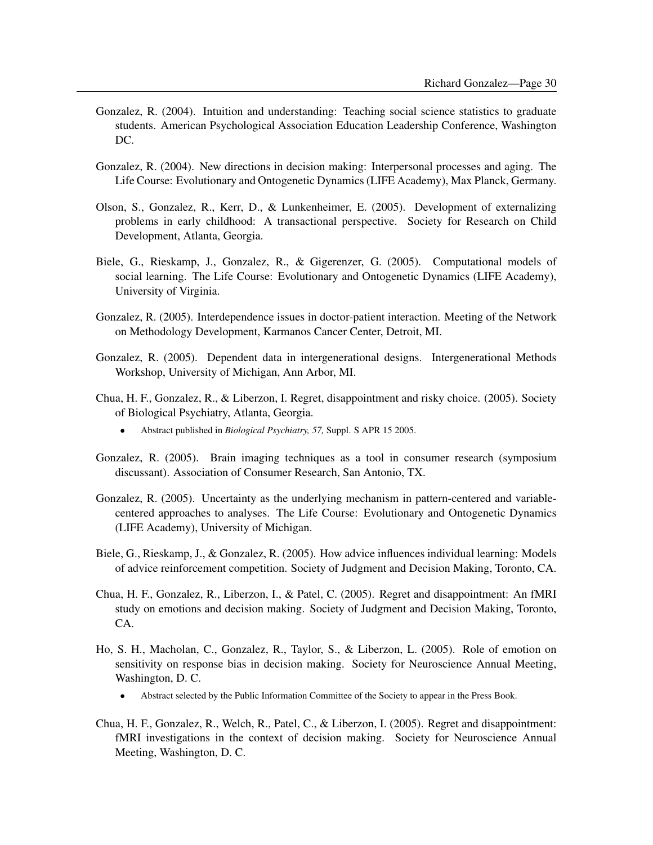- Gonzalez, R. (2004). Intuition and understanding: Teaching social science statistics to graduate students. American Psychological Association Education Leadership Conference, Washington DC.
- Gonzalez, R. (2004). New directions in decision making: Interpersonal processes and aging. The Life Course: Evolutionary and Ontogenetic Dynamics (LIFE Academy), Max Planck, Germany.
- Olson, S., Gonzalez, R., Kerr, D., & Lunkenheimer, E. (2005). Development of externalizing problems in early childhood: A transactional perspective. Society for Research on Child Development, Atlanta, Georgia.
- Biele, G., Rieskamp, J., Gonzalez, R., & Gigerenzer, G. (2005). Computational models of social learning. The Life Course: Evolutionary and Ontogenetic Dynamics (LIFE Academy), University of Virginia.
- Gonzalez, R. (2005). Interdependence issues in doctor-patient interaction. Meeting of the Network on Methodology Development, Karmanos Cancer Center, Detroit, MI.
- Gonzalez, R. (2005). Dependent data in intergenerational designs. Intergenerational Methods Workshop, University of Michigan, Ann Arbor, MI.
- Chua, H. F., Gonzalez, R., & Liberzon, I. Regret, disappointment and risky choice. (2005). Society of Biological Psychiatry, Atlanta, Georgia.
	- Abstract published in *Biological Psychiatry, 57,* Suppl. S APR 15 2005.
- Gonzalez, R. (2005). Brain imaging techniques as a tool in consumer research (symposium discussant). Association of Consumer Research, San Antonio, TX.
- Gonzalez, R. (2005). Uncertainty as the underlying mechanism in pattern-centered and variablecentered approaches to analyses. The Life Course: Evolutionary and Ontogenetic Dynamics (LIFE Academy), University of Michigan.
- Biele, G., Rieskamp, J., & Gonzalez, R. (2005). How advice influences individual learning: Models of advice reinforcement competition. Society of Judgment and Decision Making, Toronto, CA.
- Chua, H. F., Gonzalez, R., Liberzon, I., & Patel, C. (2005). Regret and disappointment: An fMRI study on emotions and decision making. Society of Judgment and Decision Making, Toronto, CA.
- Ho, S. H., Macholan, C., Gonzalez, R., Taylor, S., & Liberzon, L. (2005). Role of emotion on sensitivity on response bias in decision making. Society for Neuroscience Annual Meeting, Washington, D. C.
	- Abstract selected by the Public Information Committee of the Society to appear in the Press Book.
- Chua, H. F., Gonzalez, R., Welch, R., Patel, C., & Liberzon, I. (2005). Regret and disappointment: fMRI investigations in the context of decision making. Society for Neuroscience Annual Meeting, Washington, D. C.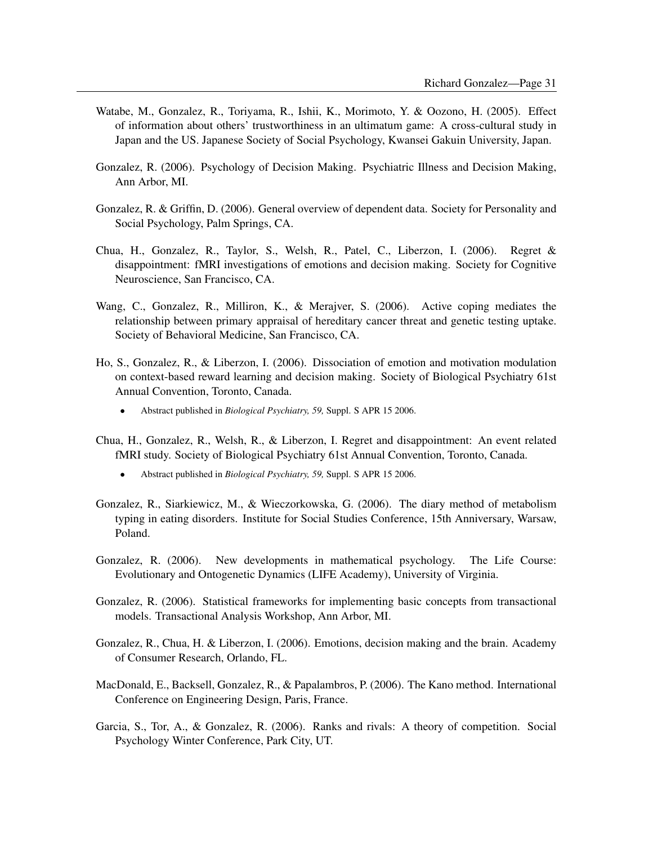- Watabe, M., Gonzalez, R., Toriyama, R., Ishii, K., Morimoto, Y. & Oozono, H. (2005). Effect of information about others' trustworthiness in an ultimatum game: A cross-cultural study in Japan and the US. Japanese Society of Social Psychology, Kwansei Gakuin University, Japan.
- Gonzalez, R. (2006). Psychology of Decision Making. Psychiatric Illness and Decision Making, Ann Arbor, MI.
- Gonzalez, R. & Griffin, D. (2006). General overview of dependent data. Society for Personality and Social Psychology, Palm Springs, CA.
- Chua, H., Gonzalez, R., Taylor, S., Welsh, R., Patel, C., Liberzon, I. (2006). Regret & disappointment: fMRI investigations of emotions and decision making. Society for Cognitive Neuroscience, San Francisco, CA.
- Wang, C., Gonzalez, R., Milliron, K., & Merajver, S. (2006). Active coping mediates the relationship between primary appraisal of hereditary cancer threat and genetic testing uptake. Society of Behavioral Medicine, San Francisco, CA.
- Ho, S., Gonzalez, R., & Liberzon, I. (2006). Dissociation of emotion and motivation modulation on context-based reward learning and decision making. Society of Biological Psychiatry 61st Annual Convention, Toronto, Canada.
	- Abstract published in *Biological Psychiatry, 59,* Suppl. S APR 15 2006.
- Chua, H., Gonzalez, R., Welsh, R., & Liberzon, I. Regret and disappointment: An event related fMRI study. Society of Biological Psychiatry 61st Annual Convention, Toronto, Canada.
	- Abstract published in *Biological Psychiatry, 59,* Suppl. S APR 15 2006.
- Gonzalez, R., Siarkiewicz, M., & Wieczorkowska, G. (2006). The diary method of metabolism typing in eating disorders. Institute for Social Studies Conference, 15th Anniversary, Warsaw, Poland.
- Gonzalez, R. (2006). New developments in mathematical psychology. The Life Course: Evolutionary and Ontogenetic Dynamics (LIFE Academy), University of Virginia.
- Gonzalez, R. (2006). Statistical frameworks for implementing basic concepts from transactional models. Transactional Analysis Workshop, Ann Arbor, MI.
- Gonzalez, R., Chua, H. & Liberzon, I. (2006). Emotions, decision making and the brain. Academy of Consumer Research, Orlando, FL.
- MacDonald, E., Backsell, Gonzalez, R., & Papalambros, P. (2006). The Kano method. International Conference on Engineering Design, Paris, France.
- Garcia, S., Tor, A., & Gonzalez, R. (2006). Ranks and rivals: A theory of competition. Social Psychology Winter Conference, Park City, UT.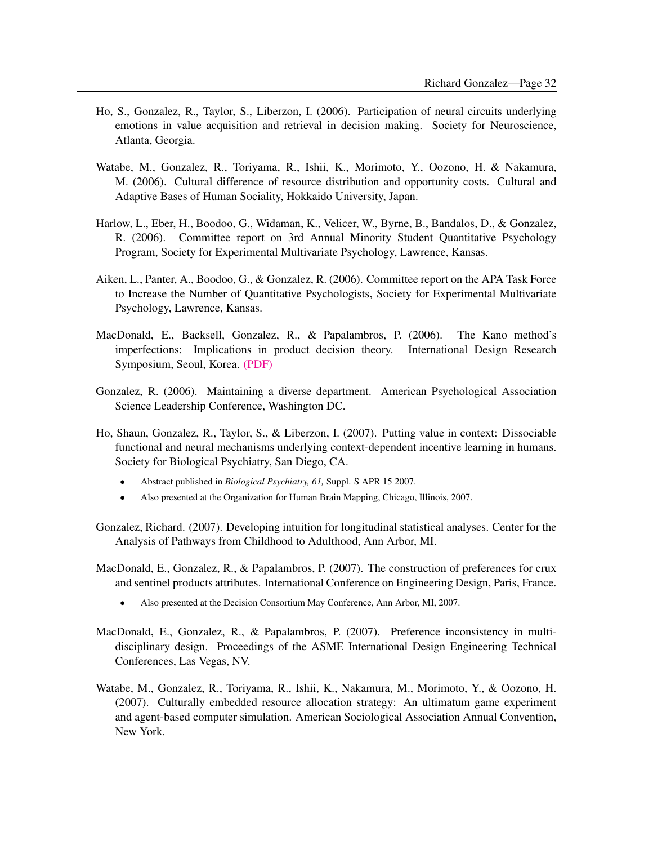- Ho, S., Gonzalez, R., Taylor, S., Liberzon, I. (2006). Participation of neural circuits underlying emotions in value acquisition and retrieval in decision making. Society for Neuroscience, Atlanta, Georgia.
- Watabe, M., Gonzalez, R., Toriyama, R., Ishii, K., Morimoto, Y., Oozono, H. & Nakamura, M. (2006). Cultural difference of resource distribution and opportunity costs. Cultural and Adaptive Bases of Human Sociality, Hokkaido University, Japan.
- Harlow, L., Eber, H., Boodoo, G., Widaman, K., Velicer, W., Byrne, B., Bandalos, D., & Gonzalez, R. (2006). Committee report on 3rd Annual Minority Student Quantitative Psychology Program, Society for Experimental Multivariate Psychology, Lawrence, Kansas.
- Aiken, L., Panter, A., Boodoo, G., & Gonzalez, R. (2006). Committee report on the APA Task Force to Increase the Number of Quantitative Psychologists, Society for Experimental Multivariate Psychology, Lawrence, Kansas.
- MacDonald, E., Backsell, Gonzalez, R., & Papalambros, P. (2006). The Kano method's imperfections: Implications in product decision theory. International Design Research Symposium, Seoul, Korea. [\(PDF\)](http://www.umich.edu/~gonzo/papers/macdonald-etal-2006-kano.pdf)
- Gonzalez, R. (2006). Maintaining a diverse department. American Psychological Association Science Leadership Conference, Washington DC.
- Ho, Shaun, Gonzalez, R., Taylor, S., & Liberzon, I. (2007). Putting value in context: Dissociable functional and neural mechanisms underlying context-dependent incentive learning in humans. Society for Biological Psychiatry, San Diego, CA.
	- Abstract published in *Biological Psychiatry, 61,* Suppl. S APR 15 2007.
	- Also presented at the Organization for Human Brain Mapping, Chicago, Illinois, 2007.
- Gonzalez, Richard. (2007). Developing intuition for longitudinal statistical analyses. Center for the Analysis of Pathways from Childhood to Adulthood, Ann Arbor, MI.
- MacDonald, E., Gonzalez, R., & Papalambros, P. (2007). The construction of preferences for crux and sentinel products attributes. International Conference on Engineering Design, Paris, France.
	- Also presented at the Decision Consortium May Conference, Ann Arbor, MI, 2007.
- MacDonald, E., Gonzalez, R., & Papalambros, P. (2007). Preference inconsistency in multidisciplinary design. Proceedings of the ASME International Design Engineering Technical Conferences, Las Vegas, NV.
- Watabe, M., Gonzalez, R., Toriyama, R., Ishii, K., Nakamura, M., Morimoto, Y., & Oozono, H. (2007). Culturally embedded resource allocation strategy: An ultimatum game experiment and agent-based computer simulation. American Sociological Association Annual Convention, New York.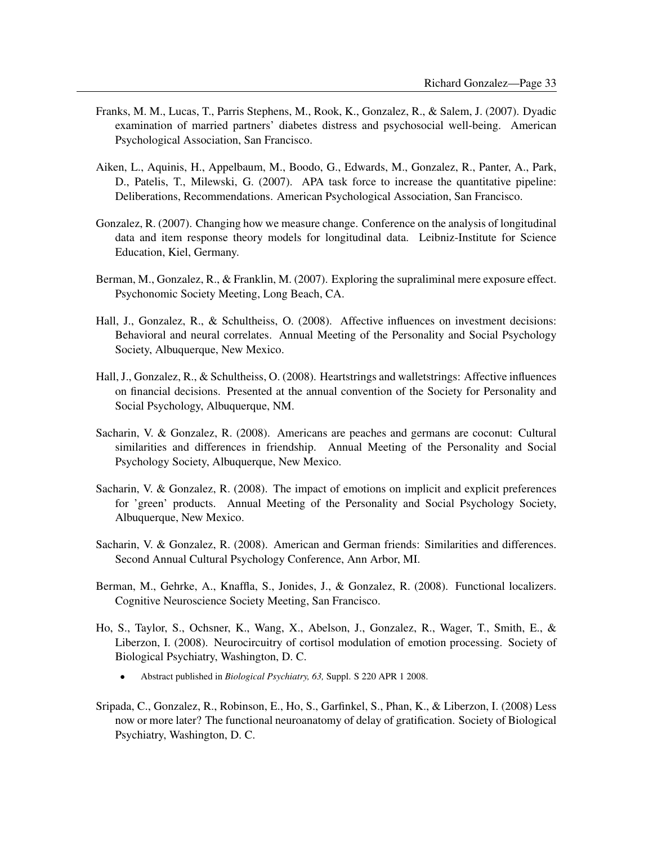- Franks, M. M., Lucas, T., Parris Stephens, M., Rook, K., Gonzalez, R., & Salem, J. (2007). Dyadic examination of married partners' diabetes distress and psychosocial well-being. American Psychological Association, San Francisco.
- Aiken, L., Aquinis, H., Appelbaum, M., Boodo, G., Edwards, M., Gonzalez, R., Panter, A., Park, D., Patelis, T., Milewski, G. (2007). APA task force to increase the quantitative pipeline: Deliberations, Recommendations. American Psychological Association, San Francisco.
- Gonzalez, R. (2007). Changing how we measure change. Conference on the analysis of longitudinal data and item response theory models for longitudinal data. Leibniz-Institute for Science Education, Kiel, Germany.
- Berman, M., Gonzalez, R., & Franklin, M. (2007). Exploring the supraliminal mere exposure effect. Psychonomic Society Meeting, Long Beach, CA.
- Hall, J., Gonzalez, R., & Schultheiss, O. (2008). Affective influences on investment decisions: Behavioral and neural correlates. Annual Meeting of the Personality and Social Psychology Society, Albuquerque, New Mexico.
- Hall, J., Gonzalez, R., & Schultheiss, O. (2008). Heartstrings and walletstrings: Affective influences on financial decisions. Presented at the annual convention of the Society for Personality and Social Psychology, Albuquerque, NM.
- Sacharin, V. & Gonzalez, R. (2008). Americans are peaches and germans are coconut: Cultural similarities and differences in friendship. Annual Meeting of the Personality and Social Psychology Society, Albuquerque, New Mexico.
- Sacharin, V. & Gonzalez, R. (2008). The impact of emotions on implicit and explicit preferences for 'green' products. Annual Meeting of the Personality and Social Psychology Society, Albuquerque, New Mexico.
- Sacharin, V. & Gonzalez, R. (2008). American and German friends: Similarities and differences. Second Annual Cultural Psychology Conference, Ann Arbor, MI.
- Berman, M., Gehrke, A., Knaffla, S., Jonides, J., & Gonzalez, R. (2008). Functional localizers. Cognitive Neuroscience Society Meeting, San Francisco.
- Ho, S., Taylor, S., Ochsner, K., Wang, X., Abelson, J., Gonzalez, R., Wager, T., Smith, E., & Liberzon, I. (2008). Neurocircuitry of cortisol modulation of emotion processing. Society of Biological Psychiatry, Washington, D. C.
	- Abstract published in *Biological Psychiatry, 63,* Suppl. S 220 APR 1 2008.
- Sripada, C., Gonzalez, R., Robinson, E., Ho, S., Garfinkel, S., Phan, K., & Liberzon, I. (2008) Less now or more later? The functional neuroanatomy of delay of gratification. Society of Biological Psychiatry, Washington, D. C.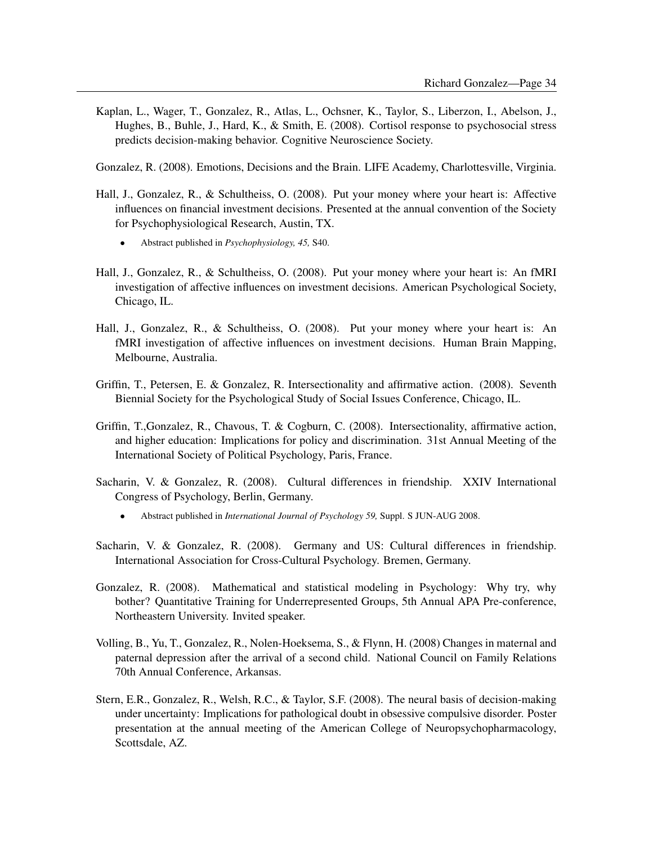Kaplan, L., Wager, T., Gonzalez, R., Atlas, L., Ochsner, K., Taylor, S., Liberzon, I., Abelson, J., Hughes, B., Buhle, J., Hard, K., & Smith, E. (2008). Cortisol response to psychosocial stress predicts decision-making behavior. Cognitive Neuroscience Society.

Gonzalez, R. (2008). Emotions, Decisions and the Brain. LIFE Academy, Charlottesville, Virginia.

- Hall, J., Gonzalez, R., & Schultheiss, O. (2008). Put your money where your heart is: Affective influences on financial investment decisions. Presented at the annual convention of the Society for Psychophysiological Research, Austin, TX.
	- Abstract published in *Psychophysiology, 45,* S40.
- Hall, J., Gonzalez, R., & Schultheiss, O. (2008). Put your money where your heart is: An fMRI investigation of affective influences on investment decisions. American Psychological Society, Chicago, IL.
- Hall, J., Gonzalez, R., & Schultheiss, O. (2008). Put your money where your heart is: An fMRI investigation of affective influences on investment decisions. Human Brain Mapping, Melbourne, Australia.
- Griffin, T., Petersen, E. & Gonzalez, R. Intersectionality and affirmative action. (2008). Seventh Biennial Society for the Psychological Study of Social Issues Conference, Chicago, IL.
- Griffin, T.,Gonzalez, R., Chavous, T. & Cogburn, C. (2008). Intersectionality, affirmative action, and higher education: Implications for policy and discrimination. 31st Annual Meeting of the International Society of Political Psychology, Paris, France.
- Sacharin, V. & Gonzalez, R. (2008). Cultural differences in friendship. XXIV International Congress of Psychology, Berlin, Germany.
	- Abstract published in *International Journal of Psychology 59,* Suppl. S JUN-AUG 2008.
- Sacharin, V. & Gonzalez, R. (2008). Germany and US: Cultural differences in friendship. International Association for Cross-Cultural Psychology. Bremen, Germany.
- Gonzalez, R. (2008). Mathematical and statistical modeling in Psychology: Why try, why bother? Quantitative Training for Underrepresented Groups, 5th Annual APA Pre-conference, Northeastern University. Invited speaker.
- Volling, B., Yu, T., Gonzalez, R., Nolen-Hoeksema, S., & Flynn, H. (2008) Changes in maternal and paternal depression after the arrival of a second child. National Council on Family Relations 70th Annual Conference, Arkansas.
- Stern, E.R., Gonzalez, R., Welsh, R.C., & Taylor, S.F. (2008). The neural basis of decision-making under uncertainty: Implications for pathological doubt in obsessive compulsive disorder. Poster presentation at the annual meeting of the American College of Neuropsychopharmacology, Scottsdale, AZ.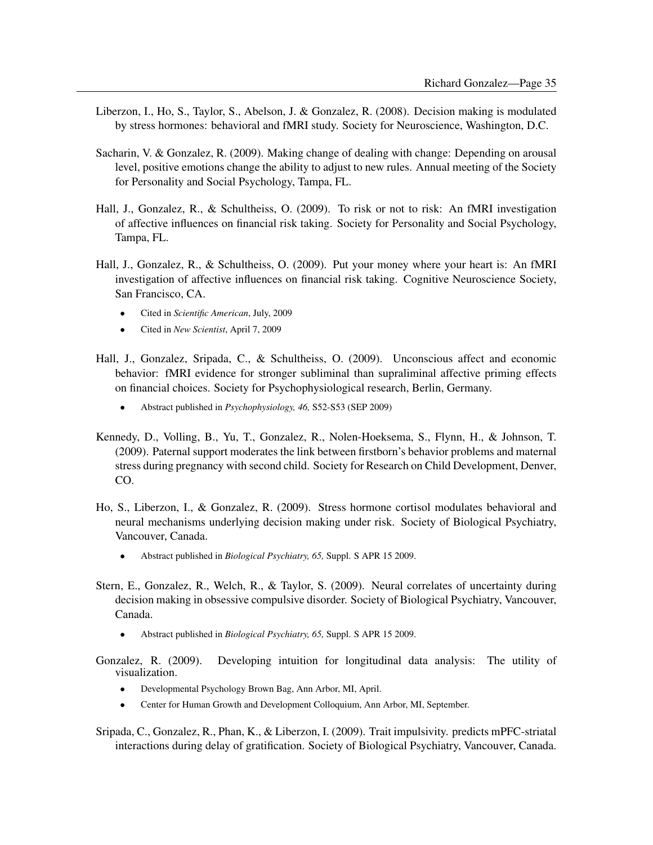- Liberzon, I., Ho, S., Taylor, S., Abelson, J. & Gonzalez, R. (2008). Decision making is modulated by stress hormones: behavioral and fMRI study. Society for Neuroscience, Washington, D.C.
- Sacharin, V. & Gonzalez, R. (2009). Making change of dealing with change: Depending on arousal level, positive emotions change the ability to adjust to new rules. Annual meeting of the Society for Personality and Social Psychology, Tampa, FL.
- Hall, J., Gonzalez, R., & Schultheiss, O. (2009). To risk or not to risk: An fMRI investigation of affective influences on financial risk taking. Society for Personality and Social Psychology, Tampa, FL.
- Hall, J., Gonzalez, R., & Schultheiss, O. (2009). Put your money where your heart is: An fMRI investigation of affective influences on financial risk taking. Cognitive Neuroscience Society, San Francisco, CA.
	- Cited in *Scientific American*, July, 2009
	- Cited in *New Scientist*, April 7, 2009
- Hall, J., Gonzalez, Sripada, C., & Schultheiss, O. (2009). Unconscious affect and economic behavior: fMRI evidence for stronger subliminal than supraliminal affective priming effects on financial choices. Society for Psychophysiological research, Berlin, Germany.
	- Abstract published in *Psychophysiology, 46,* S52-S53 (SEP 2009)
- Kennedy, D., Volling, B., Yu, T., Gonzalez, R., Nolen-Hoeksema, S., Flynn, H., & Johnson, T. (2009). Paternal support moderates the link between firstborn's behavior problems and maternal stress during pregnancy with second child. Society for Research on Child Development, Denver, CO.
- Ho, S., Liberzon, I., & Gonzalez, R. (2009). Stress hormone cortisol modulates behavioral and neural mechanisms underlying decision making under risk. Society of Biological Psychiatry, Vancouver, Canada.
	- Abstract published in *Biological Psychiatry, 65,* Suppl. S APR 15 2009.
- Stern, E., Gonzalez, R., Welch, R., & Taylor, S. (2009). Neural correlates of uncertainty during decision making in obsessive compulsive disorder. Society of Biological Psychiatry, Vancouver, Canada.
	- Abstract published in *Biological Psychiatry, 65,* Suppl. S APR 15 2009.
- Gonzalez, R. (2009). Developing intuition for longitudinal data analysis: The utility of visualization.
	- Developmental Psychology Brown Bag, Ann Arbor, MI, April.
	- Center for Human Growth and Development Colloquium, Ann Arbor, MI, September.
- Sripada, C., Gonzalez, R., Phan, K., & Liberzon, I. (2009). Trait impulsivity. predicts mPFC-striatal interactions during delay of gratification. Society of Biological Psychiatry, Vancouver, Canada.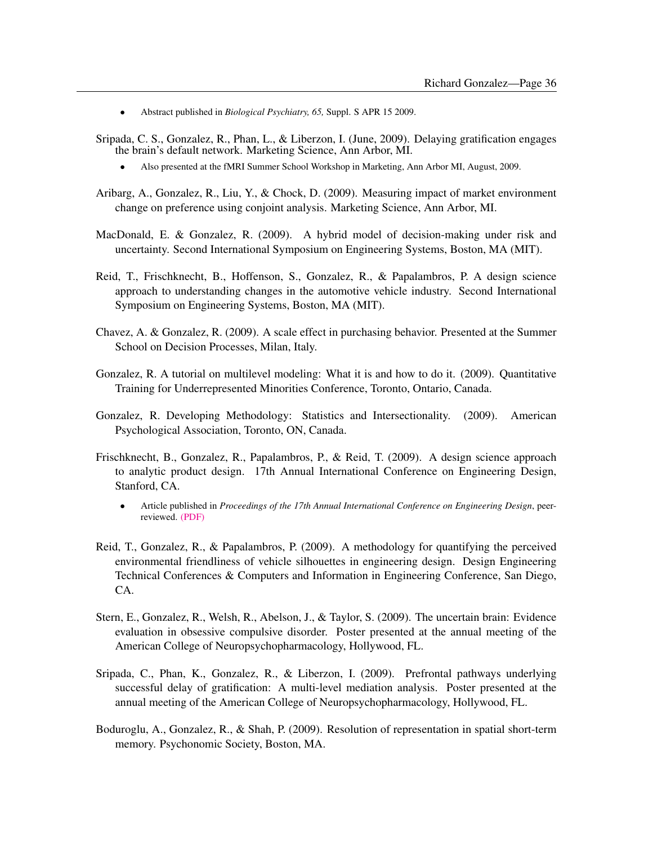- Abstract published in *Biological Psychiatry, 65,* Suppl. S APR 15 2009.
- Sripada, C. S., Gonzalez, R., Phan, L., & Liberzon, I. (June, 2009). Delaying gratification engages the brain's default network. Marketing Science, Ann Arbor, MI.
	- Also presented at the fMRI Summer School Workshop in Marketing, Ann Arbor MI, August, 2009.
- Aribarg, A., Gonzalez, R., Liu, Y., & Chock, D. (2009). Measuring impact of market environment change on preference using conjoint analysis. Marketing Science, Ann Arbor, MI.
- MacDonald, E. & Gonzalez, R. (2009). A hybrid model of decision-making under risk and uncertainty. Second International Symposium on Engineering Systems, Boston, MA (MIT).
- Reid, T., Frischknecht, B., Hoffenson, S., Gonzalez, R., & Papalambros, P. A design science approach to understanding changes in the automotive vehicle industry. Second International Symposium on Engineering Systems, Boston, MA (MIT).
- Chavez, A. & Gonzalez, R. (2009). A scale effect in purchasing behavior. Presented at the Summer School on Decision Processes, Milan, Italy.
- Gonzalez, R. A tutorial on multilevel modeling: What it is and how to do it. (2009). Quantitative Training for Underrepresented Minorities Conference, Toronto, Ontario, Canada.
- Gonzalez, R. Developing Methodology: Statistics and Intersectionality. (2009). American Psychological Association, Toronto, ON, Canada.
- Frischknecht, B., Gonzalez, R., Papalambros, P., & Reid, T. (2009). A design science approach to analytic product design. 17th Annual International Conference on Engineering Design, Stanford, CA.
	- Article published in *Proceedings of the 17th Annual International Conference on Engineering Design*, peerreviewed. [\(PDF\)](http://www.umich.edu/~gonzo/papers/frischknecht-etal-2009.pdf)
- Reid, T., Gonzalez, R., & Papalambros, P. (2009). A methodology for quantifying the perceived environmental friendliness of vehicle silhouettes in engineering design. Design Engineering Technical Conferences & Computers and Information in Engineering Conference, San Diego, CA.
- Stern, E., Gonzalez, R., Welsh, R., Abelson, J., & Taylor, S. (2009). The uncertain brain: Evidence evaluation in obsessive compulsive disorder. Poster presented at the annual meeting of the American College of Neuropsychopharmacology, Hollywood, FL.
- Sripada, C., Phan, K., Gonzalez, R., & Liberzon, I. (2009). Prefrontal pathways underlying successful delay of gratification: A multi-level mediation analysis. Poster presented at the annual meeting of the American College of Neuropsychopharmacology, Hollywood, FL.
- Boduroglu, A., Gonzalez, R., & Shah, P. (2009). Resolution of representation in spatial short-term memory. Psychonomic Society, Boston, MA.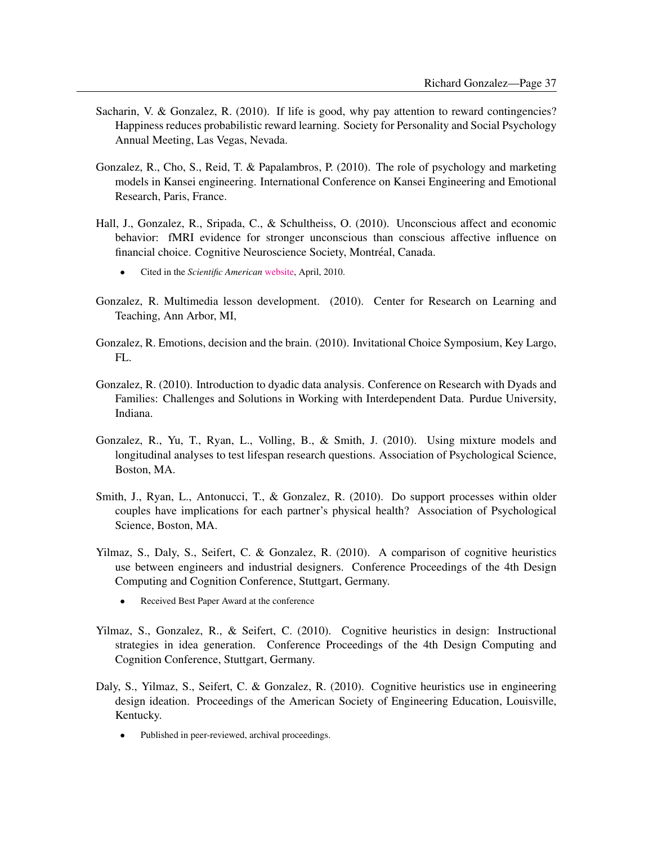- Sacharin, V. & Gonzalez, R. (2010). If life is good, why pay attention to reward contingencies? Happiness reduces probabilistic reward learning. Society for Personality and Social Psychology Annual Meeting, Las Vegas, Nevada.
- Gonzalez, R., Cho, S., Reid, T. & Papalambros, P. (2010). The role of psychology and marketing models in Kansei engineering. International Conference on Kansei Engineering and Emotional Research, Paris, France.
- Hall, J., Gonzalez, R., Sripada, C., & Schultheiss, O. (2010). Unconscious affect and economic behavior: fMRI evidence for stronger unconscious than conscious affective influence on financial choice. Cognitive Neuroscience Society, Montréal, Canada.
	- Cited in the *Scientific American* [website,](http://www.scientificamerican.com/article.cfm?id=unconscious-feelings-finances) April, 2010.
- Gonzalez, R. Multimedia lesson development. (2010). Center for Research on Learning and Teaching, Ann Arbor, MI,
- Gonzalez, R. Emotions, decision and the brain. (2010). Invitational Choice Symposium, Key Largo, FL.
- Gonzalez, R. (2010). Introduction to dyadic data analysis. Conference on Research with Dyads and Families: Challenges and Solutions in Working with Interdependent Data. Purdue University, Indiana.
- Gonzalez, R., Yu, T., Ryan, L., Volling, B., & Smith, J. (2010). Using mixture models and longitudinal analyses to test lifespan research questions. Association of Psychological Science, Boston, MA.
- Smith, J., Ryan, L., Antonucci, T., & Gonzalez, R. (2010). Do support processes within older couples have implications for each partner's physical health? Association of Psychological Science, Boston, MA.
- Yilmaz, S., Daly, S., Seifert, C. & Gonzalez, R. (2010). A comparison of cognitive heuristics use between engineers and industrial designers. Conference Proceedings of the 4th Design Computing and Cognition Conference, Stuttgart, Germany.
	- Received Best Paper Award at the conference
- Yilmaz, S., Gonzalez, R., & Seifert, C. (2010). Cognitive heuristics in design: Instructional strategies in idea generation. Conference Proceedings of the 4th Design Computing and Cognition Conference, Stuttgart, Germany.
- Daly, S., Yilmaz, S., Seifert, C. & Gonzalez, R. (2010). Cognitive heuristics use in engineering design ideation. Proceedings of the American Society of Engineering Education, Louisville, Kentucky.
	- Published in peer-reviewed, archival proceedings.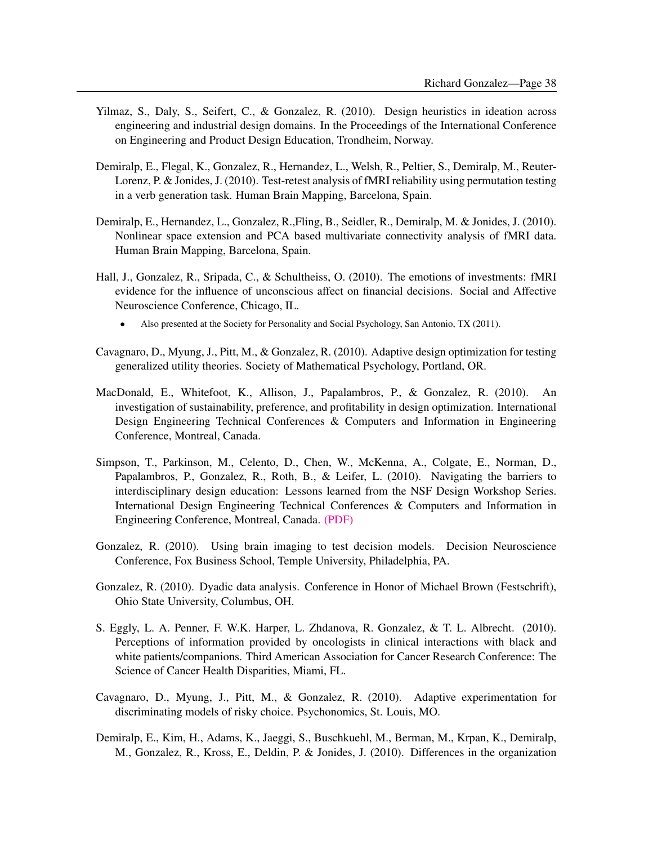- Yilmaz, S., Daly, S., Seifert, C., & Gonzalez, R. (2010). Design heuristics in ideation across engineering and industrial design domains. In the Proceedings of the International Conference on Engineering and Product Design Education, Trondheim, Norway.
- Demiralp, E., Flegal, K., Gonzalez, R., Hernandez, L., Welsh, R., Peltier, S., Demiralp, M., Reuter-Lorenz, P. & Jonides, J. (2010). Test-retest analysis of fMRI reliability using permutation testing in a verb generation task. Human Brain Mapping, Barcelona, Spain.
- Demiralp, E., Hernandez, L., Gonzalez, R.,Fling, B., Seidler, R., Demiralp, M. & Jonides, J. (2010). Nonlinear space extension and PCA based multivariate connectivity analysis of fMRI data. Human Brain Mapping, Barcelona, Spain.
- Hall, J., Gonzalez, R., Sripada, C., & Schultheiss, O. (2010). The emotions of investments: fMRI evidence for the influence of unconscious affect on financial decisions. Social and Affective Neuroscience Conference, Chicago, IL.
	- Also presented at the Society for Personality and Social Psychology, San Antonio, TX (2011).
- Cavagnaro, D., Myung, J., Pitt, M., & Gonzalez, R. (2010). Adaptive design optimization for testing generalized utility theories. Society of Mathematical Psychology, Portland, OR.
- MacDonald, E., Whitefoot, K., Allison, J., Papalambros, P., & Gonzalez, R. (2010). An investigation of sustainability, preference, and profitability in design optimization. International Design Engineering Technical Conferences & Computers and Information in Engineering Conference, Montreal, Canada.
- Simpson, T., Parkinson, M., Celento, D., Chen, W., McKenna, A., Colgate, E., Norman, D., Papalambros, P., Gonzalez, R., Roth, B., & Leifer, L. (2010). Navigating the barriers to interdisciplinary design education: Lessons learned from the NSF Design Workshop Series. International Design Engineering Technical Conferences & Computers and Information in Engineering Conference, Montreal, Canada. [\(PDF\)](http://www.umich.edu/~gonzo/papers/simpson-etal-2010-report.pdf)
- Gonzalez, R. (2010). Using brain imaging to test decision models. Decision Neuroscience Conference, Fox Business School, Temple University, Philadelphia, PA.
- Gonzalez, R. (2010). Dyadic data analysis. Conference in Honor of Michael Brown (Festschrift), Ohio State University, Columbus, OH.
- S. Eggly, L. A. Penner, F. W.K. Harper, L. Zhdanova, R. Gonzalez, & T. L. Albrecht. (2010). Perceptions of information provided by oncologists in clinical interactions with black and white patients/companions. Third American Association for Cancer Research Conference: The Science of Cancer Health Disparities, Miami, FL.
- Cavagnaro, D., Myung, J., Pitt, M., & Gonzalez, R. (2010). Adaptive experimentation for discriminating models of risky choice. Psychonomics, St. Louis, MO.
- Demiralp, E., Kim, H., Adams, K., Jaeggi, S., Buschkuehl, M., Berman, M., Krpan, K., Demiralp, M., Gonzalez, R., Kross, E., Deldin, P. & Jonides, J. (2010). Differences in the organization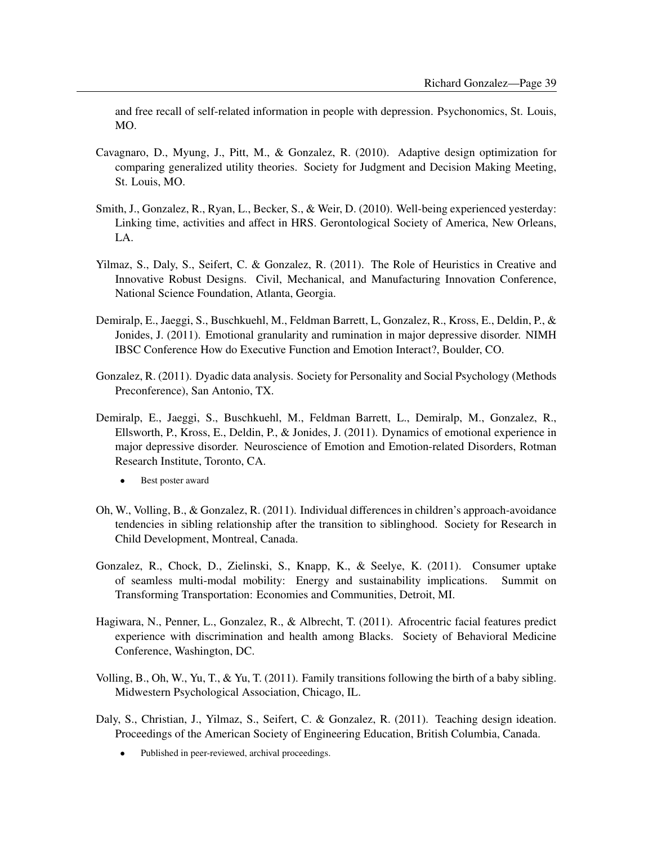and free recall of self-related information in people with depression. Psychonomics, St. Louis, MO.

- Cavagnaro, D., Myung, J., Pitt, M., & Gonzalez, R. (2010). Adaptive design optimization for comparing generalized utility theories. Society for Judgment and Decision Making Meeting, St. Louis, MO.
- Smith, J., Gonzalez, R., Ryan, L., Becker, S., & Weir, D. (2010). Well-being experienced yesterday: Linking time, activities and affect in HRS. Gerontological Society of America, New Orleans, LA.
- Yilmaz, S., Daly, S., Seifert, C. & Gonzalez, R. (2011). The Role of Heuristics in Creative and Innovative Robust Designs. Civil, Mechanical, and Manufacturing Innovation Conference, National Science Foundation, Atlanta, Georgia.
- Demiralp, E., Jaeggi, S., Buschkuehl, M., Feldman Barrett, L, Gonzalez, R., Kross, E., Deldin, P., & Jonides, J. (2011). Emotional granularity and rumination in major depressive disorder. NIMH IBSC Conference How do Executive Function and Emotion Interact?, Boulder, CO.
- Gonzalez, R. (2011). Dyadic data analysis. Society for Personality and Social Psychology (Methods Preconference), San Antonio, TX.
- Demiralp, E., Jaeggi, S., Buschkuehl, M., Feldman Barrett, L., Demiralp, M., Gonzalez, R., Ellsworth, P., Kross, E., Deldin, P., & Jonides, J. (2011). Dynamics of emotional experience in major depressive disorder. Neuroscience of Emotion and Emotion-related Disorders, Rotman Research Institute, Toronto, CA.
	- Best poster award
- Oh, W., Volling, B., & Gonzalez, R. (2011). Individual differences in children's approach-avoidance tendencies in sibling relationship after the transition to siblinghood. Society for Research in Child Development, Montreal, Canada.
- Gonzalez, R., Chock, D., Zielinski, S., Knapp, K., & Seelye, K. (2011). Consumer uptake of seamless multi-modal mobility: Energy and sustainability implications. Summit on Transforming Transportation: Economies and Communities, Detroit, MI.
- Hagiwara, N., Penner, L., Gonzalez, R., & Albrecht, T. (2011). Afrocentric facial features predict experience with discrimination and health among Blacks. Society of Behavioral Medicine Conference, Washington, DC.
- Volling, B., Oh, W., Yu, T., & Yu, T. (2011). Family transitions following the birth of a baby sibling. Midwestern Psychological Association, Chicago, IL.
- Daly, S., Christian, J., Yilmaz, S., Seifert, C. & Gonzalez, R. (2011). Teaching design ideation. Proceedings of the American Society of Engineering Education, British Columbia, Canada.
	- Published in peer-reviewed, archival proceedings.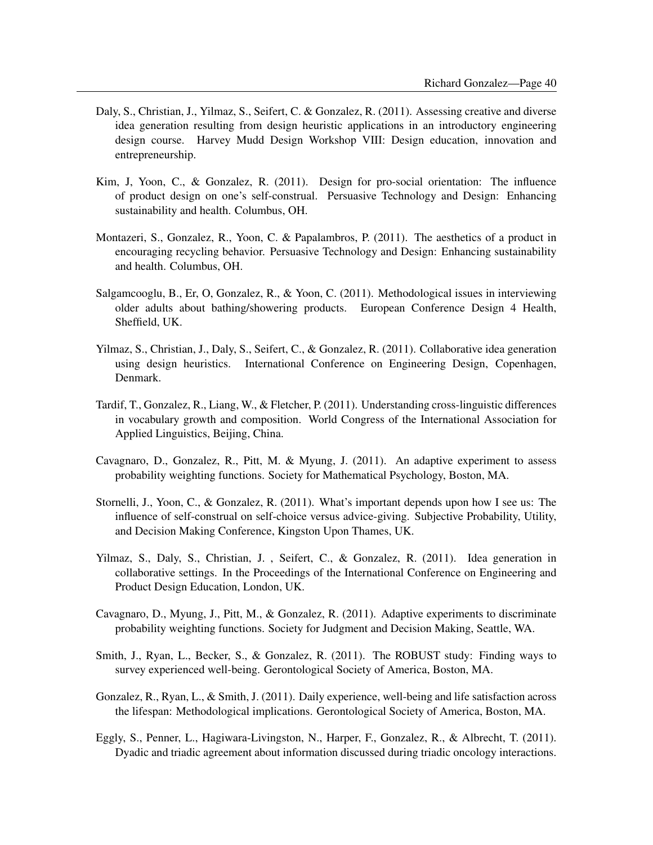- Daly, S., Christian, J., Yilmaz, S., Seifert, C. & Gonzalez, R. (2011). Assessing creative and diverse idea generation resulting from design heuristic applications in an introductory engineering design course. Harvey Mudd Design Workshop VIII: Design education, innovation and entrepreneurship.
- Kim, J, Yoon, C., & Gonzalez, R. (2011). Design for pro-social orientation: The influence of product design on one's self-construal. Persuasive Technology and Design: Enhancing sustainability and health. Columbus, OH.
- Montazeri, S., Gonzalez, R., Yoon, C. & Papalambros, P. (2011). The aesthetics of a product in encouraging recycling behavior. Persuasive Technology and Design: Enhancing sustainability and health. Columbus, OH.
- Salgamcooglu, B., Er, O, Gonzalez, R., & Yoon, C. (2011). Methodological issues in interviewing older adults about bathing/showering products. European Conference Design 4 Health, Sheffield, UK.
- Yilmaz, S., Christian, J., Daly, S., Seifert, C., & Gonzalez, R. (2011). Collaborative idea generation using design heuristics. International Conference on Engineering Design, Copenhagen, Denmark.
- Tardif, T., Gonzalez, R., Liang, W., & Fletcher, P. (2011). Understanding cross-linguistic differences in vocabulary growth and composition. World Congress of the International Association for Applied Linguistics, Beijing, China.
- Cavagnaro, D., Gonzalez, R., Pitt, M. & Myung, J. (2011). An adaptive experiment to assess probability weighting functions. Society for Mathematical Psychology, Boston, MA.
- Stornelli, J., Yoon, C., & Gonzalez, R. (2011). What's important depends upon how I see us: The influence of self-construal on self-choice versus advice-giving. Subjective Probability, Utility, and Decision Making Conference, Kingston Upon Thames, UK.
- Yilmaz, S., Daly, S., Christian, J. , Seifert, C., & Gonzalez, R. (2011). Idea generation in collaborative settings. In the Proceedings of the International Conference on Engineering and Product Design Education, London, UK.
- Cavagnaro, D., Myung, J., Pitt, M., & Gonzalez, R. (2011). Adaptive experiments to discriminate probability weighting functions. Society for Judgment and Decision Making, Seattle, WA.
- Smith, J., Ryan, L., Becker, S., & Gonzalez, R. (2011). The ROBUST study: Finding ways to survey experienced well-being. Gerontological Society of America, Boston, MA.
- Gonzalez, R., Ryan, L., & Smith, J. (2011). Daily experience, well-being and life satisfaction across the lifespan: Methodological implications. Gerontological Society of America, Boston, MA.
- Eggly, S., Penner, L., Hagiwara-Livingston, N., Harper, F., Gonzalez, R., & Albrecht, T. (2011). Dyadic and triadic agreement about information discussed during triadic oncology interactions.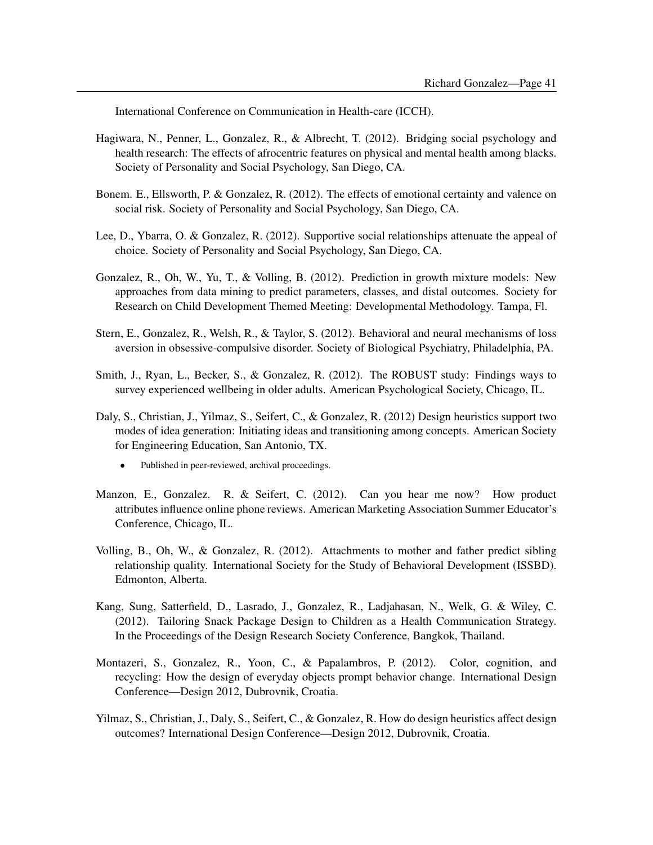International Conference on Communication in Health-care (ICCH).

- Hagiwara, N., Penner, L., Gonzalez, R., & Albrecht, T. (2012). Bridging social psychology and health research: The effects of afrocentric features on physical and mental health among blacks. Society of Personality and Social Psychology, San Diego, CA.
- Bonem. E., Ellsworth, P. & Gonzalez, R. (2012). The effects of emotional certainty and valence on social risk. Society of Personality and Social Psychology, San Diego, CA.
- Lee, D., Ybarra, O. & Gonzalez, R. (2012). Supportive social relationships attenuate the appeal of choice. Society of Personality and Social Psychology, San Diego, CA.
- Gonzalez, R., Oh, W., Yu, T., & Volling, B. (2012). Prediction in growth mixture models: New approaches from data mining to predict parameters, classes, and distal outcomes. Society for Research on Child Development Themed Meeting: Developmental Methodology. Tampa, Fl.
- Stern, E., Gonzalez, R., Welsh, R., & Taylor, S. (2012). Behavioral and neural mechanisms of loss aversion in obsessive-compulsive disorder. Society of Biological Psychiatry, Philadelphia, PA.
- Smith, J., Ryan, L., Becker, S., & Gonzalez, R. (2012). The ROBUST study: Findings ways to survey experienced wellbeing in older adults. American Psychological Society, Chicago, IL.
- Daly, S., Christian, J., Yilmaz, S., Seifert, C., & Gonzalez, R. (2012) Design heuristics support two modes of idea generation: Initiating ideas and transitioning among concepts. American Society for Engineering Education, San Antonio, TX.
	- Published in peer-reviewed, archival proceedings.
- Manzon, E., Gonzalez. R. & Seifert, C. (2012). Can you hear me now? How product attributes influence online phone reviews. American Marketing Association Summer Educator's Conference, Chicago, IL.
- Volling, B., Oh, W., & Gonzalez, R. (2012). Attachments to mother and father predict sibling relationship quality. International Society for the Study of Behavioral Development (ISSBD). Edmonton, Alberta.
- Kang, Sung, Satterfield, D., Lasrado, J., Gonzalez, R., Ladjahasan, N., Welk, G. & Wiley, C. (2012). Tailoring Snack Package Design to Children as a Health Communication Strategy. In the Proceedings of the Design Research Society Conference, Bangkok, Thailand.
- Montazeri, S., Gonzalez, R., Yoon, C., & Papalambros, P. (2012). Color, cognition, and recycling: How the design of everyday objects prompt behavior change. International Design Conference—Design 2012, Dubrovnik, Croatia.
- Yilmaz, S., Christian, J., Daly, S., Seifert, C., & Gonzalez, R. How do design heuristics affect design outcomes? International Design Conference—Design 2012, Dubrovnik, Croatia.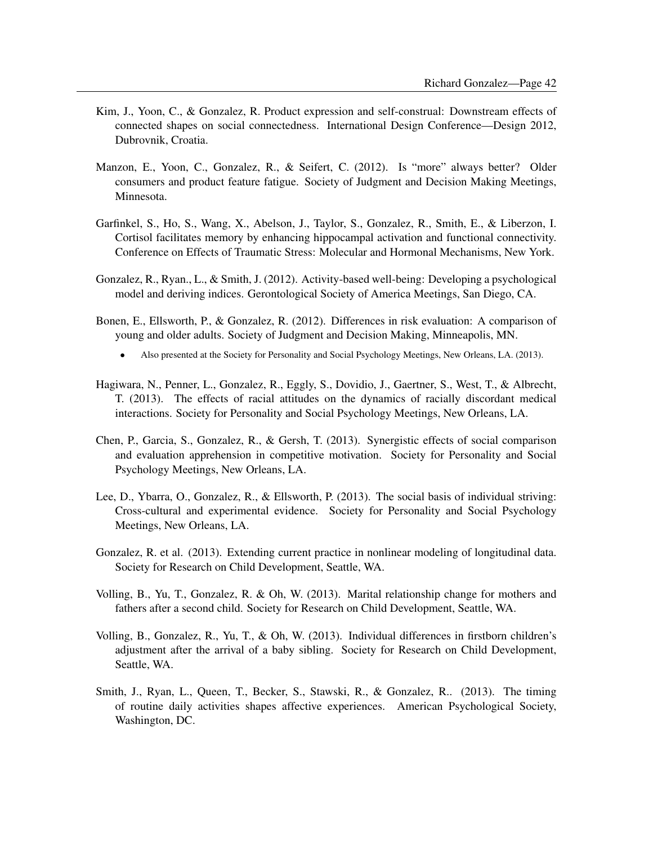- Kim, J., Yoon, C., & Gonzalez, R. Product expression and self-construal: Downstream effects of connected shapes on social connectedness. International Design Conference—Design 2012, Dubrovnik, Croatia.
- Manzon, E., Yoon, C., Gonzalez, R., & Seifert, C. (2012). Is "more" always better? Older consumers and product feature fatigue. Society of Judgment and Decision Making Meetings, Minnesota.
- Garfinkel, S., Ho, S., Wang, X., Abelson, J., Taylor, S., Gonzalez, R., Smith, E., & Liberzon, I. Cortisol facilitates memory by enhancing hippocampal activation and functional connectivity. Conference on Effects of Traumatic Stress: Molecular and Hormonal Mechanisms, New York.
- Gonzalez, R., Ryan., L., & Smith, J. (2012). Activity-based well-being: Developing a psychological model and deriving indices. Gerontological Society of America Meetings, San Diego, CA.
- Bonen, E., Ellsworth, P., & Gonzalez, R. (2012). Differences in risk evaluation: A comparison of young and older adults. Society of Judgment and Decision Making, Minneapolis, MN.
	- Also presented at the Society for Personality and Social Psychology Meetings, New Orleans, LA. (2013).
- Hagiwara, N., Penner, L., Gonzalez, R., Eggly, S., Dovidio, J., Gaertner, S., West, T., & Albrecht, T. (2013). The effects of racial attitudes on the dynamics of racially discordant medical interactions. Society for Personality and Social Psychology Meetings, New Orleans, LA.
- Chen, P., Garcia, S., Gonzalez, R., & Gersh, T. (2013). Synergistic effects of social comparison and evaluation apprehension in competitive motivation. Society for Personality and Social Psychology Meetings, New Orleans, LA.
- Lee, D., Ybarra, O., Gonzalez, R., & Ellsworth, P. (2013). The social basis of individual striving: Cross-cultural and experimental evidence. Society for Personality and Social Psychology Meetings, New Orleans, LA.
- Gonzalez, R. et al. (2013). Extending current practice in nonlinear modeling of longitudinal data. Society for Research on Child Development, Seattle, WA.
- Volling, B., Yu, T., Gonzalez, R. & Oh, W. (2013). Marital relationship change for mothers and fathers after a second child. Society for Research on Child Development, Seattle, WA.
- Volling, B., Gonzalez, R., Yu, T., & Oh, W. (2013). Individual differences in firstborn children's adjustment after the arrival of a baby sibling. Society for Research on Child Development, Seattle, WA.
- Smith, J., Ryan, L., Queen, T., Becker, S., Stawski, R., & Gonzalez, R.. (2013). The timing of routine daily activities shapes affective experiences. American Psychological Society, Washington, DC.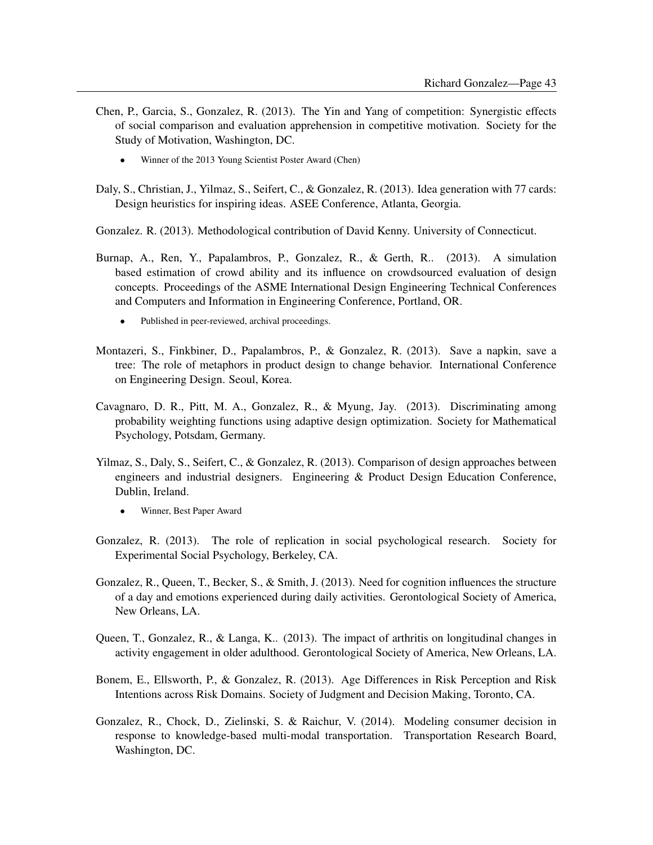- Chen, P., Garcia, S., Gonzalez, R. (2013). The Yin and Yang of competition: Synergistic effects of social comparison and evaluation apprehension in competitive motivation. Society for the Study of Motivation, Washington, DC.
	- Winner of the 2013 Young Scientist Poster Award (Chen)
- Daly, S., Christian, J., Yilmaz, S., Seifert, C., & Gonzalez, R. (2013). Idea generation with 77 cards: Design heuristics for inspiring ideas. ASEE Conference, Atlanta, Georgia.
- Gonzalez. R. (2013). Methodological contribution of David Kenny. University of Connecticut.
- Burnap, A., Ren, Y., Papalambros, P., Gonzalez, R., & Gerth, R.. (2013). A simulation based estimation of crowd ability and its influence on crowdsourced evaluation of design concepts. Proceedings of the ASME International Design Engineering Technical Conferences and Computers and Information in Engineering Conference, Portland, OR.
	- Published in peer-reviewed, archival proceedings.
- Montazeri, S., Finkbiner, D., Papalambros, P., & Gonzalez, R. (2013). Save a napkin, save a tree: The role of metaphors in product design to change behavior. International Conference on Engineering Design. Seoul, Korea.
- Cavagnaro, D. R., Pitt, M. A., Gonzalez, R., & Myung, Jay. (2013). Discriminating among probability weighting functions using adaptive design optimization. Society for Mathematical Psychology, Potsdam, Germany.
- Yilmaz, S., Daly, S., Seifert, C., & Gonzalez, R. (2013). Comparison of design approaches between engineers and industrial designers. Engineering & Product Design Education Conference, Dublin, Ireland.
	- Winner, Best Paper Award
- Gonzalez, R. (2013). The role of replication in social psychological research. Society for Experimental Social Psychology, Berkeley, CA.
- Gonzalez, R., Queen, T., Becker, S., & Smith, J. (2013). Need for cognition influences the structure of a day and emotions experienced during daily activities. Gerontological Society of America, New Orleans, LA.
- Queen, T., Gonzalez, R., & Langa, K.. (2013). The impact of arthritis on longitudinal changes in activity engagement in older adulthood. Gerontological Society of America, New Orleans, LA.
- Bonem, E., Ellsworth, P., & Gonzalez, R. (2013). Age Differences in Risk Perception and Risk Intentions across Risk Domains. Society of Judgment and Decision Making, Toronto, CA.
- Gonzalez, R., Chock, D., Zielinski, S. & Raichur, V. (2014). Modeling consumer decision in response to knowledge-based multi-modal transportation. Transportation Research Board, Washington, DC.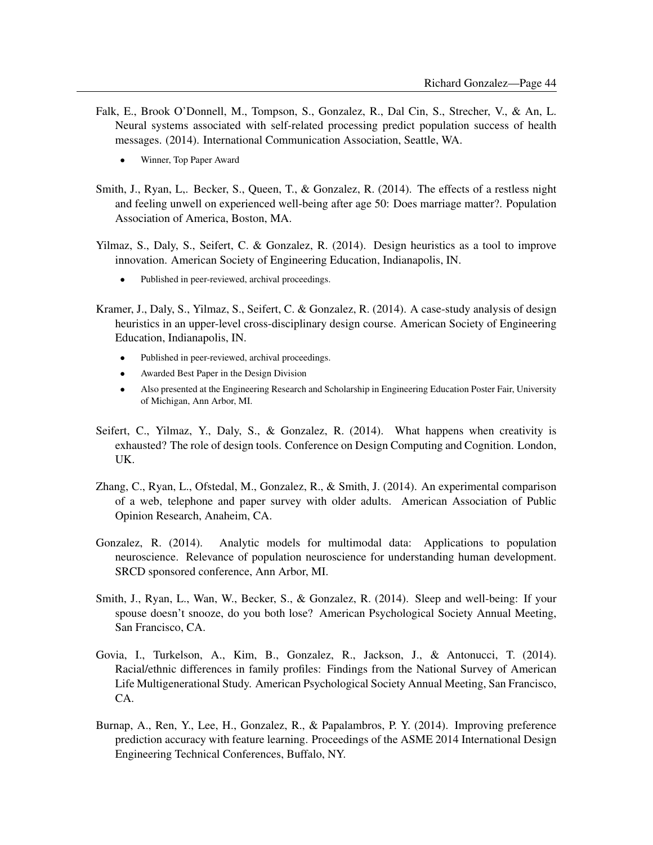- Falk, E., Brook O'Donnell, M., Tompson, S., Gonzalez, R., Dal Cin, S., Strecher, V., & An, L. Neural systems associated with self-related processing predict population success of health messages. (2014). International Communication Association, Seattle, WA.
	- Winner, Top Paper Award
- Smith, J., Ryan, L,. Becker, S., Queen, T., & Gonzalez, R. (2014). The effects of a restless night and feeling unwell on experienced well-being after age 50: Does marriage matter?. Population Association of America, Boston, MA.
- Yilmaz, S., Daly, S., Seifert, C. & Gonzalez, R. (2014). Design heuristics as a tool to improve innovation. American Society of Engineering Education, Indianapolis, IN.
	- Published in peer-reviewed, archival proceedings.
- Kramer, J., Daly, S., Yilmaz, S., Seifert, C. & Gonzalez, R. (2014). A case-study analysis of design heuristics in an upper-level cross-disciplinary design course. American Society of Engineering Education, Indianapolis, IN.
	- Published in peer-reviewed, archival proceedings.
	- Awarded Best Paper in the Design Division
	- Also presented at the Engineering Research and Scholarship in Engineering Education Poster Fair, University of Michigan, Ann Arbor, MI.
- Seifert, C., Yilmaz, Y., Daly, S., & Gonzalez, R. (2014). What happens when creativity is exhausted? The role of design tools. Conference on Design Computing and Cognition. London, UK.
- Zhang, C., Ryan, L., Ofstedal, M., Gonzalez, R., & Smith, J. (2014). An experimental comparison of a web, telephone and paper survey with older adults. American Association of Public Opinion Research, Anaheim, CA.
- Gonzalez, R. (2014). Analytic models for multimodal data: Applications to population neuroscience. Relevance of population neuroscience for understanding human development. SRCD sponsored conference, Ann Arbor, MI.
- Smith, J., Ryan, L., Wan, W., Becker, S., & Gonzalez, R. (2014). Sleep and well-being: If your spouse doesn't snooze, do you both lose? American Psychological Society Annual Meeting, San Francisco, CA.
- Govia, I., Turkelson, A., Kim, B., Gonzalez, R., Jackson, J., & Antonucci, T. (2014). Racial/ethnic differences in family profiles: Findings from the National Survey of American Life Multigenerational Study. American Psychological Society Annual Meeting, San Francisco, CA.
- Burnap, A., Ren, Y., Lee, H., Gonzalez, R., & Papalambros, P. Y. (2014). Improving preference prediction accuracy with feature learning. Proceedings of the ASME 2014 International Design Engineering Technical Conferences, Buffalo, NY.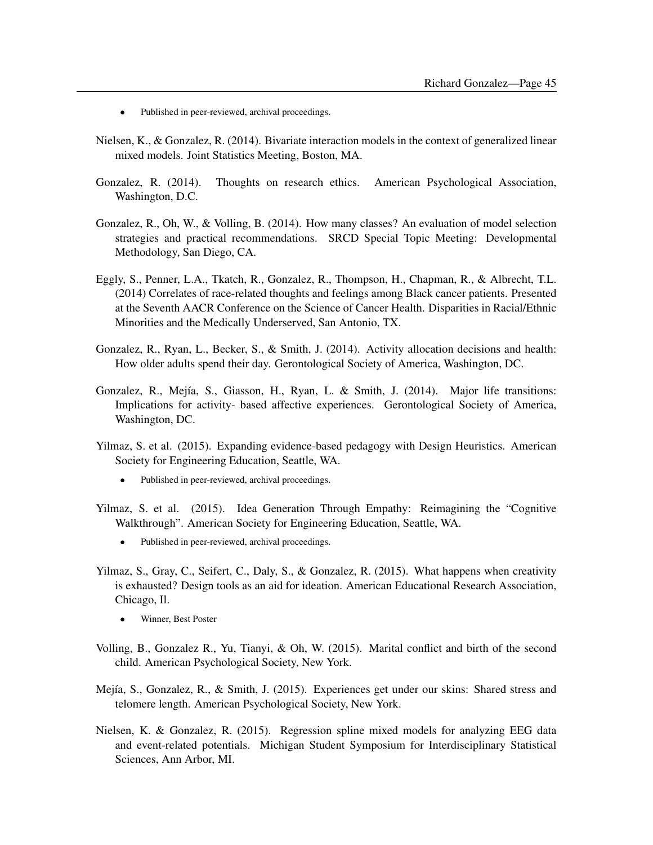- Published in peer-reviewed, archival proceedings.
- Nielsen, K., & Gonzalez, R. (2014). Bivariate interaction models in the context of generalized linear mixed models. Joint Statistics Meeting, Boston, MA.
- Gonzalez, R. (2014). Thoughts on research ethics. American Psychological Association, Washington, D.C.
- Gonzalez, R., Oh, W., & Volling, B. (2014). How many classes? An evaluation of model selection strategies and practical recommendations. SRCD Special Topic Meeting: Developmental Methodology, San Diego, CA.
- Eggly, S., Penner, L.A., Tkatch, R., Gonzalez, R., Thompson, H., Chapman, R., & Albrecht, T.L. (2014) Correlates of race-related thoughts and feelings among Black cancer patients. Presented at the Seventh AACR Conference on the Science of Cancer Health. Disparities in Racial/Ethnic Minorities and the Medically Underserved, San Antonio, TX.
- Gonzalez, R., Ryan, L., Becker, S., & Smith, J. (2014). Activity allocation decisions and health: How older adults spend their day. Gerontological Society of America, Washington, DC.
- Gonzalez, R., Mejía, S., Giasson, H., Ryan, L. & Smith, J. (2014). Major life transitions: Implications for activity- based affective experiences. Gerontological Society of America, Washington, DC.
- Yilmaz, S. et al. (2015). Expanding evidence-based pedagogy with Design Heuristics. American Society for Engineering Education, Seattle, WA.
	- Published in peer-reviewed, archival proceedings.
- Yilmaz, S. et al. (2015). Idea Generation Through Empathy: Reimagining the "Cognitive Walkthrough". American Society for Engineering Education, Seattle, WA.
	- Published in peer-reviewed, archival proceedings.
- Yilmaz, S., Gray, C., Seifert, C., Daly, S., & Gonzalez, R. (2015). What happens when creativity is exhausted? Design tools as an aid for ideation. American Educational Research Association, Chicago, Il.
	- Winner, Best Poster
- Volling, B., Gonzalez R., Yu, Tianyi, & Oh, W. (2015). Marital conflict and birth of the second child. American Psychological Society, New York.
- Mejía, S., Gonzalez, R., & Smith, J. (2015). Experiences get under our skins: Shared stress and telomere length. American Psychological Society, New York.
- Nielsen, K. & Gonzalez, R. (2015). Regression spline mixed models for analyzing EEG data and event-related potentials. Michigan Student Symposium for Interdisciplinary Statistical Sciences, Ann Arbor, MI.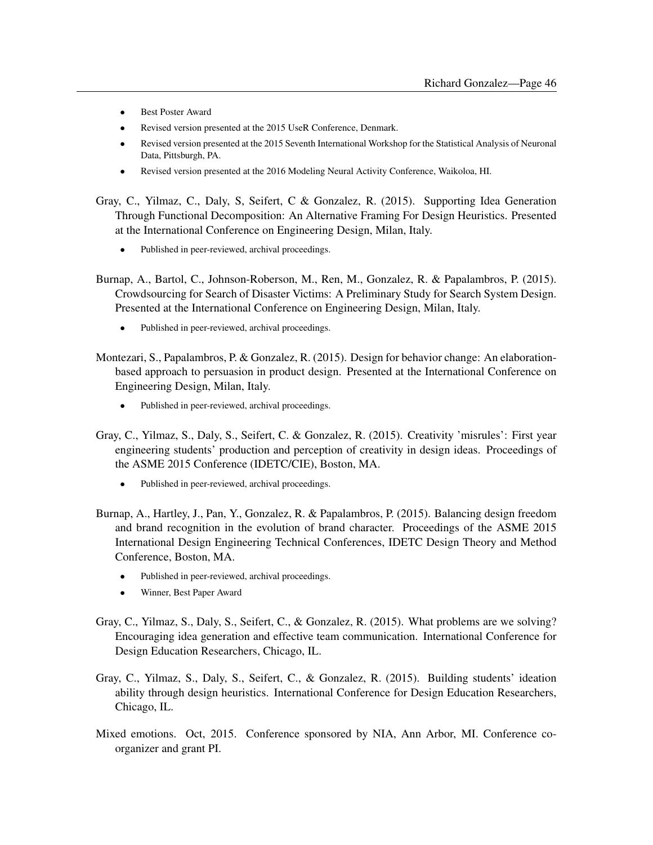- Best Poster Award
- Revised version presented at the 2015 UseR Conference, Denmark.
- Revised version presented at the 2015 Seventh International Workshop for the Statistical Analysis of Neuronal Data, Pittsburgh, PA.
- Revised version presented at the 2016 Modeling Neural Activity Conference, Waikoloa, HI.

Gray, C., Yilmaz, C., Daly, S, Seifert, C & Gonzalez, R. (2015). Supporting Idea Generation Through Functional Decomposition: An Alternative Framing For Design Heuristics. Presented at the International Conference on Engineering Design, Milan, Italy.

- Published in peer-reviewed, archival proceedings.
- Burnap, A., Bartol, C., Johnson-Roberson, M., Ren, M., Gonzalez, R. & Papalambros, P. (2015). Crowdsourcing for Search of Disaster Victims: A Preliminary Study for Search System Design. Presented at the International Conference on Engineering Design, Milan, Italy.
	- Published in peer-reviewed, archival proceedings.
- Montezari, S., Papalambros, P. & Gonzalez, R. (2015). Design for behavior change: An elaborationbased approach to persuasion in product design. Presented at the International Conference on Engineering Design, Milan, Italy.
	- Published in peer-reviewed, archival proceedings.
- Gray, C., Yilmaz, S., Daly, S., Seifert, C. & Gonzalez, R. (2015). Creativity 'misrules': First year engineering students' production and perception of creativity in design ideas. Proceedings of the ASME 2015 Conference (IDETC/CIE), Boston, MA.
	- Published in peer-reviewed, archival proceedings.
- Burnap, A., Hartley, J., Pan, Y., Gonzalez, R. & Papalambros, P. (2015). Balancing design freedom and brand recognition in the evolution of brand character. Proceedings of the ASME 2015 International Design Engineering Technical Conferences, IDETC Design Theory and Method Conference, Boston, MA.
	- Published in peer-reviewed, archival proceedings.
	- Winner, Best Paper Award
- Gray, C., Yilmaz, S., Daly, S., Seifert, C., & Gonzalez, R. (2015). What problems are we solving? Encouraging idea generation and effective team communication. International Conference for Design Education Researchers, Chicago, IL.
- Gray, C., Yilmaz, S., Daly, S., Seifert, C., & Gonzalez, R. (2015). Building students' ideation ability through design heuristics. International Conference for Design Education Researchers, Chicago, IL.
- Mixed emotions. Oct, 2015. Conference sponsored by NIA, Ann Arbor, MI. Conference coorganizer and grant PI.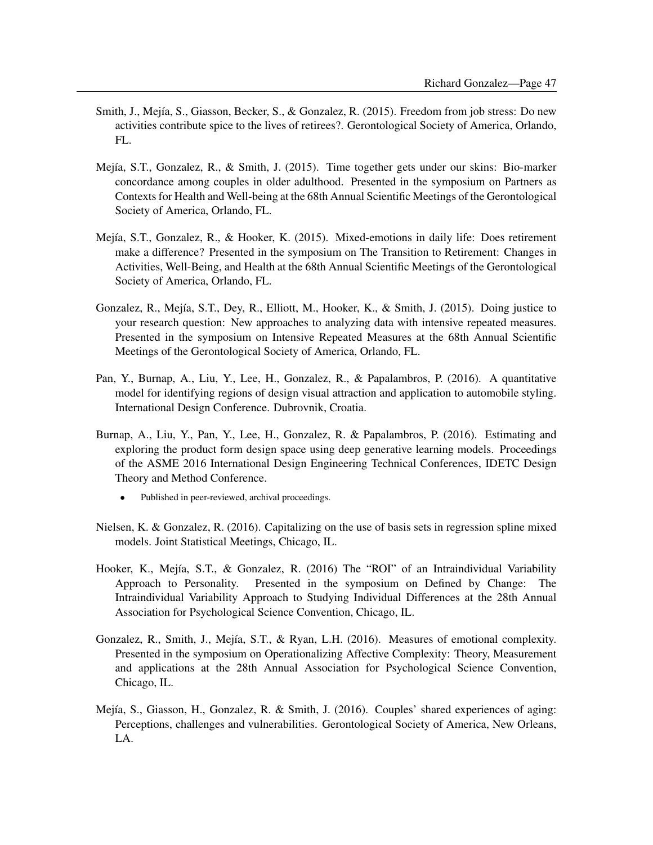- Smith, J., Mejía, S., Giasson, Becker, S., & Gonzalez, R. (2015). Freedom from job stress: Do new activities contribute spice to the lives of retirees?. Gerontological Society of America, Orlando, FL.
- Mejía, S.T., Gonzalez, R., & Smith, J. (2015). Time together gets under our skins: Bio-marker concordance among couples in older adulthood. Presented in the symposium on Partners as Contexts for Health and Well-being at the 68th Annual Scientific Meetings of the Gerontological Society of America, Orlando, FL.
- Mejía, S.T., Gonzalez, R., & Hooker, K. (2015). Mixed-emotions in daily life: Does retirement make a difference? Presented in the symposium on The Transition to Retirement: Changes in Activities, Well-Being, and Health at the 68th Annual Scientific Meetings of the Gerontological Society of America, Orlando, FL.
- Gonzalez, R., Mejía, S.T., Dey, R., Elliott, M., Hooker, K., & Smith, J. (2015). Doing justice to your research question: New approaches to analyzing data with intensive repeated measures. Presented in the symposium on Intensive Repeated Measures at the 68th Annual Scientific Meetings of the Gerontological Society of America, Orlando, FL.
- Pan, Y., Burnap, A., Liu, Y., Lee, H., Gonzalez, R., & Papalambros, P. (2016). A quantitative model for identifying regions of design visual attraction and application to automobile styling. International Design Conference. Dubrovnik, Croatia.
- Burnap, A., Liu, Y., Pan, Y., Lee, H., Gonzalez, R. & Papalambros, P. (2016). Estimating and exploring the product form design space using deep generative learning models. Proceedings of the ASME 2016 International Design Engineering Technical Conferences, IDETC Design Theory and Method Conference.
	- Published in peer-reviewed, archival proceedings.
- Nielsen, K. & Gonzalez, R. (2016). Capitalizing on the use of basis sets in regression spline mixed models. Joint Statistical Meetings, Chicago, IL.
- Hooker, K., Mejía, S.T., & Gonzalez, R. (2016) The "ROI" of an Intraindividual Variability Approach to Personality. Presented in the symposium on Defined by Change: The Intraindividual Variability Approach to Studying Individual Differences at the 28th Annual Association for Psychological Science Convention, Chicago, IL.
- Gonzalez, R., Smith, J., Mejía, S.T., & Ryan, L.H. (2016). Measures of emotional complexity. Presented in the symposium on Operationalizing Affective Complexity: Theory, Measurement and applications at the 28th Annual Association for Psychological Science Convention, Chicago, IL.
- Mejía, S., Giasson, H., Gonzalez, R. & Smith, J. (2016). Couples' shared experiences of aging: Perceptions, challenges and vulnerabilities. Gerontological Society of America, New Orleans, LA.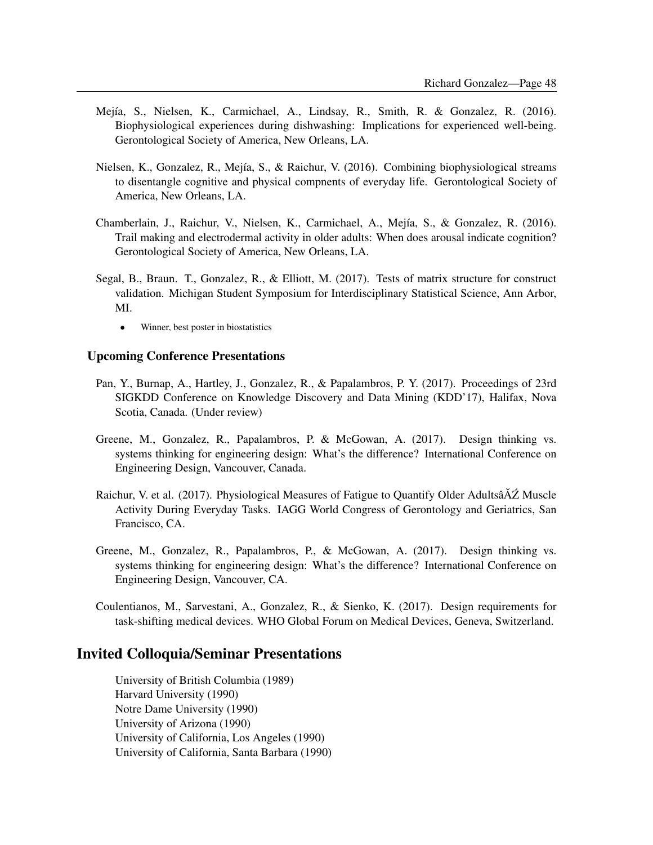- Mejía, S., Nielsen, K., Carmichael, A., Lindsay, R., Smith, R. & Gonzalez, R. (2016). Biophysiological experiences during dishwashing: Implications for experienced well-being. Gerontological Society of America, New Orleans, LA.
- Nielsen, K., Gonzalez, R., Mejía, S., & Raichur, V. (2016). Combining biophysiological streams to disentangle cognitive and physical compnents of everyday life. Gerontological Society of America, New Orleans, LA.
- Chamberlain, J., Raichur, V., Nielsen, K., Carmichael, A., Mejía, S., & Gonzalez, R. (2016). Trail making and electrodermal activity in older adults: When does arousal indicate cognition? Gerontological Society of America, New Orleans, LA.
- Segal, B., Braun. T., Gonzalez, R., & Elliott, M. (2017). Tests of matrix structure for construct validation. Michigan Student Symposium for Interdisciplinary Statistical Science, Ann Arbor, MI.
	- Winner, best poster in biostatistics

#### Upcoming Conference Presentations

- Pan, Y., Burnap, A., Hartley, J., Gonzalez, R., & Papalambros, P. Y. (2017). Proceedings of 23rd SIGKDD Conference on Knowledge Discovery and Data Mining (KDD'17), Halifax, Nova Scotia, Canada. (Under review)
- Greene, M., Gonzalez, R., Papalambros, P. & McGowan, A. (2017). Design thinking vs. systems thinking for engineering design: What's the difference? International Conference on Engineering Design, Vancouver, Canada.
- Raichur, V. et al. (2017). Physiological Measures of Fatigue to Quantify Older Adultsâ $\Delta Z$  Muscle Activity During Everyday Tasks. IAGG World Congress of Gerontology and Geriatrics, San Francisco, CA.
- Greene, M., Gonzalez, R., Papalambros, P., & McGowan, A. (2017). Design thinking vs. systems thinking for engineering design: What's the difference? International Conference on Engineering Design, Vancouver, CA.

Coulentianos, M., Sarvestani, A., Gonzalez, R., & Sienko, K. (2017). Design requirements for task-shifting medical devices. WHO Global Forum on Medical Devices, Geneva, Switzerland.

### Invited Colloquia/Seminar Presentations

University of British Columbia (1989) Harvard University (1990) Notre Dame University (1990) University of Arizona (1990) University of California, Los Angeles (1990) University of California, Santa Barbara (1990)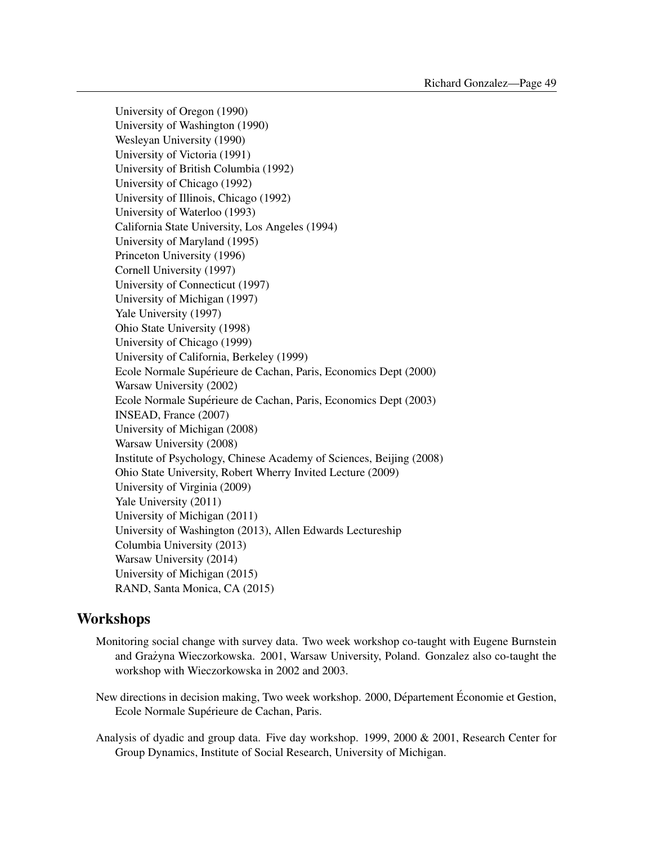University of Oregon (1990) University of Washington (1990) Wesleyan University (1990) University of Victoria (1991) University of British Columbia (1992) University of Chicago (1992) University of Illinois, Chicago (1992) University of Waterloo (1993) California State University, Los Angeles (1994) University of Maryland (1995) Princeton University (1996) Cornell University (1997) University of Connecticut (1997) University of Michigan (1997) Yale University (1997) Ohio State University (1998) University of Chicago (1999) University of California, Berkeley (1999) Ecole Normale Supérieure de Cachan, Paris, Economics Dept (2000) Warsaw University (2002) Ecole Normale Supérieure de Cachan, Paris, Economics Dept (2003) INSEAD, France (2007) University of Michigan (2008) Warsaw University (2008) Institute of Psychology, Chinese Academy of Sciences, Beijing (2008) Ohio State University, Robert Wherry Invited Lecture (2009) University of Virginia (2009) Yale University (2011) University of Michigan (2011) University of Washington (2013), Allen Edwards Lectureship Columbia University (2013) Warsaw University (2014) University of Michigan (2015) RAND, Santa Monica, CA (2015)

## **Workshops**

- Monitoring social change with survey data. Two week workshop co-taught with Eugene Burnstein and Grazyna Wieczorkowska. 2001, Warsaw University, Poland. Gonzalez also co-taught the ˙ workshop with Wieczorkowska in 2002 and 2003.
- New directions in decision making, Two week workshop. 2000, Département Économie et Gestion, Ecole Normale Supérieure de Cachan, Paris.
- Analysis of dyadic and group data. Five day workshop. 1999, 2000 & 2001, Research Center for Group Dynamics, Institute of Social Research, University of Michigan.